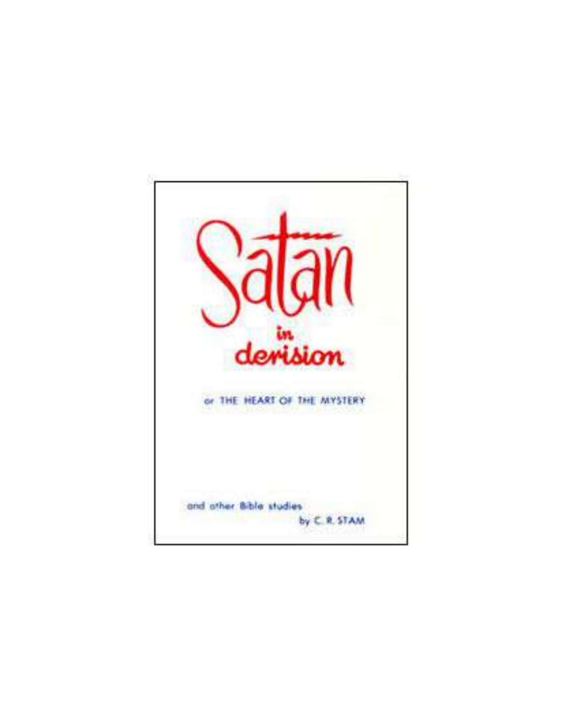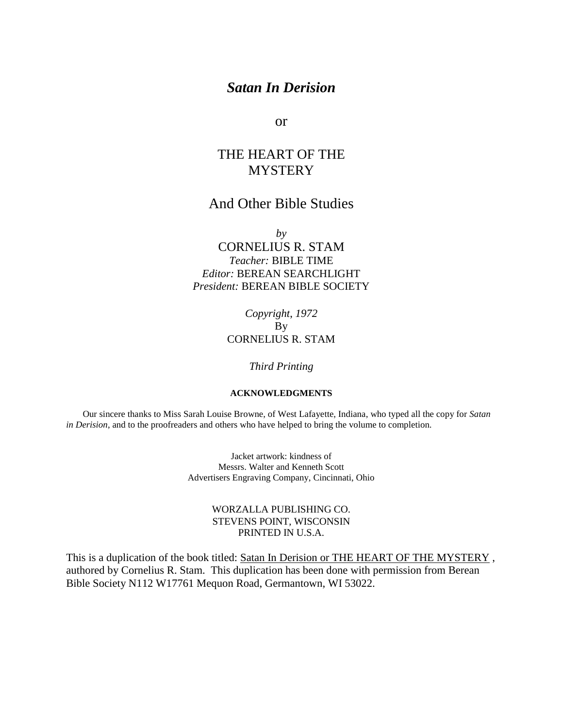## *Satan In Derision*

or

# THE HEART OF THE **MYSTERY**

## And Other Bible Studies

*by*

CORNELIUS R. STAM *Teacher:* BIBLE TIME *Editor:* BEREAN SEARCHLIGHT *President:* BEREAN BIBLE SOCIETY

> *Copyright*, *1972* By CORNELIUS R. STAM

> > *Third Printing*

#### **ACKNOWLEDGMENTS**

Our sincere thanks to Miss Sarah Louise Browne, of West Lafayette, Indiana, who typed all the copy for *Satan in Derision*, and to the proofreaders and others who have helped to bring the volume to completion.

> Jacket artwork: kindness of Messrs. Walter and Kenneth Scott Advertisers Engraving Company, Cincinnati, Ohio

> > WORZALLA PUBLISHING CO. STEVENS POINT, WISCONSIN PRINTED IN U.S.A.

This is a duplication of the book titled: Satan In Derision or THE HEART OF THE MYSTERY , authored by Cornelius R. Stam. This duplication has been done with permission from Berean Bible Society N112 W17761 Mequon Road, Germantown, WI 53022.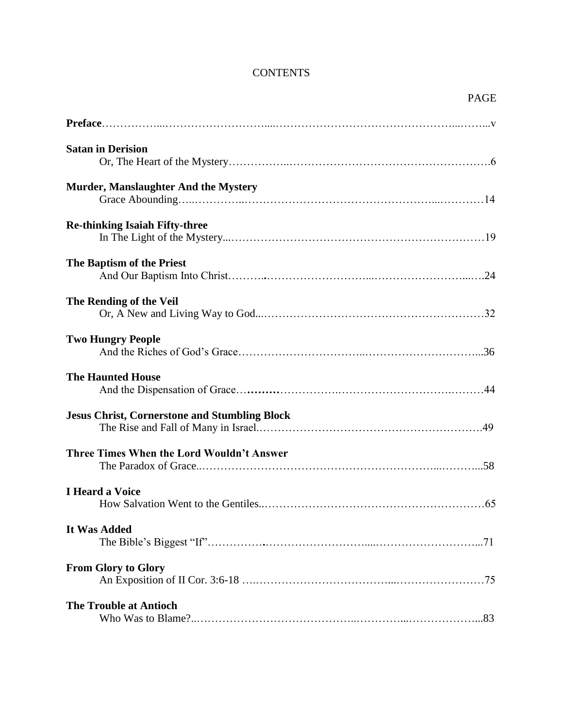## **CONTENTS**

| <b>PAGE</b>                                          |     |
|------------------------------------------------------|-----|
|                                                      |     |
| <b>Satan in Derision</b>                             |     |
| Murder, Manslaughter And the Mystery                 |     |
| <b>Re-thinking Isaiah Fifty-three</b>                |     |
| The Baptism of the Priest                            |     |
| The Rending of the Veil                              |     |
| <b>Two Hungry People</b>                             |     |
| <b>The Haunted House</b>                             |     |
| <b>Jesus Christ, Cornerstone and Stumbling Block</b> |     |
| <b>Three Times When the Lord Wouldn't Answer</b>     |     |
| <b>I Heard a Voice</b>                               | .65 |
| It Was Added                                         |     |
| From Glory to Glory                                  |     |
| <b>The Trouble at Antioch</b>                        |     |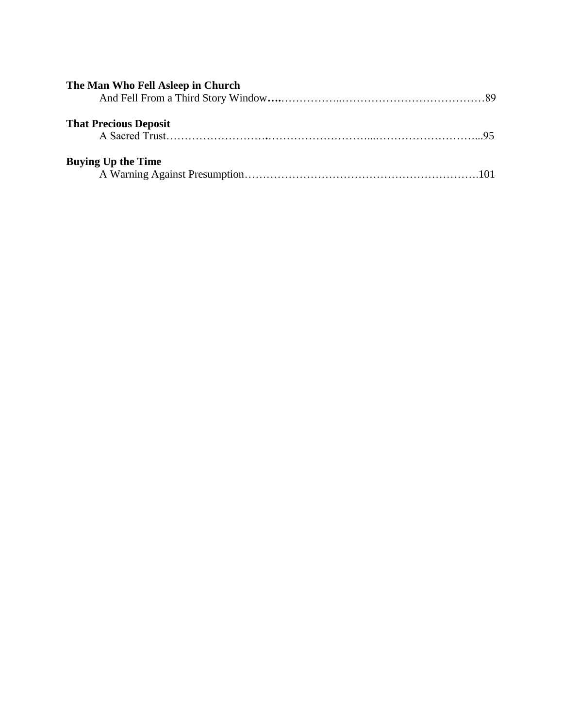| The Man Who Fell Asleep in Church |  |
|-----------------------------------|--|
|                                   |  |
|                                   |  |
| <b>That Precious Deposit</b>      |  |
|                                   |  |
| <b>Buying Up the Time</b>         |  |
|                                   |  |
|                                   |  |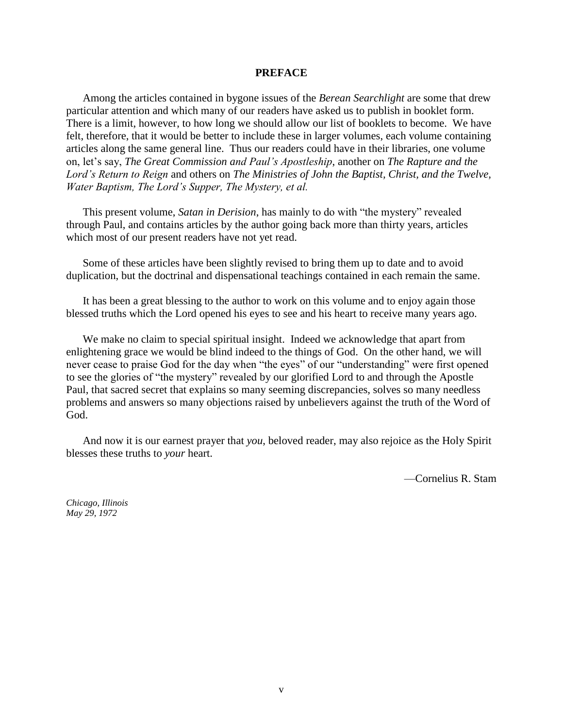#### **PREFACE**

Among the articles contained in bygone issues of the *Berean Searchlight* are some that drew particular attention and which many of our readers have asked us to publish in booklet form. There is a limit, however, to how long we should allow our list of booklets to become. We have felt, therefore, that it would be better to include these in larger volumes, each volume containing articles along the same general line. Thus our readers could have in their libraries, one volume on, let's say, *The Great Commission and Paul's Apostleship*, another on *The Rapture and the Lord's Return to Reign* and others on *The Ministries of John the Baptist, Christ, and the Twelve, Water Baptism, The Lord's Supper, The Mystery, et al.*

This present volume, *Satan in Derision*, has mainly to do with "the mystery" revealed through Paul, and contains articles by the author going back more than thirty years, articles which most of our present readers have not yet read.

Some of these articles have been slightly revised to bring them up to date and to avoid duplication, but the doctrinal and dispensational teachings contained in each remain the same.

It has been a great blessing to the author to work on this volume and to enjoy again those blessed truths which the Lord opened his eyes to see and his heart to receive many years ago.

We make no claim to special spiritual insight. Indeed we acknowledge that apart from enlightening grace we would be blind indeed to the things of God. On the other hand, we will never cease to praise God for the day when "the eyes" of our "understanding" were first opened to see the glories of "the mystery" revealed by our glorified Lord to and through the Apostle Paul, that sacred secret that explains so many seeming discrepancies, solves so many needless problems and answers so many objections raised by unbelievers against the truth of the Word of God.

And now it is our earnest prayer that *you*, beloved reader, may also rejoice as the Holy Spirit blesses these truths to *your* heart.

—Cornelius R. Stam

*Chicago, Illinois May 29, 1972*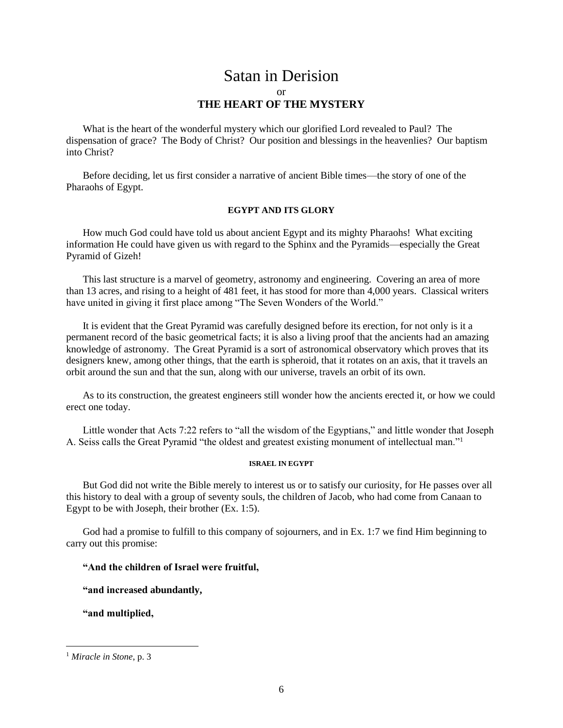## Satan in Derision or **THE HEART OF THE MYSTERY**

What is the heart of the wonderful mystery which our glorified Lord revealed to Paul? The dispensation of grace? The Body of Christ? Our position and blessings in the heavenlies? Our baptism into Christ?

Before deciding, let us first consider a narrative of ancient Bible times—the story of one of the Pharaohs of Egypt.

## **EGYPT AND ITS GLORY**

How much God could have told us about ancient Egypt and its mighty Pharaohs! What exciting information He could have given us with regard to the Sphinx and the Pyramids—especially the Great Pyramid of Gizeh!

This last structure is a marvel of geometry, astronomy and engineering. Covering an area of more than 13 acres, and rising to a height of 481 feet, it has stood for more than 4,000 years. Classical writers have united in giving it first place among "The Seven Wonders of the World."

It is evident that the Great Pyramid was carefully designed before its erection, for not only is it a permanent record of the basic geometrical facts; it is also a living proof that the ancients had an amazing knowledge of astronomy. The Great Pyramid is a sort of astronomical observatory which proves that its designers knew, among other things, that the earth is spheroid, that it rotates on an axis, that it travels an orbit around the sun and that the sun, along with our universe, travels an orbit of its own.

As to its construction, the greatest engineers still wonder how the ancients erected it, or how we could erect one today.

Little wonder that Acts 7:22 refers to "all the wisdom of the Egyptians," and little wonder that Joseph A. Seiss calls the Great Pyramid "the oldest and greatest existing monument of intellectual man."<sup>1</sup>

#### **ISRAEL IN EGYPT**

But God did not write the Bible merely to interest us or to satisfy our curiosity, for He passes over all this history to deal with a group of seventy souls, the children of Jacob, who had come from Canaan to Egypt to be with Joseph, their brother (Ex. 1:5).

God had a promise to fulfill to this company of sojourners, and in Ex. 1:7 we find Him beginning to carry out this promise:

**"And the children of Israel were fruitful,**

**"and increased abundantly,**

**"and multiplied,**

<sup>1</sup> *Miracle in Stone*, p. 3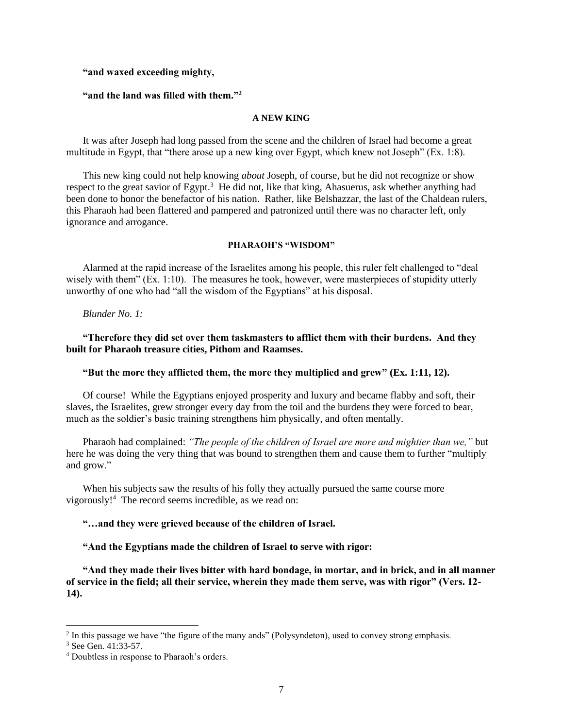#### **"and waxed exceeding mighty,**

### **"and the land was filled with them."<sup>2</sup>**

#### **A NEW KING**

It was after Joseph had long passed from the scene and the children of Israel had become a great multitude in Egypt, that "there arose up a new king over Egypt, which knew not Joseph" (Ex. 1:8).

This new king could not help knowing *about* Joseph, of course, but he did not recognize or show respect to the great savior of Egypt.<sup>3</sup> He did not, like that king, Ahasuerus, ask whether anything had been done to honor the benefactor of his nation. Rather, like Belshazzar, the last of the Chaldean rulers, this Pharaoh had been flattered and pampered and patronized until there was no character left, only ignorance and arrogance.

#### **PHARAOH'S "WISDOM"**

Alarmed at the rapid increase of the Israelites among his people, this ruler felt challenged to "deal wisely with them" (Ex. 1:10). The measures he took, however, were masterpieces of stupidity utterly unworthy of one who had "all the wisdom of the Egyptians" at his disposal.

## *Blunder No. 1:*

**"Therefore they did set over them taskmasters to afflict them with their burdens. And they built for Pharaoh treasure cities, Pithom and Raamses.**

## **"But the more they afflicted them, the more they multiplied and grew" (Ex. 1:11, 12).**

Of course! While the Egyptians enjoyed prosperity and luxury and became flabby and soft, their slaves, the Israelites, grew stronger every day from the toil and the burdens they were forced to bear, much as the soldier's basic training strengthens him physically, and often mentally.

Pharaoh had complained: *"The people of the children of Israel are more and mightier than we,"* but here he was doing the very thing that was bound to strengthen them and cause them to further "multiply and grow."

When his subjects saw the results of his folly they actually pursued the same course more vigorously!<sup>4</sup> The record seems incredible, as we read on:

## **"…and they were grieved because of the children of Israel.**

## **"And the Egyptians made the children of Israel to serve with rigor:**

**"And they made their lives bitter with hard bondage, in mortar, and in brick, and in all manner of service in the field; all their service, wherein they made them serve, was with rigor" (Vers. 12- 14).**

<sup>&</sup>lt;sup>2</sup> In this passage we have "the figure of the many ands" (Polysyndeton), used to convey strong emphasis.

<sup>3</sup> See Gen. 41:33-57.

<sup>4</sup> Doubtless in response to Pharaoh's orders.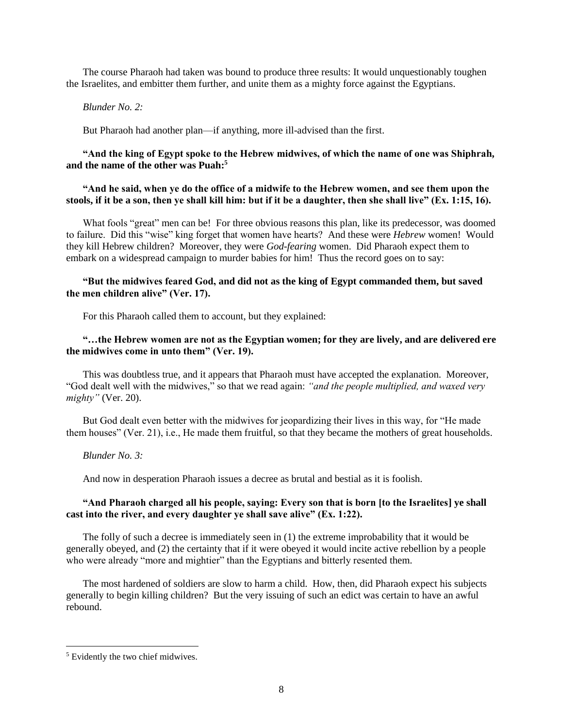The course Pharaoh had taken was bound to produce three results: It would unquestionably toughen the Israelites, and embitter them further, and unite them as a mighty force against the Egyptians.

*Blunder No. 2:*

But Pharaoh had another plan—if anything, more ill-advised than the first.

## **"And the king of Egypt spoke to the Hebrew midwives, of which the name of one was Shiphrah, and the name of the other was Puah: 5**

## **"And he said, when ye do the office of a midwife to the Hebrew women, and see them upon the stools, if it be a son, then ye shall kill him: but if it be a daughter, then she shall live" (Ex. 1:15, 16).**

What fools "great" men can be! For three obvious reasons this plan, like its predecessor, was doomed to failure. Did this "wise" king forget that women have hearts? And these were *Hebrew* women! Would they kill Hebrew children? Moreover, they were *God-fearing* women. Did Pharaoh expect them to embark on a widespread campaign to murder babies for him! Thus the record goes on to say:

## **"But the midwives feared God, and did not as the king of Egypt commanded them, but saved the men children alive" (Ver. 17).**

For this Pharaoh called them to account, but they explained:

## **"…the Hebrew women are not as the Egyptian women; for they are lively, and are delivered ere the midwives come in unto them" (Ver. 19).**

This was doubtless true, and it appears that Pharaoh must have accepted the explanation. Moreover, "God dealt well with the midwives," so that we read again: *"and the people multiplied, and waxed very mighty"* (Ver. 20).

But God dealt even better with the midwives for jeopardizing their lives in this way, for "He made them houses" (Ver. 21), i.e., He made them fruitful, so that they became the mothers of great households.

*Blunder No. 3:*

And now in desperation Pharaoh issues a decree as brutal and bestial as it is foolish.

## **"And Pharaoh charged all his people, saying: Every son that is born [to the Israelites] ye shall cast into the river, and every daughter ye shall save alive" (Ex. 1:22).**

The folly of such a decree is immediately seen in (1) the extreme improbability that it would be generally obeyed, and (2) the certainty that if it were obeyed it would incite active rebellion by a people who were already "more and mightier" than the Egyptians and bitterly resented them.

The most hardened of soldiers are slow to harm a child. How, then, did Pharaoh expect his subjects generally to begin killing children? But the very issuing of such an edict was certain to have an awful rebound.

<sup>5</sup> Evidently the two chief midwives.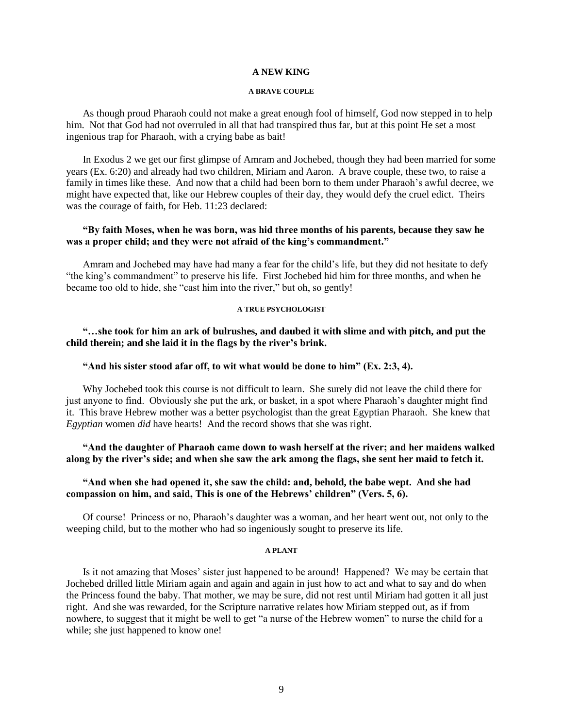#### **A NEW KING**

#### **A BRAVE COUPLE**

As though proud Pharaoh could not make a great enough fool of himself, God now stepped in to help him. Not that God had not overruled in all that had transpired thus far, but at this point He set a most ingenious trap for Pharaoh, with a crying babe as bait!

In Exodus 2 we get our first glimpse of Amram and Jochebed, though they had been married for some years (Ex. 6:20) and already had two children, Miriam and Aaron. A brave couple, these two, to raise a family in times like these. And now that a child had been born to them under Pharaoh's awful decree, we might have expected that, like our Hebrew couples of their day, they would defy the cruel edict. Theirs was the courage of faith, for Heb. 11:23 declared:

### **"By faith Moses, when he was born, was hid three months of his parents, because they saw he was a proper child; and they were not afraid of the king's commandment."**

Amram and Jochebed may have had many a fear for the child's life, but they did not hesitate to defy "the king's commandment" to preserve his life. First Jochebed hid him for three months, and when he became too old to hide, she "cast him into the river," but oh, so gently!

#### **A TRUE PSYCHOLOGIST**

## **"…she took for him an ark of bulrushes, and daubed it with slime and with pitch, and put the child therein; and she laid it in the flags by the river's brink.**

#### **"And his sister stood afar off, to wit what would be done to him" (Ex. 2:3, 4).**

Why Jochebed took this course is not difficult to learn. She surely did not leave the child there for just anyone to find. Obviously she put the ark, or basket, in a spot where Pharaoh's daughter might find it. This brave Hebrew mother was a better psychologist than the great Egyptian Pharaoh. She knew that *Egyptian* women *did* have hearts! And the record shows that she was right.

## **"And the daughter of Pharaoh came down to wash herself at the river; and her maidens walked along by the river's side; and when she saw the ark among the flags, she sent her maid to fetch it.**

## **"And when she had opened it, she saw the child: and, behold, the babe wept. And she had compassion on him, and said, This is one of the Hebrews' children" (Vers. 5, 6).**

Of course! Princess or no, Pharaoh's daughter was a woman, and her heart went out, not only to the weeping child, but to the mother who had so ingeniously sought to preserve its life.

#### **A PLANT**

Is it not amazing that Moses' sister just happened to be around! Happened? We may be certain that Jochebed drilled little Miriam again and again and again in just how to act and what to say and do when the Princess found the baby. That mother, we may be sure, did not rest until Miriam had gotten it all just right. And she was rewarded, for the Scripture narrative relates how Miriam stepped out, as if from nowhere, to suggest that it might be well to get "a nurse of the Hebrew women" to nurse the child for a while; she just happened to know one!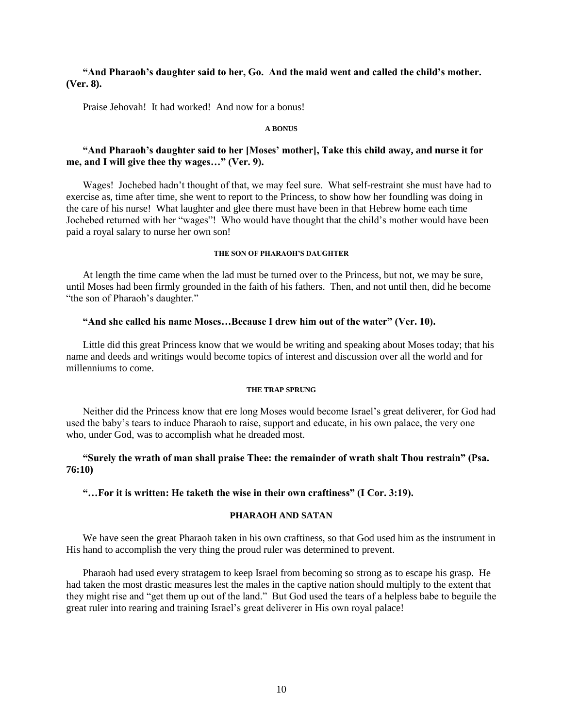**"And Pharaoh's daughter said to her, Go. And the maid went and called the child's mother. (Ver. 8).**

Praise Jehovah! It had worked! And now for a bonus!

#### **A BONUS**

## **"And Pharaoh's daughter said to her [Moses' mother], Take this child away, and nurse it for me, and I will give thee thy wages…" (Ver. 9).**

Wages! Jochebed hadn't thought of that, we may feel sure. What self-restraint she must have had to exercise as, time after time, she went to report to the Princess, to show how her foundling was doing in the care of his nurse! What laughter and glee there must have been in that Hebrew home each time Jochebed returned with her "wages"! Who would have thought that the child's mother would have been paid a royal salary to nurse her own son!

#### **THE SON OF PHARAOH'S DAUGHTER**

At length the time came when the lad must be turned over to the Princess, but not, we may be sure, until Moses had been firmly grounded in the faith of his fathers. Then, and not until then, did he become "the son of Pharaoh's daughter."

#### **"And she called his name Moses…Because I drew him out of the water" (Ver. 10).**

Little did this great Princess know that we would be writing and speaking about Moses today; that his name and deeds and writings would become topics of interest and discussion over all the world and for millenniums to come.

#### **THE TRAP SPRUNG**

Neither did the Princess know that ere long Moses would become Israel's great deliverer, for God had used the baby's tears to induce Pharaoh to raise, support and educate, in his own palace, the very one who, under God, was to accomplish what he dreaded most.

## **"Surely the wrath of man shall praise Thee: the remainder of wrath shalt Thou restrain" (Psa. 76:10)**

## **"…For it is written: He taketh the wise in their own craftiness" (I Cor. 3:19).**

## **PHARAOH AND SATAN**

We have seen the great Pharaoh taken in his own craftiness, so that God used him as the instrument in His hand to accomplish the very thing the proud ruler was determined to prevent.

Pharaoh had used every stratagem to keep Israel from becoming so strong as to escape his grasp. He had taken the most drastic measures lest the males in the captive nation should multiply to the extent that they might rise and "get them up out of the land." But God used the tears of a helpless babe to beguile the great ruler into rearing and training Israel's great deliverer in His own royal palace!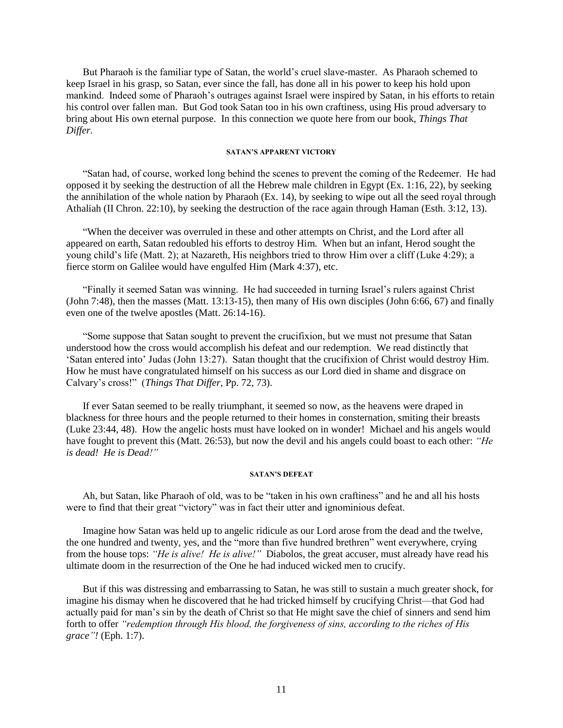But Pharaoh is the familiar type of Satan, the world's cruel slave-master. As Pharaoh schemed to keep Israel in his grasp, so Satan, ever since the fall, has done all in his power to keep his hold upon mankind. Indeed some of Pharaoh's outrages against Israel were inspired by Satan, in his efforts to retain his control over fallen man. But God took Satan too in his own craftiness, using His proud adversary to bring about His own eternal purpose. In this connection we quote here from our book, *Things That Differ.*

#### **SATAN'S APPARENT VICTORY**

"Satan had, of course, worked long behind the scenes to prevent the coming of the Redeemer. He had opposed it by seeking the destruction of all the Hebrew male children in Egypt (Ex. 1:16, 22), by seeking the annihilation of the whole nation by Pharaoh (Ex. 14), by seeking to wipe out all the seed royal through Athaliah (II Chron. 22:10), by seeking the destruction of the race again through Haman (Esth. 3:12, 13).

"When the deceiver was overruled in these and other attempts on Christ, and the Lord after all appeared on earth, Satan redoubled his efforts to destroy Him. When but an infant, Herod sought the young child's life (Matt. 2); at Nazareth, His neighbors tried to throw Him over a cliff (Luke 4:29); a fierce storm on Galilee would have engulfed Him (Mark 4:37), etc.

"Finally it seemed Satan was winning. He had succeeded in turning Israel's rulers against Christ (John 7:48), then the masses (Matt. 13:13-15), then many of His own disciples (John 6:66, 67) and finally even one of the twelve apostles (Matt. 26:14-16).

"Some suppose that Satan sought to prevent the crucifixion, but we must not presume that Satan understood how the cross would accomplish his defeat and our redemption. We read distinctly that 'Satan entered into' Judas (John 13:27). Satan thought that the crucifixion of Christ would destroy Him. How he must have congratulated himself on his success as our Lord died in shame and disgrace on Calvary's cross!" (*Things That Differ*, Pp. 72, 73).

If ever Satan seemed to be really triumphant, it seemed so now, as the heavens were draped in blackness for three hours and the people returned to their homes in consternation, smiting their breasts (Luke 23:44, 48). How the angelic hosts must have looked on in wonder! Michael and his angels would have fought to prevent this (Matt. 26:53), but now the devil and his angels could boast to each other: *"He is dead! He is Dead!"*

#### **SATAN'S DEFEAT**

Ah, but Satan, like Pharaoh of old, was to be "taken in his own craftiness" and he and all his hosts were to find that their great "victory" was in fact their utter and ignominious defeat.

Imagine how Satan was held up to angelic ridicule as our Lord arose from the dead and the twelve, the one hundred and twenty, yes, and the "more than five hundred brethren" went everywhere, crying from the house tops: *"He is alive! He is alive!"* Diabolos, the great accuser, must already have read his ultimate doom in the resurrection of the One he had induced wicked men to crucify.

But if this was distressing and embarrassing to Satan, he was still to sustain a much greater shock, for imagine his dismay when he discovered that he had tricked himself by crucifying Christ—that God had actually paid for man's sin by the death of Christ so that He might save the chief of sinners and send him forth to offer *"redemption through His blood, the forgiveness of sins, according to the riches of His grace"!* (Eph. 1:7).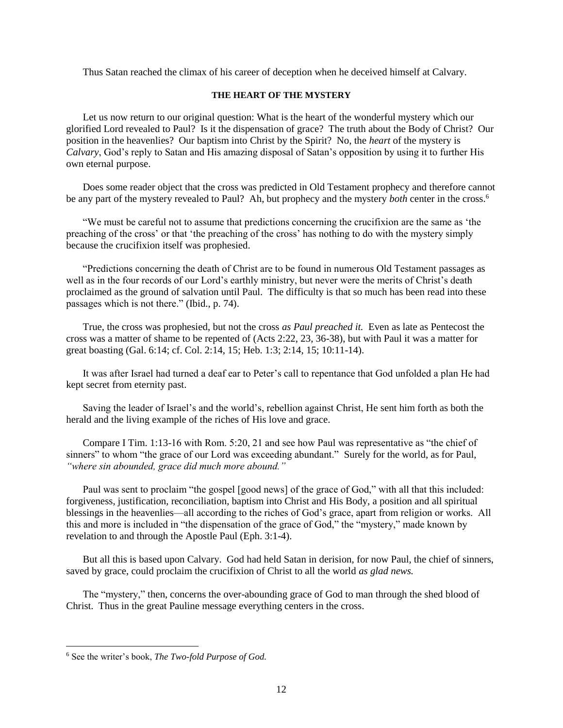Thus Satan reached the climax of his career of deception when he deceived himself at Calvary.

#### **THE HEART OF THE MYSTERY**

Let us now return to our original question: What is the heart of the wonderful mystery which our glorified Lord revealed to Paul? Is it the dispensation of grace? The truth about the Body of Christ? Our position in the heavenlies? Our baptism into Christ by the Spirit? No, the *heart* of the mystery is *Calvary*, God's reply to Satan and His amazing disposal of Satan's opposition by using it to further His own eternal purpose.

Does some reader object that the cross was predicted in Old Testament prophecy and therefore cannot be any part of the mystery revealed to Paul? Ah, but prophecy and the mystery *both* center in the cross.<sup>6</sup>

"We must be careful not to assume that predictions concerning the crucifixion are the same as 'the preaching of the cross' or that 'the preaching of the cross' has nothing to do with the mystery simply because the crucifixion itself was prophesied.

"Predictions concerning the death of Christ are to be found in numerous Old Testament passages as well as in the four records of our Lord's earthly ministry, but never were the merits of Christ's death proclaimed as the ground of salvation until Paul. The difficulty is that so much has been read into these passages which is not there." (Ibid., p. 74).

True, the cross was prophesied, but not the cross *as Paul preached it.* Even as late as Pentecost the cross was a matter of shame to be repented of (Acts 2:22, 23, 36-38), but with Paul it was a matter for great boasting (Gal. 6:14; cf. Col. 2:14, 15; Heb. 1:3; 2:14, 15; 10:11-14).

It was after Israel had turned a deaf ear to Peter's call to repentance that God unfolded a plan He had kept secret from eternity past.

Saving the leader of Israel's and the world's, rebellion against Christ, He sent him forth as both the herald and the living example of the riches of His love and grace.

Compare I Tim. 1:13-16 with Rom. 5:20, 21 and see how Paul was representative as "the chief of sinners" to whom "the grace of our Lord was exceeding abundant." Surely for the world, as for Paul, *"where sin abounded, grace did much more abound."*

Paul was sent to proclaim "the gospel [good news] of the grace of God," with all that this included: forgiveness, justification, reconciliation, baptism into Christ and His Body, a position and all spiritual blessings in the heavenlies—all according to the riches of God's grace, apart from religion or works. All this and more is included in "the dispensation of the grace of God," the "mystery," made known by revelation to and through the Apostle Paul (Eph. 3:1-4).

But all this is based upon Calvary. God had held Satan in derision, for now Paul, the chief of sinners, saved by grace, could proclaim the crucifixion of Christ to all the world *as glad news.*

The "mystery," then, concerns the over-abounding grace of God to man through the shed blood of Christ. Thus in the great Pauline message everything centers in the cross.

<sup>6</sup> See the writer's book, *The Two-fold Purpose of God.*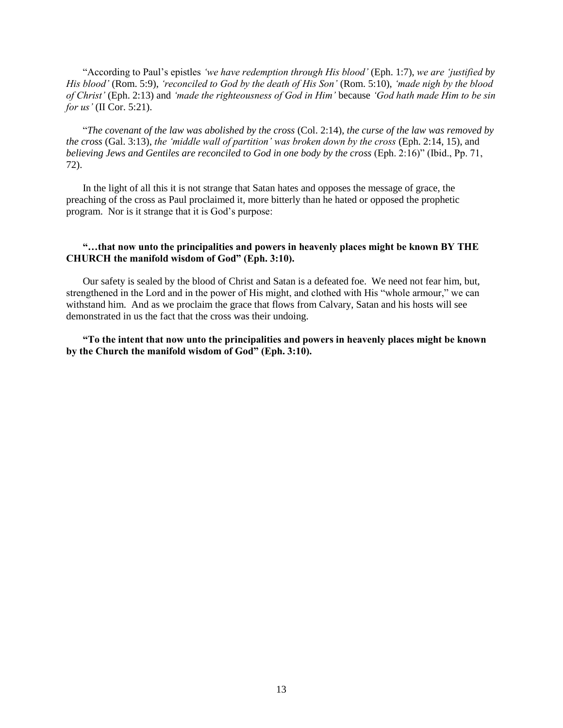"According to Paul's epistles *'we have redemption through His blood'* (Eph. 1:7), *we are 'justified by His blood'* (Rom. 5:9), *'reconciled to God by the death of His Son'* (Rom. 5:10), *'made nigh by the blood of Christ'* (Eph. 2:13) and *'made the righteousness of God in Him'* because *'God hath made Him to be sin for us'* (II Cor. 5:21).

"*The covenant of the law was abolished by the cross* (Col. 2:14), *the curse of the law was removed by the cross* (Gal. 3:13), *the 'middle wall of partition' was broken down by the cross* (Eph. 2:14, 15), and *believing Jews and Gentiles are reconciled to God in one body by the cross* (Eph. 2:16)" (Ibid., Pp. 71, 72).

In the light of all this it is not strange that Satan hates and opposes the message of grace, the preaching of the cross as Paul proclaimed it, more bitterly than he hated or opposed the prophetic program. Nor is it strange that it is God's purpose:

## **"…that now unto the principalities and powers in heavenly places might be known BY THE CHURCH the manifold wisdom of God" (Eph. 3:10).**

Our safety is sealed by the blood of Christ and Satan is a defeated foe. We need not fear him, but, strengthened in the Lord and in the power of His might, and clothed with His "whole armour," we can withstand him. And as we proclaim the grace that flows from Calvary, Satan and his hosts will see demonstrated in us the fact that the cross was their undoing.

**"To the intent that now unto the principalities and powers in heavenly places might be known by the Church the manifold wisdom of God" (Eph. 3:10).**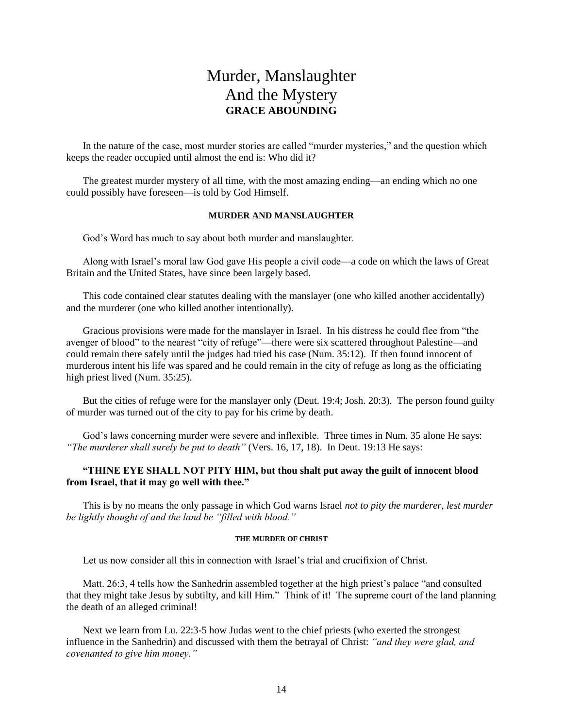# Murder, Manslaughter And the Mystery **GRACE ABOUNDING**

In the nature of the case, most murder stories are called "murder mysteries," and the question which keeps the reader occupied until almost the end is: Who did it?

The greatest murder mystery of all time, with the most amazing ending—an ending which no one could possibly have foreseen—is told by God Himself.

#### **MURDER AND MANSLAUGHTER**

God's Word has much to say about both murder and manslaughter.

Along with Israel's moral law God gave His people a civil code—a code on which the laws of Great Britain and the United States, have since been largely based.

This code contained clear statutes dealing with the manslayer (one who killed another accidentally) and the murderer (one who killed another intentionally).

Gracious provisions were made for the manslayer in Israel. In his distress he could flee from "the avenger of blood" to the nearest "city of refuge"—there were six scattered throughout Palestine—and could remain there safely until the judges had tried his case (Num. 35:12). If then found innocent of murderous intent his life was spared and he could remain in the city of refuge as long as the officiating high priest lived (Num. 35:25).

But the cities of refuge were for the manslayer only (Deut. 19:4; Josh. 20:3). The person found guilty of murder was turned out of the city to pay for his crime by death.

God's laws concerning murder were severe and inflexible. Three times in Num. 35 alone He says: *"The murderer shall surely be put to death"* (Vers. 16, 17, 18). In Deut. 19:13 He says:

## **"THINE EYE SHALL NOT PITY HIM, but thou shalt put away the guilt of innocent blood from Israel, that it may go well with thee."**

This is by no means the only passage in which God warns Israel *not to pity the murderer, lest murder be lightly thought of and the land be "filled with blood."*

#### **THE MURDER OF CHRIST**

Let us now consider all this in connection with Israel's trial and crucifixion of Christ.

Matt. 26:3, 4 tells how the Sanhedrin assembled together at the high priest's palace "and consulted that they might take Jesus by subtilty, and kill Him." Think of it! The supreme court of the land planning the death of an alleged criminal!

Next we learn from Lu. 22:3-5 how Judas went to the chief priests (who exerted the strongest influence in the Sanhedrin) and discussed with them the betrayal of Christ: *"and they were glad, and covenanted to give him money."*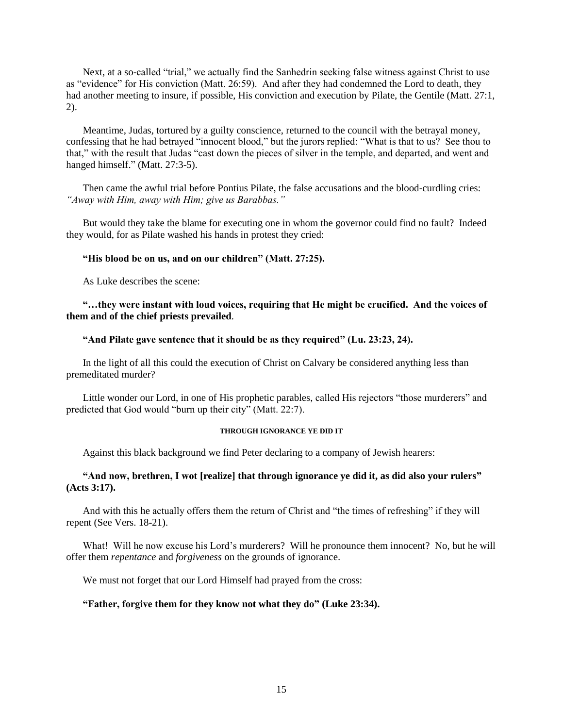Next, at a so-called "trial," we actually find the Sanhedrin seeking false witness against Christ to use as "evidence" for His conviction (Matt. 26:59). And after they had condemned the Lord to death, they had another meeting to insure, if possible, His conviction and execution by Pilate, the Gentile (Matt. 27:1, 2).

Meantime, Judas, tortured by a guilty conscience, returned to the council with the betrayal money, confessing that he had betrayed "innocent blood," but the jurors replied: "What is that to us? See thou to that," with the result that Judas "cast down the pieces of silver in the temple, and departed, and went and hanged himself." (Matt. 27:3-5).

Then came the awful trial before Pontius Pilate, the false accusations and the blood-curdling cries: *"Away with Him, away with Him; give us Barabbas."*

But would they take the blame for executing one in whom the governor could find no fault? Indeed they would, for as Pilate washed his hands in protest they cried:

### **"His blood be on us, and on our children" (Matt. 27:25).**

As Luke describes the scene:

## **"…they were instant with loud voices, requiring that He might be crucified. And the voices of them and of the chief priests prevailed**.

#### **"And Pilate gave sentence that it should be as they required" (Lu. 23:23, 24).**

In the light of all this could the execution of Christ on Calvary be considered anything less than premeditated murder?

Little wonder our Lord, in one of His prophetic parables, called His rejectors "those murderers" and predicted that God would "burn up their city" (Matt. 22:7).

#### **THROUGH IGNORANCE YE DID IT**

Against this black background we find Peter declaring to a company of Jewish hearers:

## **"And now, brethren, I wot [realize] that through ignorance ye did it, as did also your rulers" (Acts 3:17).**

And with this he actually offers them the return of Christ and "the times of refreshing" if they will repent (See Vers. 18-21).

What! Will he now excuse his Lord's murderers? Will he pronounce them innocent? No, but he will offer them *repentance* and *forgiveness* on the grounds of ignorance.

We must not forget that our Lord Himself had prayed from the cross:

#### **"Father, forgive them for they know not what they do" (Luke 23:34).**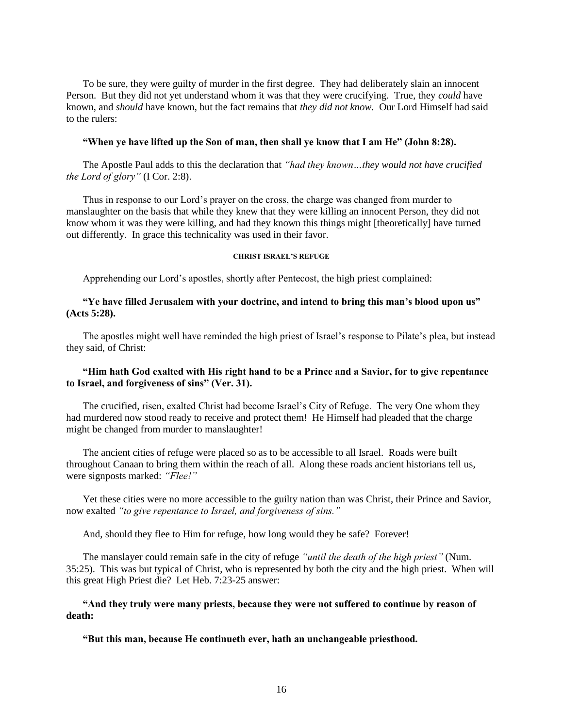To be sure, they were guilty of murder in the first degree. They had deliberately slain an innocent Person. But they did not yet understand whom it was that they were crucifying. True, they *could* have known, and *should* have known, but the fact remains that *they did not know.* Our Lord Himself had said to the rulers:

### **"When ye have lifted up the Son of man, then shall ye know that I am He" (John 8:28).**

The Apostle Paul adds to this the declaration that *"had they known…they would not have crucified the Lord of glory"* (I Cor. 2:8).

Thus in response to our Lord's prayer on the cross, the charge was changed from murder to manslaughter on the basis that while they knew that they were killing an innocent Person, they did not know whom it was they were killing, and had they known this things might [theoretically] have turned out differently. In grace this technicality was used in their favor.

## **CHRIST ISRAEL'S REFUGE**

Apprehending our Lord's apostles, shortly after Pentecost, the high priest complained:

## **"Ye have filled Jerusalem with your doctrine, and intend to bring this man's blood upon us" (Acts 5:28).**

The apostles might well have reminded the high priest of Israel's response to Pilate's plea, but instead they said, of Christ:

## **"Him hath God exalted with His right hand to be a Prince and a Savior, for to give repentance to Israel, and forgiveness of sins" (Ver. 31).**

The crucified, risen, exalted Christ had become Israel's City of Refuge. The very One whom they had murdered now stood ready to receive and protect them! He Himself had pleaded that the charge might be changed from murder to manslaughter!

The ancient cities of refuge were placed so as to be accessible to all Israel. Roads were built throughout Canaan to bring them within the reach of all. Along these roads ancient historians tell us, were signposts marked: *"Flee!"*

Yet these cities were no more accessible to the guilty nation than was Christ, their Prince and Savior, now exalted *"to give repentance to Israel, and forgiveness of sins."*

And, should they flee to Him for refuge, how long would they be safe? Forever!

The manslayer could remain safe in the city of refuge *"until the death of the high priest"* (Num. 35:25). This was but typical of Christ, who is represented by both the city and the high priest. When will this great High Priest die? Let Heb. 7:23-25 answer:

**"And they truly were many priests, because they were not suffered to continue by reason of death:**

**"But this man, because He continueth ever, hath an unchangeable priesthood.**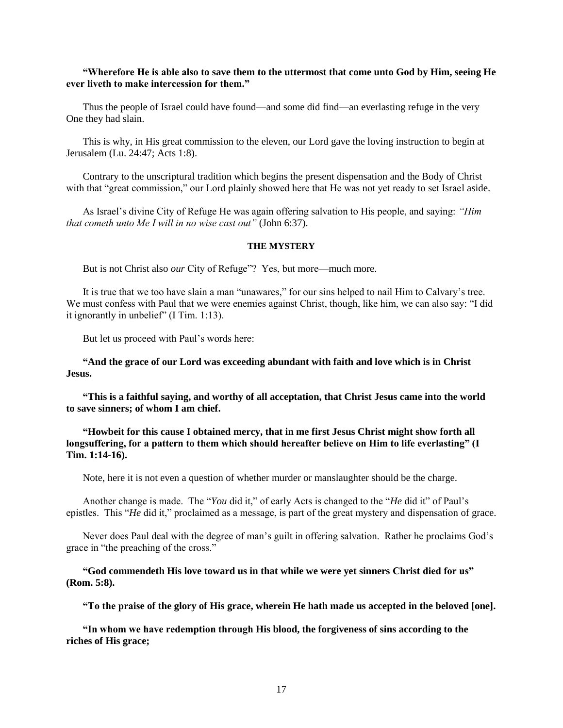#### **"Wherefore He is able also to save them to the uttermost that come unto God by Him, seeing He ever liveth to make intercession for them."**

Thus the people of Israel could have found—and some did find—an everlasting refuge in the very One they had slain.

This is why, in His great commission to the eleven, our Lord gave the loving instruction to begin at Jerusalem (Lu. 24:47; Acts 1:8).

Contrary to the unscriptural tradition which begins the present dispensation and the Body of Christ with that "great commission," our Lord plainly showed here that He was not yet ready to set Israel aside.

As Israel's divine City of Refuge He was again offering salvation to His people, and saying: *"Him that cometh unto Me I will in no wise cast out"* (John 6:37).

#### **THE MYSTERY**

But is not Christ also *our* City of Refuge"? Yes, but more—much more.

It is true that we too have slain a man "unawares," for our sins helped to nail Him to Calvary's tree. We must confess with Paul that we were enemies against Christ, though, like him, we can also say: "I did it ignorantly in unbelief" (I Tim. 1:13).

But let us proceed with Paul's words here:

## **"And the grace of our Lord was exceeding abundant with faith and love which is in Christ Jesus.**

**"This is a faithful saying, and worthy of all acceptation, that Christ Jesus came into the world to save sinners; of whom I am chief.**

**"Howbeit for this cause I obtained mercy, that in me first Jesus Christ might show forth all longsuffering, for a pattern to them which should hereafter believe on Him to life everlasting" (I Tim. 1:14-16).**

Note, here it is not even a question of whether murder or manslaughter should be the charge.

Another change is made. The "*You* did it," of early Acts is changed to the "*He* did it" of Paul's epistles. This "*He* did it," proclaimed as a message, is part of the great mystery and dispensation of grace.

Never does Paul deal with the degree of man's guilt in offering salvation. Rather he proclaims God's grace in "the preaching of the cross."

**"God commendeth His love toward us in that while we were yet sinners Christ died for us" (Rom. 5:8).**

**"To the praise of the glory of His grace, wherein He hath made us accepted in the beloved [one].**

**"In whom we have redemption through His blood, the forgiveness of sins according to the riches of His grace;**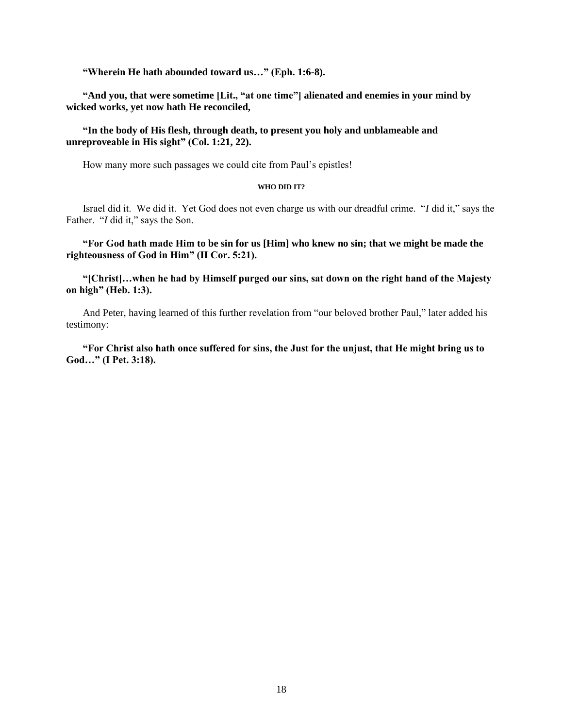**"Wherein He hath abounded toward us…" (Eph. 1:6-8).**

**"And you, that were sometime [Lit., "at one time"] alienated and enemies in your mind by wicked works, yet now hath He reconciled,**

## **"In the body of His flesh, through death, to present you holy and unblameable and unreproveable in His sight" (Col. 1:21, 22).**

How many more such passages we could cite from Paul's epistles!

#### **WHO DID IT?**

Israel did it. We did it. Yet God does not even charge us with our dreadful crime. "*I* did it," says the Father. "*I* did it," says the Son.

**"For God hath made Him to be sin for us [Him] who knew no sin; that we might be made the righteousness of God in Him" (II Cor. 5:21).**

**"[Christ]…when he had by Himself purged our sins, sat down on the right hand of the Majesty on high" (Heb. 1:3).**

And Peter, having learned of this further revelation from "our beloved brother Paul," later added his testimony:

**"For Christ also hath once suffered for sins, the Just for the unjust, that He might bring us to God…" (I Pet. 3:18).**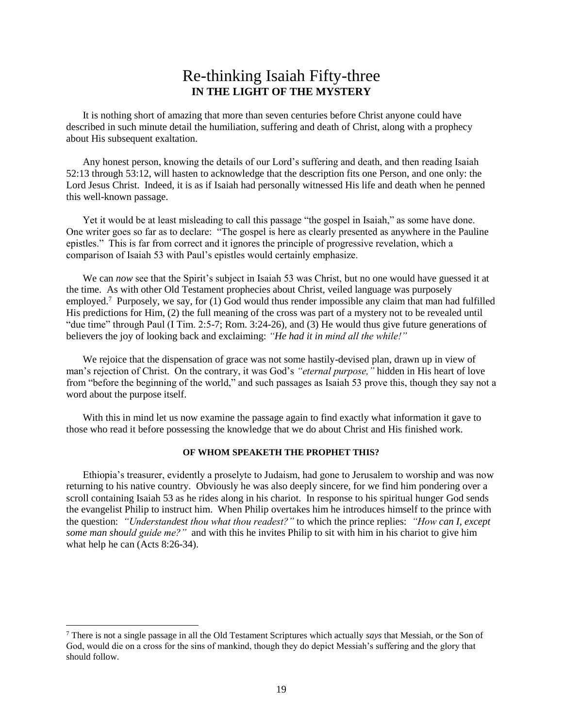## Re-thinking Isaiah Fifty-three **IN THE LIGHT OF THE MYSTERY**

It is nothing short of amazing that more than seven centuries before Christ anyone could have described in such minute detail the humiliation, suffering and death of Christ, along with a prophecy about His subsequent exaltation.

Any honest person, knowing the details of our Lord's suffering and death, and then reading Isaiah 52:13 through 53:12, will hasten to acknowledge that the description fits one Person, and one only: the Lord Jesus Christ. Indeed, it is as if Isaiah had personally witnessed His life and death when he penned this well-known passage.

Yet it would be at least misleading to call this passage "the gospel in Isaiah," as some have done. One writer goes so far as to declare: "The gospel is here as clearly presented as anywhere in the Pauline epistles." This is far from correct and it ignores the principle of progressive revelation, which a comparison of Isaiah 53 with Paul's epistles would certainly emphasize.

We can *now* see that the Spirit's subject in Isaiah 53 was Christ, but no one would have guessed it at the time. As with other Old Testament prophecies about Christ, veiled language was purposely employed.<sup>7</sup> Purposely, we say, for (1) God would thus render impossible any claim that man had fulfilled His predictions for Him, (2) the full meaning of the cross was part of a mystery not to be revealed until "due time" through Paul (I Tim. 2:5-7; Rom. 3:24-26), and (3) He would thus give future generations of believers the joy of looking back and exclaiming: *"He had it in mind all the while!"*

We rejoice that the dispensation of grace was not some hastily-devised plan, drawn up in view of man's rejection of Christ. On the contrary, it was God's *"eternal purpose,"* hidden in His heart of love from "before the beginning of the world," and such passages as Isaiah 53 prove this, though they say not a word about the purpose itself.

With this in mind let us now examine the passage again to find exactly what information it gave to those who read it before possessing the knowledge that we do about Christ and His finished work.

#### **OF WHOM SPEAKETH THE PROPHET THIS?**

Ethiopia's treasurer, evidently a proselyte to Judaism, had gone to Jerusalem to worship and was now returning to his native country. Obviously he was also deeply sincere, for we find him pondering over a scroll containing Isaiah 53 as he rides along in his chariot. In response to his spiritual hunger God sends the evangelist Philip to instruct him. When Philip overtakes him he introduces himself to the prince with the question: *"Understandest thou what thou readest?"* to which the prince replies: *"How can I, except some man should guide me?"* and with this he invites Philip to sit with him in his chariot to give him what help he can (Acts 8:26-34).

<sup>7</sup> There is not a single passage in all the Old Testament Scriptures which actually *says* that Messiah, or the Son of God, would die on a cross for the sins of mankind, though they do depict Messiah's suffering and the glory that should follow.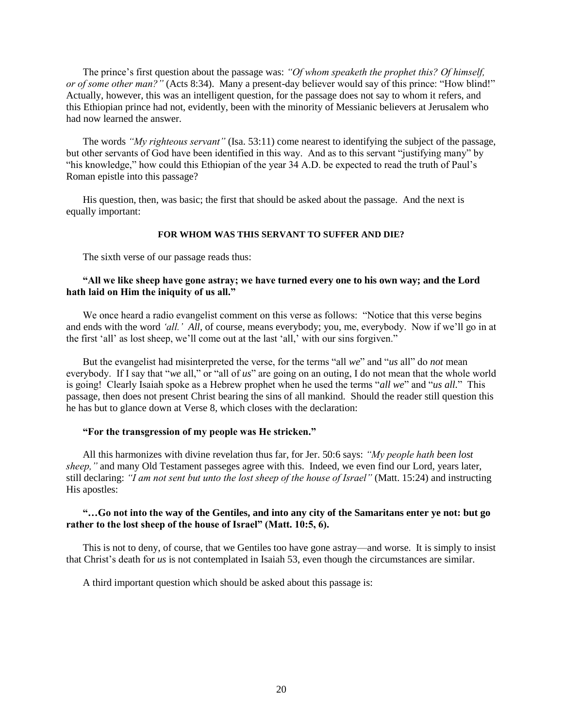The prince's first question about the passage was: *"Of whom speaketh the prophet this? Of himself, or of some other man?"* (Acts 8:34). Many a present-day believer would say of this prince: "How blind!" Actually, however, this was an intelligent question, for the passage does not say to whom it refers, and this Ethiopian prince had not, evidently, been with the minority of Messianic believers at Jerusalem who had now learned the answer.

The words *"My righteous servant"* (Isa. 53:11) come nearest to identifying the subject of the passage, but other servants of God have been identified in this way. And as to this servant "justifying many" by "his knowledge," how could this Ethiopian of the year 34 A.D. be expected to read the truth of Paul's Roman epistle into this passage?

His question, then, was basic; the first that should be asked about the passage. And the next is equally important:

## **FOR WHOM WAS THIS SERVANT TO SUFFER AND DIE?**

The sixth verse of our passage reads thus:

## **"All we like sheep have gone astray; we have turned every one to his own way; and the Lord hath laid on Him the iniquity of us all."**

We once heard a radio evangelist comment on this verse as follows: "Notice that this verse begins and ends with the word *'all.' All,* of course, means everybody; you, me, everybody. Now if we'll go in at the first 'all' as lost sheep, we'll come out at the last 'all,' with our sins forgiven."

But the evangelist had misinterpreted the verse, for the terms "all *we*" and "*us* all" do *not* mean everybody. If I say that "*we* all," or "all of *us*" are going on an outing, I do not mean that the whole world is going! Clearly Isaiah spoke as a Hebrew prophet when he used the terms "*all we*" and "*us all.*" This passage, then does not present Christ bearing the sins of all mankind. Should the reader still question this he has but to glance down at Verse 8, which closes with the declaration:

#### **"For the transgression of my people was He stricken."**

All this harmonizes with divine revelation thus far, for Jer. 50:6 says: *"My people hath been lost sheep,"* and many Old Testament passeges agree with this. Indeed, we even find our Lord, years later, still declaring: *"I am not sent but unto the lost sheep of the house of Israel"* (Matt. 15:24) and instructing His apostles:

### **"…Go not into the way of the Gentiles, and into any city of the Samaritans enter ye not: but go rather to the lost sheep of the house of Israel" (Matt. 10:5, 6).**

This is not to deny, of course, that we Gentiles too have gone astray—and worse. It is simply to insist that Christ's death for *us* is not contemplated in Isaiah 53, even though the circumstances are similar.

A third important question which should be asked about this passage is: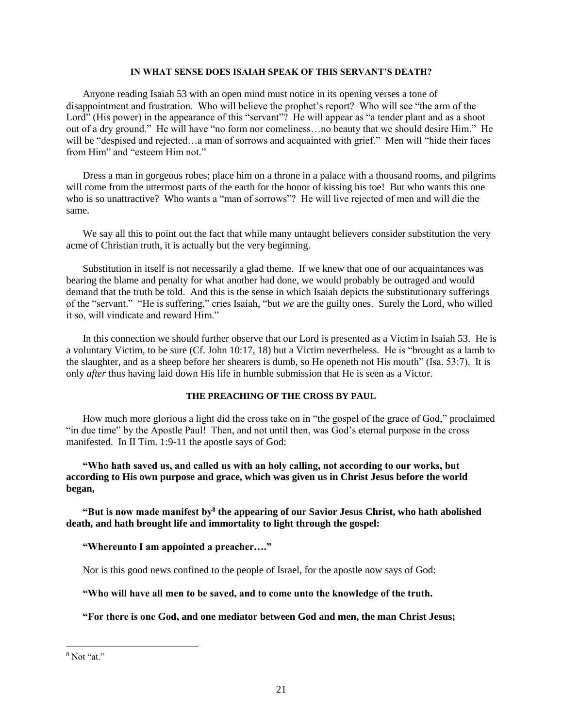## **IN WHAT SENSE DOES ISAIAH SPEAK OF THIS SERVANT'S DEATH?**

Anyone reading Isaiah 53 with an open mind must notice in its opening verses a tone of disappointment and frustration. Who will believe the prophet's report? Who will see "the arm of the Lord" (His power) in the appearance of this "servant"? He will appear as "a tender plant and as a shoot out of a dry ground." He will have "no form nor comeliness…no beauty that we should desire Him." He will be "despised and rejected...a man of sorrows and acquainted with grief." Men will "hide their faces" from Him" and "esteem Him not."

Dress a man in gorgeous robes; place him on a throne in a palace with a thousand rooms, and pilgrims will come from the uttermost parts of the earth for the honor of kissing his toe! But who wants this one who is so unattractive? Who wants a "man of sorrows"? He will live rejected of men and will die the same.

We say all this to point out the fact that while many untaught believers consider substitution the very acme of Christian truth, it is actually but the very beginning.

Substitution in itself is not necessarily a glad theme. If we knew that one of our acquaintances was bearing the blame and penalty for what another had done, we would probably be outraged and would demand that the truth be told. And this is the sense in which Isaiah depicts the substitutionary sufferings of the "servant." "He is suffering," cries Isaiah, "but *we* are the guilty ones. Surely the Lord, who willed it so, will vindicate and reward Him."

In this connection we should further observe that our Lord is presented as a Victim in Isaiah 53. He is a voluntary Victim, to be sure (Cf. John 10:17, 18) but a Victim nevertheless. He is "brought as a lamb to the slaughter, and as a sheep before her shearers is dumb, so He openeth not His mouth" (Isa. 53:7). It is only *after* thus having laid down His life in humble submission that He is seen as a Victor.

### **THE PREACHING OF THE CROSS BY PAUL**

How much more glorious a light did the cross take on in "the gospel of the grace of God," proclaimed "in due time" by the Apostle Paul! Then, and not until then, was God's eternal purpose in the cross manifested. In II Tim. 1:9-11 the apostle says of God:

**"Who hath saved us, and called us with an holy calling, not according to our works, but according to His own purpose and grace, which was given us in Christ Jesus before the world began,**

**"But is now made manifest by<sup>8</sup> the appearing of our Savior Jesus Christ, who hath abolished death, and hath brought life and immortality to light through the gospel:**

## **"Whereunto I am appointed a preacher…."**

Nor is this good news confined to the people of Israel, for the apostle now says of God:

### **"Who will have all men to be saved, and to come unto the knowledge of the truth.**

## **"For there is one God, and one mediator between God and men, the man Christ Jesus;**

 $8$  Not "at."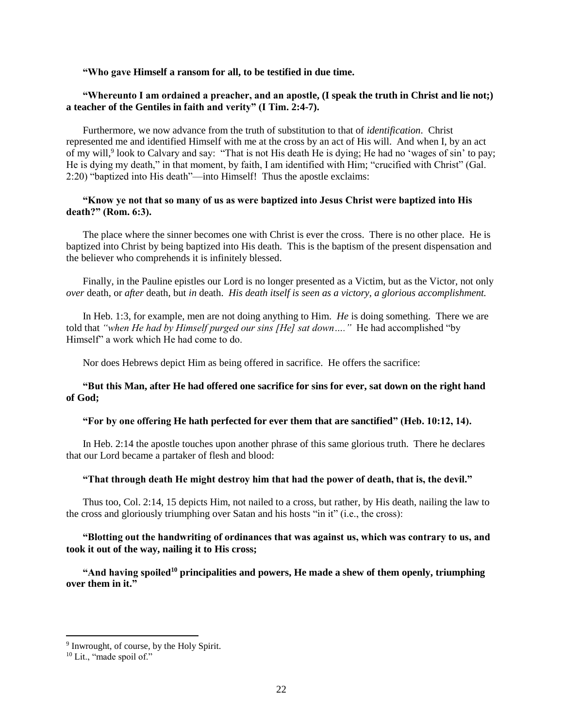**"Who gave Himself a ransom for all, to be testified in due time.** 

## **"Whereunto I am ordained a preacher, and an apostle, (I speak the truth in Christ and lie not;) a teacher of the Gentiles in faith and verity" (I Tim. 2:4-7).**

Furthermore, we now advance from the truth of substitution to that of *identification*. Christ represented me and identified Himself with me at the cross by an act of His will. And when I, by an act of my will, 9 look to Calvary and say: "That is not His death He is dying; He had no 'wages of sin' to pay; He is dying my death," in that moment, by faith, I am identified with Him; "crucified with Christ" (Gal. 2:20) "baptized into His death"—into Himself! Thus the apostle exclaims:

## **"Know ye not that so many of us as were baptized into Jesus Christ were baptized into His death?" (Rom. 6:3).**

The place where the sinner becomes one with Christ is ever the cross. There is no other place. He is baptized into Christ by being baptized into His death. This is the baptism of the present dispensation and the believer who comprehends it is infinitely blessed.

Finally, in the Pauline epistles our Lord is no longer presented as a Victim, but as the Victor, not only *over* death, or *after* death, but *in* death. *His death itself is seen as a victory, a glorious accomplishment.*

In Heb. 1:3, for example, men are not doing anything to Him. *He* is doing something. There we are told that *"when He had by Himself purged our sins [He] sat down…."* He had accomplished "by Himself" a work which He had come to do.

Nor does Hebrews depict Him as being offered in sacrifice. He offers the sacrifice:

## **"But this Man, after He had offered one sacrifice for sins for ever, sat down on the right hand of God;**

#### **"For by one offering He hath perfected for ever them that are sanctified" (Heb. 10:12, 14).**

In Heb. 2:14 the apostle touches upon another phrase of this same glorious truth. There he declares that our Lord became a partaker of flesh and blood:

#### **"That through death He might destroy him that had the power of death, that is, the devil."**

Thus too, Col. 2:14, 15 depicts Him, not nailed to a cross, but rather, by His death, nailing the law to the cross and gloriously triumphing over Satan and his hosts "in it" (i.e., the cross):

## **"Blotting out the handwriting of ordinances that was against us, which was contrary to us, and took it out of the way, nailing it to His cross;**

**"And having spoiled<sup>10</sup> principalities and powers, He made a shew of them openly, triumphing over them in it."**

 $\overline{a}$ 

<sup>&</sup>lt;sup>9</sup> Inwrought, of course, by the Holy Spirit.

<sup>&</sup>lt;sup>10</sup> Lit., "made spoil of."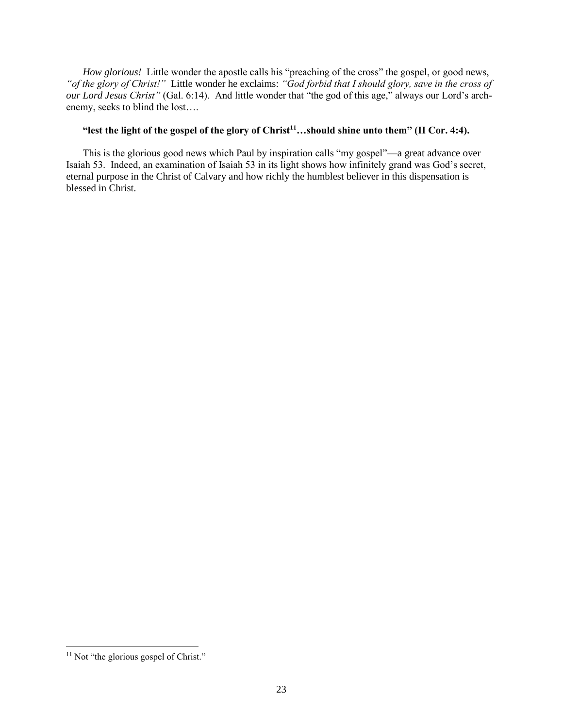*How glorious!* Little wonder the apostle calls his "preaching of the cross" the gospel, or good news, *"of the glory of Christ!"* Little wonder he exclaims: *"God forbid that I should glory, save in the cross of our Lord Jesus Christ"* (Gal. 6:14). And little wonder that "the god of this age," always our Lord's archenemy, seeks to blind the lost….

# **"lest the light of the gospel of the glory of Christ<sup>11</sup>…should shine unto them" (II Cor. 4:4).**

This is the glorious good news which Paul by inspiration calls "my gospel"—a great advance over Isaiah 53. Indeed, an examination of Isaiah 53 in its light shows how infinitely grand was God's secret, eternal purpose in the Christ of Calvary and how richly the humblest believer in this dispensation is blessed in Christ.

<sup>&</sup>lt;sup>11</sup> Not "the glorious gospel of Christ."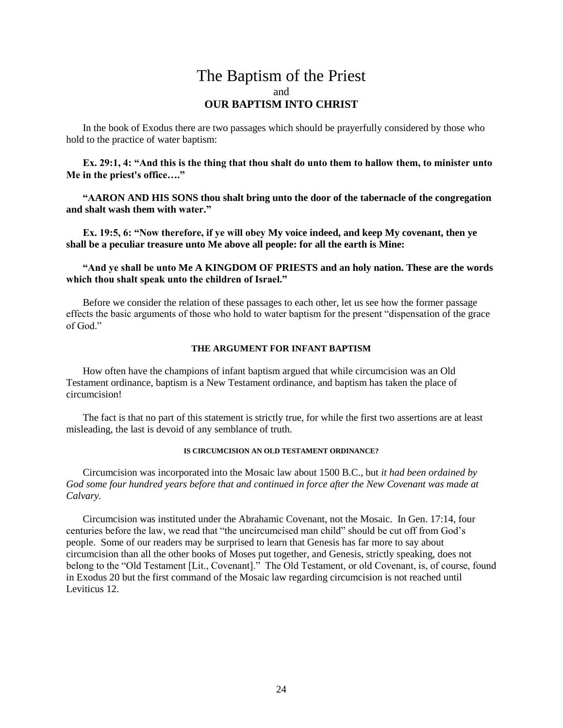## The Baptism of the Priest and **OUR BAPTISM INTO CHRIST**

In the book of Exodus there are two passages which should be prayerfully considered by those who hold to the practice of water baptism:

**Ex. 29:1, 4: "And this is the thing that thou shalt do unto them to hallow them, to minister unto Me in the priest's office…."**

**"AARON AND HIS SONS thou shalt bring unto the door of the tabernacle of the congregation and shalt wash them with water."**

**Ex. 19:5, 6: "Now therefore, if ye will obey My voice indeed, and keep My covenant, then ye shall be a peculiar treasure unto Me above all people: for all the earth is Mine:**

**"And ye shall be unto Me A KINGDOM OF PRIESTS and an holy nation. These are the words which thou shalt speak unto the children of Israel."**

Before we consider the relation of these passages to each other, let us see how the former passage effects the basic arguments of those who hold to water baptism for the present "dispensation of the grace of God."

## **THE ARGUMENT FOR INFANT BAPTISM**

How often have the champions of infant baptism argued that while circumcision was an Old Testament ordinance, baptism is a New Testament ordinance, and baptism has taken the place of circumcision!

The fact is that no part of this statement is strictly true, for while the first two assertions are at least misleading, the last is devoid of any semblance of truth.

#### **IS CIRCUMCISION AN OLD TESTAMENT ORDINANCE?**

Circumcision was incorporated into the Mosaic law about 1500 B.C., but *it had been ordained by God some four hundred years before that and continued in force after the New Covenant was made at Calvary.*

Circumcision was instituted under the Abrahamic Covenant, not the Mosaic. In Gen. 17:14, four centuries before the law, we read that "the uncircumcised man child" should be cut off from God's people. Some of our readers may be surprised to learn that Genesis has far more to say about circumcision than all the other books of Moses put together, and Genesis, strictly speaking, does not belong to the "Old Testament [Lit., Covenant]." The Old Testament, or old Covenant, is, of course, found in Exodus 20 but the first command of the Mosaic law regarding circumcision is not reached until Leviticus 12.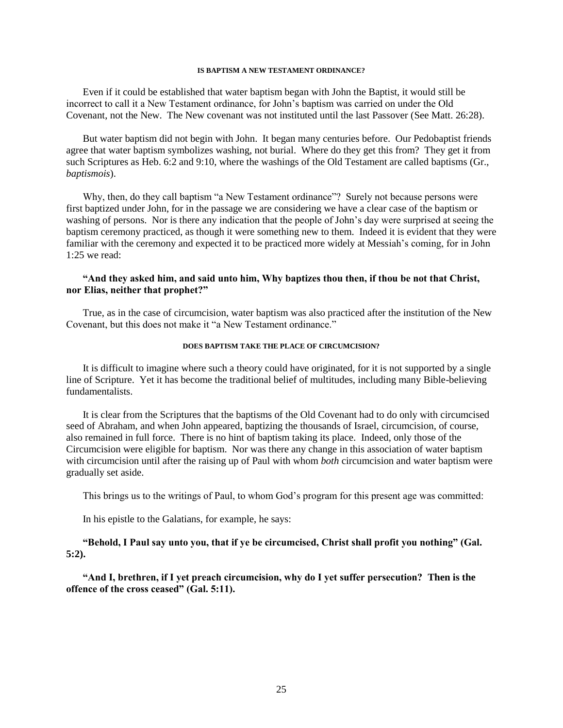#### **IS BAPTISM A NEW TESTAMENT ORDINANCE?**

Even if it could be established that water baptism began with John the Baptist, it would still be incorrect to call it a New Testament ordinance, for John's baptism was carried on under the Old Covenant, not the New. The New covenant was not instituted until the last Passover (See Matt. 26:28).

But water baptism did not begin with John. It began many centuries before. Our Pedobaptist friends agree that water baptism symbolizes washing, not burial. Where do they get this from? They get it from such Scriptures as Heb. 6:2 and 9:10, where the washings of the Old Testament are called baptisms (Gr., *baptismois*).

Why, then, do they call baptism "a New Testament ordinance"? Surely not because persons were first baptized under John, for in the passage we are considering we have a clear case of the baptism or washing of persons. Nor is there any indication that the people of John's day were surprised at seeing the baptism ceremony practiced, as though it were something new to them. Indeed it is evident that they were familiar with the ceremony and expected it to be practiced more widely at Messiah's coming, for in John 1:25 we read:

## **"And they asked him, and said unto him, Why baptizes thou then, if thou be not that Christ, nor Elias, neither that prophet?"**

True, as in the case of circumcision, water baptism was also practiced after the institution of the New Covenant, but this does not make it "a New Testament ordinance."

#### **DOES BAPTISM TAKE THE PLACE OF CIRCUMCISION?**

It is difficult to imagine where such a theory could have originated, for it is not supported by a single line of Scripture. Yet it has become the traditional belief of multitudes, including many Bible-believing fundamentalists.

It is clear from the Scriptures that the baptisms of the Old Covenant had to do only with circumcised seed of Abraham, and when John appeared, baptizing the thousands of Israel, circumcision, of course, also remained in full force. There is no hint of baptism taking its place. Indeed, only those of the Circumcision were eligible for baptism. Nor was there any change in this association of water baptism with circumcision until after the raising up of Paul with whom *both* circumcision and water baptism were gradually set aside.

This brings us to the writings of Paul, to whom God's program for this present age was committed:

In his epistle to the Galatians, for example, he says:

**"Behold, I Paul say unto you, that if ye be circumcised, Christ shall profit you nothing" (Gal. 5:2).**

**"And I, brethren, if I yet preach circumcision, why do I yet suffer persecution? Then is the offence of the cross ceased" (Gal. 5:11).**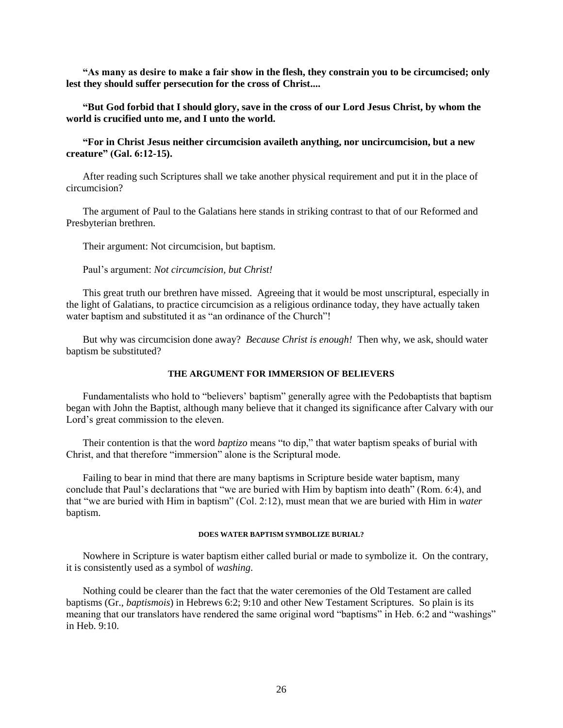**"As many as desire to make a fair show in the flesh, they constrain you to be circumcised; only lest they should suffer persecution for the cross of Christ....**

**"But God forbid that I should glory, save in the cross of our Lord Jesus Christ, by whom the world is crucified unto me, and I unto the world.** 

**"For in Christ Jesus neither circumcision availeth anything, nor uncircumcision, but a new creature" (Gal. 6:12-15).**

After reading such Scriptures shall we take another physical requirement and put it in the place of circumcision?

The argument of Paul to the Galatians here stands in striking contrast to that of our Reformed and Presbyterian brethren.

Their argument: Not circumcision, but baptism.

Paul's argument: *Not circumcision, but Christ!*

This great truth our brethren have missed. Agreeing that it would be most unscriptural, especially in the light of Galatians, to practice circumcision as a religious ordinance today, they have actually taken water baptism and substituted it as "an ordinance of the Church"!

But why was circumcision done away? *Because Christ is enough!* Then why, we ask, should water baptism be substituted?

#### **THE ARGUMENT FOR IMMERSION OF BELIEVERS**

Fundamentalists who hold to "believers' baptism" generally agree with the Pedobaptists that baptism began with John the Baptist, although many believe that it changed its significance after Calvary with our Lord's great commission to the eleven.

Their contention is that the word *baptizo* means "to dip," that water baptism speaks of burial with Christ, and that therefore "immersion" alone is the Scriptural mode.

Failing to bear in mind that there are many baptisms in Scripture beside water baptism, many conclude that Paul's declarations that "we are buried with Him by baptism into death" (Rom. 6:4), and that "we are buried with Him in baptism" (Col. 2:12), must mean that we are buried with Him in *water* baptism.

#### **DOES WATER BAPTISM SYMBOLIZE BURIAL?**

Nowhere in Scripture is water baptism either called burial or made to symbolize it. On the contrary, it is consistently used as a symbol of *washing*.

Nothing could be clearer than the fact that the water ceremonies of the Old Testament are called baptisms (Gr., *baptismois*) in Hebrews 6:2; 9:10 and other New Testament Scriptures. So plain is its meaning that our translators have rendered the same original word "baptisms" in Heb. 6:2 and "washings" in Heb. 9:10.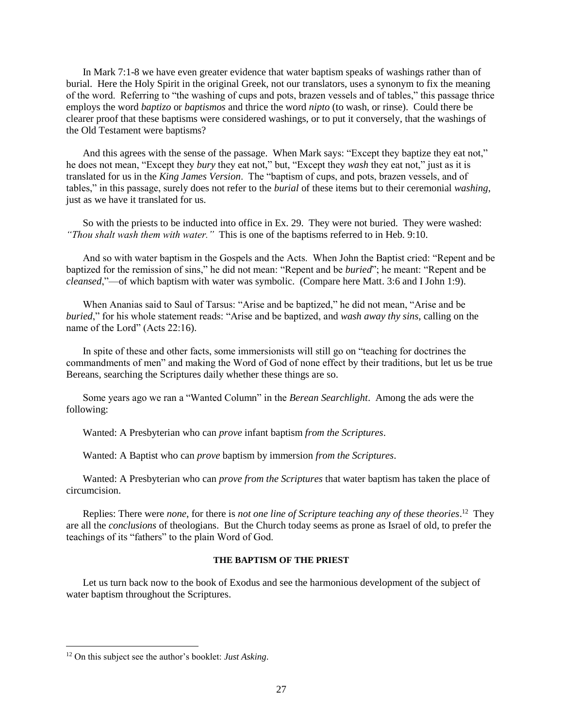In Mark 7:1-8 we have even greater evidence that water baptism speaks of washings rather than of burial. Here the Holy Spirit in the original Greek, not our translators, uses a synonym to fix the meaning of the word. Referring to "the washing of cups and pots, brazen vessels and of tables," this passage thrice employs the word *baptizo* or *baptismos* and thrice the word *nipto* (to wash, or rinse). Could there be clearer proof that these baptisms were considered washings, or to put it conversely, that the washings of the Old Testament were baptisms?

And this agrees with the sense of the passage. When Mark says: "Except they baptize they eat not," he does not mean, "Except they *bury* they eat not," but, "Except they *wash* they eat not," just as it is translated for us in the *King James Version*. The "baptism of cups, and pots, brazen vessels, and of tables," in this passage, surely does not refer to the *burial* of these items but to their ceremonial *washing*, just as we have it translated for us.

So with the priests to be inducted into office in Ex. 29. They were not buried. They were washed: *"Thou shalt wash them with water."* This is one of the baptisms referred to in Heb. 9:10.

And so with water baptism in the Gospels and the Acts. When John the Baptist cried: "Repent and be baptized for the remission of sins," he did not mean: "Repent and be *buried*"; he meant: "Repent and be *cleansed*,"—of which baptism with water was symbolic. (Compare here Matt. 3:6 and I John 1:9).

When Ananias said to Saul of Tarsus: "Arise and be baptized," he did not mean, "Arise and be *buried*," for his whole statement reads: "Arise and be baptized, and *wash away thy sins*, calling on the name of the Lord" (Acts 22:16).

In spite of these and other facts, some immersionists will still go on "teaching for doctrines the commandments of men" and making the Word of God of none effect by their traditions, but let us be true Bereans, searching the Scriptures daily whether these things are so.

Some years ago we ran a "Wanted Column" in the *Berean Searchlight*. Among the ads were the following:

Wanted: A Presbyterian who can *prove* infant baptism *from the Scriptures*.

Wanted: A Baptist who can *prove* baptism by immersion *from the Scriptures*.

Wanted: A Presbyterian who can *prove from the Scriptures* that water baptism has taken the place of circumcision.

Replies: There were *none*, for there is *not one line of Scripture teaching any of these theories*. 12 They are all the *conclusions* of theologians. But the Church today seems as prone as Israel of old, to prefer the teachings of its "fathers" to the plain Word of God.

#### **THE BAPTISM OF THE PRIEST**

Let us turn back now to the book of Exodus and see the harmonious development of the subject of water baptism throughout the Scriptures.

<sup>12</sup> On this subject see the author's booklet: *Just Asking*.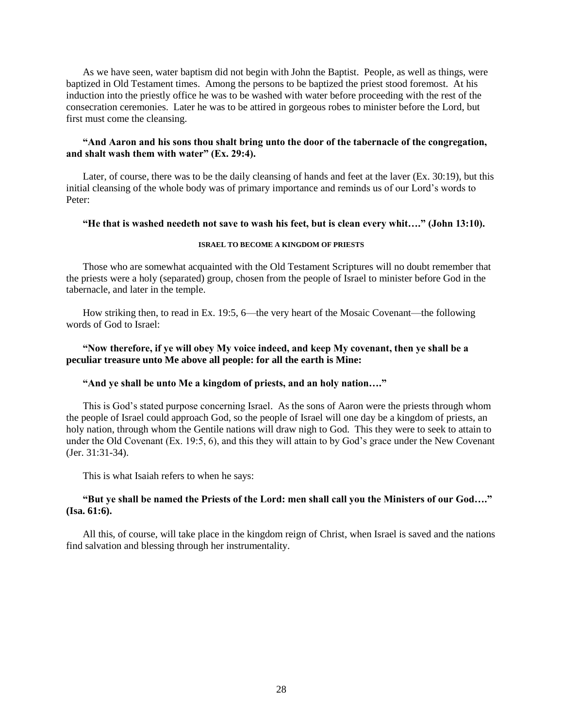As we have seen, water baptism did not begin with John the Baptist. People, as well as things, were baptized in Old Testament times. Among the persons to be baptized the priest stood foremost. At his induction into the priestly office he was to be washed with water before proceeding with the rest of the consecration ceremonies. Later he was to be attired in gorgeous robes to minister before the Lord, but first must come the cleansing.

## **"And Aaron and his sons thou shalt bring unto the door of the tabernacle of the congregation, and shalt wash them with water" (Ex. 29:4).**

Later, of course, there was to be the daily cleansing of hands and feet at the laver (Ex. 30:19), but this initial cleansing of the whole body was of primary importance and reminds us of our Lord's words to Peter:

#### **"He that is washed needeth not save to wash his feet, but is clean every whit…." (John 13:10).**

#### **ISRAEL TO BECOME A KINGDOM OF PRIESTS**

Those who are somewhat acquainted with the Old Testament Scriptures will no doubt remember that the priests were a holy (separated) group, chosen from the people of Israel to minister before God in the tabernacle, and later in the temple.

How striking then, to read in Ex. 19:5, 6—the very heart of the Mosaic Covenant—the following words of God to Israel:

## **"Now therefore, if ye will obey My voice indeed, and keep My covenant, then ye shall be a peculiar treasure unto Me above all people: for all the earth is Mine:**

## **"And ye shall be unto Me a kingdom of priests, and an holy nation…."**

This is God's stated purpose concerning Israel. As the sons of Aaron were the priests through whom the people of Israel could approach God, so the people of Israel will one day be a kingdom of priests, an holy nation, through whom the Gentile nations will draw nigh to God. This they were to seek to attain to under the Old Covenant (Ex. 19:5, 6), and this they will attain to by God's grace under the New Covenant (Jer. 31:31-34).

This is what Isaiah refers to when he says:

### **"But ye shall be named the Priests of the Lord: men shall call you the Ministers of our God…." (Isa. 61:6).**

All this, of course, will take place in the kingdom reign of Christ, when Israel is saved and the nations find salvation and blessing through her instrumentality.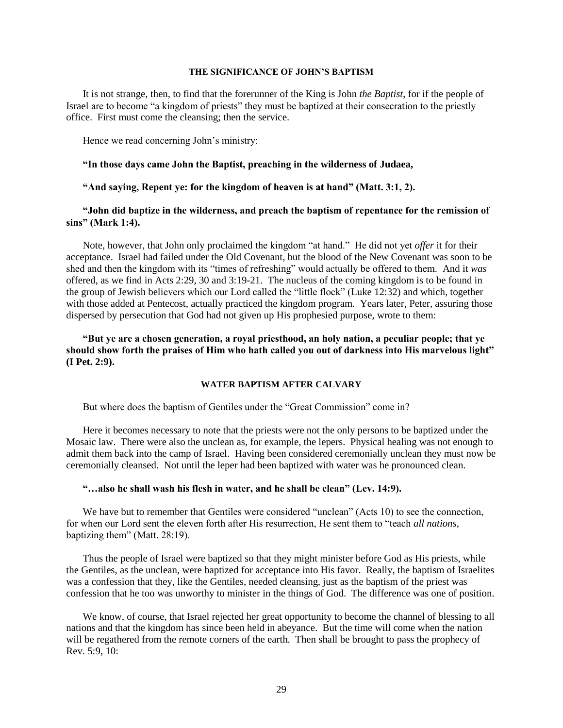## **THE SIGNIFICANCE OF JOHN'S BAPTISM**

It is not strange, then, to find that the forerunner of the King is John *the Baptist*, for if the people of Israel are to become "a kingdom of priests" they must be baptized at their consecration to the priestly office. First must come the cleansing; then the service.

Hence we read concerning John's ministry:

### **"In those days came John the Baptist, preaching in the wilderness of Judaea,**

**"And saying, Repent ye: for the kingdom of heaven is at hand" (Matt. 3:1, 2).**

### **"John did baptize in the wilderness, and preach the baptism of repentance for the remission of sins" (Mark 1:4).**

Note, however, that John only proclaimed the kingdom "at hand." He did not yet *offer* it for their acceptance. Israel had failed under the Old Covenant, but the blood of the New Covenant was soon to be shed and then the kingdom with its "times of refreshing" would actually be offered to them. And it *was* offered, as we find in Acts 2:29, 30 and 3:19-21. The nucleus of the coming kingdom is to be found in the group of Jewish believers which our Lord called the "little flock" (Luke 12:32) and which, together with those added at Pentecost, actually practiced the kingdom program. Years later, Peter, assuring those dispersed by persecution that God had not given up His prophesied purpose, wrote to them:

## **"But ye are a chosen generation, a royal priesthood, an holy nation, a peculiar people; that ye should show forth the praises of Him who hath called you out of darkness into His marvelous light" (I Pet. 2:9).**

### **WATER BAPTISM AFTER CALVARY**

But where does the baptism of Gentiles under the "Great Commission" come in?

Here it becomes necessary to note that the priests were not the only persons to be baptized under the Mosaic law. There were also the unclean as, for example, the lepers. Physical healing was not enough to admit them back into the camp of Israel. Having been considered ceremonially unclean they must now be ceremonially cleansed. Not until the leper had been baptized with water was he pronounced clean.

#### **"…also he shall wash his flesh in water, and he shall be clean" (Lev. 14:9).**

We have but to remember that Gentiles were considered "unclean" (Acts 10) to see the connection, for when our Lord sent the eleven forth after His resurrection, He sent them to "teach *all nations*, baptizing them" (Matt. 28:19).

Thus the people of Israel were baptized so that they might minister before God as His priests, while the Gentiles, as the unclean, were baptized for acceptance into His favor. Really, the baptism of Israelites was a confession that they, like the Gentiles, needed cleansing, just as the baptism of the priest was confession that he too was unworthy to minister in the things of God. The difference was one of position.

We know, of course, that Israel rejected her great opportunity to become the channel of blessing to all nations and that the kingdom has since been held in abeyance. But the time will come when the nation will be regathered from the remote corners of the earth. Then shall be brought to pass the prophecy of Rev. 5:9, 10: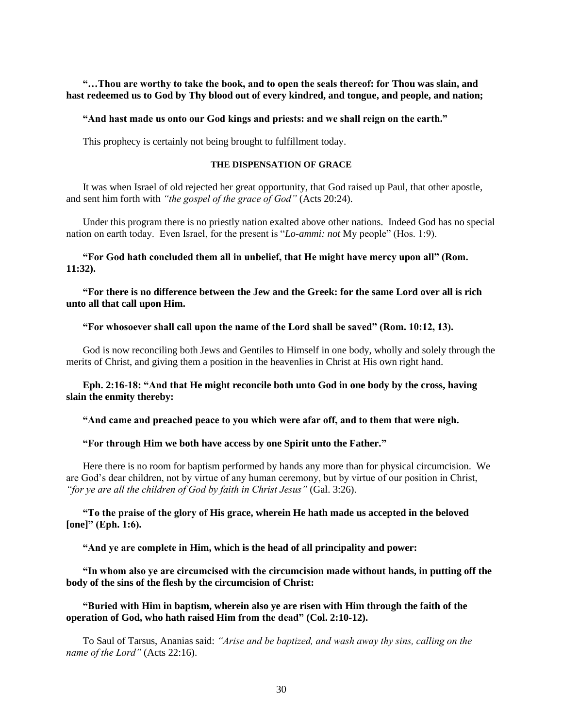**"…Thou are worthy to take the book, and to open the seals thereof: for Thou was slain, and hast redeemed us to God by Thy blood out of every kindred, and tongue, and people, and nation;**

#### **"And hast made us onto our God kings and priests: and we shall reign on the earth."**

This prophecy is certainly not being brought to fulfillment today.

#### **THE DISPENSATION OF GRACE**

It was when Israel of old rejected her great opportunity, that God raised up Paul, that other apostle, and sent him forth with *"the gospel of the grace of God"* (Acts 20:24).

Under this program there is no priestly nation exalted above other nations. Indeed God has no special nation on earth today. Even Israel, for the present is "*Lo-ammi: not* My people" (Hos. 1:9).

**"For God hath concluded them all in unbelief, that He might have mercy upon all" (Rom. 11:32).**

**"For there is no difference between the Jew and the Greek: for the same Lord over all is rich unto all that call upon Him.**

**"For whosoever shall call upon the name of the Lord shall be saved" (Rom. 10:12, 13).**

God is now reconciling both Jews and Gentiles to Himself in one body, wholly and solely through the merits of Christ, and giving them a position in the heavenlies in Christ at His own right hand.

## **Eph. 2:16-18: "And that He might reconcile both unto God in one body by the cross, having slain the enmity thereby:**

**"And came and preached peace to you which were afar off, and to them that were nigh.**

#### **"For through Him we both have access by one Spirit unto the Father."**

Here there is no room for baptism performed by hands any more than for physical circumcision. We are God's dear children, not by virtue of any human ceremony, but by virtue of our position in Christ, *"for ye are all the children of God by faith in Christ Jesus"* (Gal. 3:26).

**"To the praise of the glory of His grace, wherein He hath made us accepted in the beloved [one]" (Eph. 1:6).**

**"And ye are complete in Him, which is the head of all principality and power:**

**"In whom also ye are circumcised with the circumcision made without hands, in putting off the body of the sins of the flesh by the circumcision of Christ:**

**"Buried with Him in baptism, wherein also ye are risen with Him through the faith of the operation of God, who hath raised Him from the dead" (Col. 2:10-12).** 

To Saul of Tarsus, Ananias said: *"Arise and be baptized, and wash away thy sins, calling on the name of the Lord"* (Acts 22:16).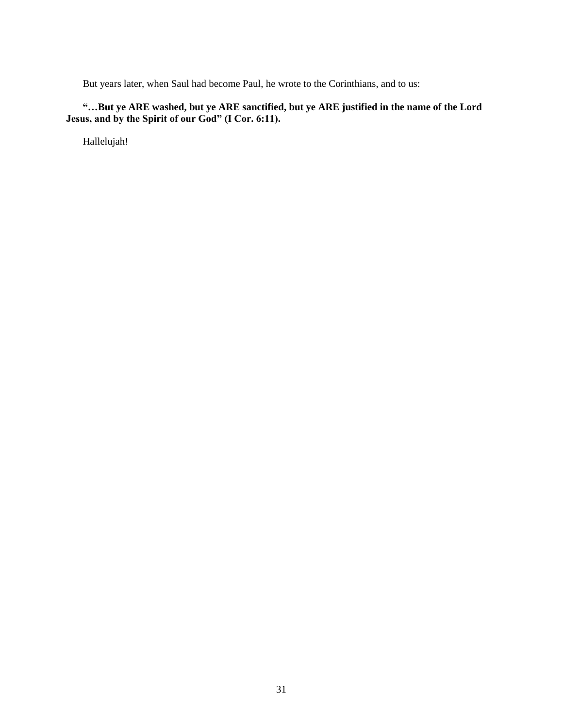But years later, when Saul had become Paul, he wrote to the Corinthians, and to us:

## **"…But ye ARE washed, but ye ARE sanctified, but ye ARE justified in the name of the Lord Jesus, and by the Spirit of our God" (I Cor. 6:11).**

Hallelujah!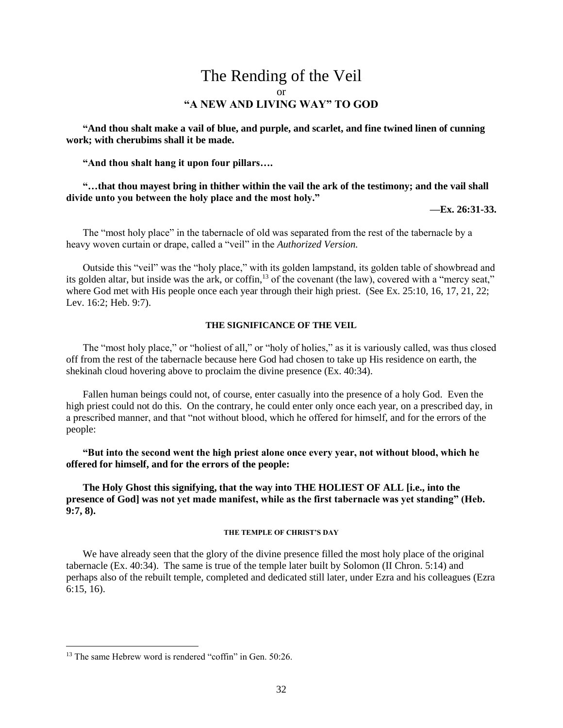## The Rending of the Veil or **"A NEW AND LIVING WAY" TO GOD**

**"And thou shalt make a vail of blue, and purple, and scarlet, and fine twined linen of cunning work; with cherubims shall it be made.**

**"And thou shalt hang it upon four pillars….**

**"…that thou mayest bring in thither within the vail the ark of the testimony; and the vail shall divide unto you between the holy place and the most holy."**

**—Ex. 26:31-33.**

The "most holy place" in the tabernacle of old was separated from the rest of the tabernacle by a heavy woven curtain or drape, called a "veil" in the *Authorized Version.*

Outside this "veil" was the "holy place," with its golden lampstand, its golden table of showbread and its golden altar, but inside was the ark, or coffin, $13$  of the covenant (the law), covered with a "mercy seat," where God met with His people once each year through their high priest. (See Ex. 25:10, 16, 17, 21, 22; Lev. 16:2; Heb. 9:7).

#### **THE SIGNIFICANCE OF THE VEIL**

The "most holy place," or "holiest of all," or "holy of holies," as it is variously called, was thus closed off from the rest of the tabernacle because here God had chosen to take up His residence on earth, the shekinah cloud hovering above to proclaim the divine presence (Ex. 40:34).

Fallen human beings could not, of course, enter casually into the presence of a holy God. Even the high priest could not do this. On the contrary, he could enter only once each year, on a prescribed day, in a prescribed manner, and that "not without blood, which he offered for himself, and for the errors of the people:

**"But into the second went the high priest alone once every year, not without blood, which he offered for himself, and for the errors of the people:** 

**The Holy Ghost this signifying, that the way into THE HOLIEST OF ALL [i.e., into the presence of God] was not yet made manifest, while as the first tabernacle was yet standing" (Heb. 9:7, 8).**

#### **THE TEMPLE OF CHRIST'S DAY**

We have already seen that the glory of the divine presence filled the most holy place of the original tabernacle (Ex. 40:34). The same is true of the temple later built by Solomon (II Chron. 5:14) and perhaps also of the rebuilt temple, completed and dedicated still later, under Ezra and his colleagues (Ezra 6:15, 16).

<sup>&</sup>lt;sup>13</sup> The same Hebrew word is rendered "coffin" in Gen. 50:26.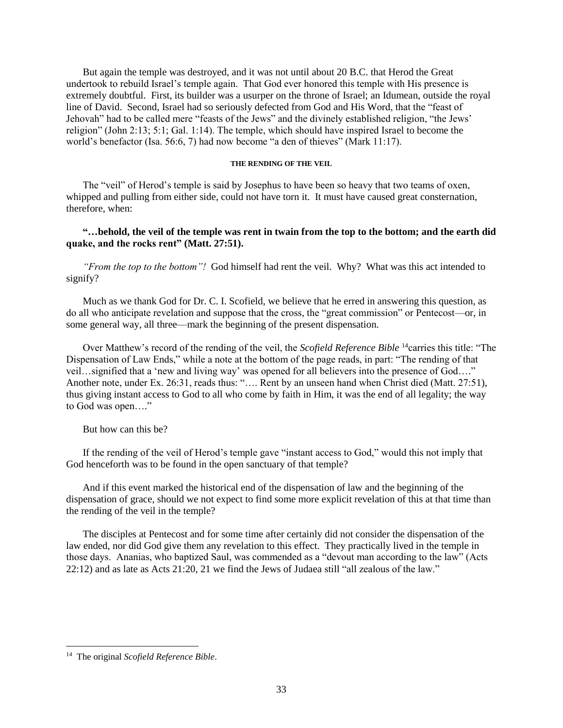But again the temple was destroyed, and it was not until about 20 B.C. that Herod the Great undertook to rebuild Israel's temple again. That God ever honored this temple with His presence is extremely doubtful. First, its builder was a usurper on the throne of Israel; an Idumean, outside the royal line of David. Second, Israel had so seriously defected from God and His Word, that the "feast of Jehovah" had to be called mere "feasts of the Jews" and the divinely established religion, "the Jews' religion" (John 2:13; 5:1; Gal. 1:14). The temple, which should have inspired Israel to become the world's benefactor (Isa. 56:6, 7) had now become "a den of thieves" (Mark 11:17).

#### **THE RENDING OF THE VEIL**

The "veil" of Herod's temple is said by Josephus to have been so heavy that two teams of oxen, whipped and pulling from either side, could not have torn it. It must have caused great consternation, therefore, when:

## **"…behold, the veil of the temple was rent in twain from the top to the bottom; and the earth did quake, and the rocks rent" (Matt. 27:51).**

*"From the top to the bottom"!* God himself had rent the veil. Why? What was this act intended to signify?

Much as we thank God for Dr. C. I. Scofield, we believe that he erred in answering this question, as do all who anticipate revelation and suppose that the cross, the "great commission" or Pentecost—or, in some general way, all three—mark the beginning of the present dispensation.

Over Matthew's record of the rending of the veil, the *Scofield Reference Bible* <sup>14</sup>carries this title: "The Dispensation of Law Ends," while a note at the bottom of the page reads, in part: "The rending of that veil…signified that a 'new and living way' was opened for all believers into the presence of God…." Another note, under Ex. 26:31, reads thus: "…. Rent by an unseen hand when Christ died (Matt. 27:51), thus giving instant access to God to all who come by faith in Him, it was the end of all legality; the way to God was open…."

But how can this be?

If the rending of the veil of Herod's temple gave "instant access to God," would this not imply that God henceforth was to be found in the open sanctuary of that temple?

And if this event marked the historical end of the dispensation of law and the beginning of the dispensation of grace, should we not expect to find some more explicit revelation of this at that time than the rending of the veil in the temple?

The disciples at Pentecost and for some time after certainly did not consider the dispensation of the law ended, nor did God give them any revelation to this effect. They practically lived in the temple in those days. Ananias, who baptized Saul, was commended as a "devout man according to the law" (Acts 22:12) and as late as Acts 21:20, 21 we find the Jews of Judaea still "all zealous of the law."

<sup>14</sup> The original *Scofield Reference Bible*.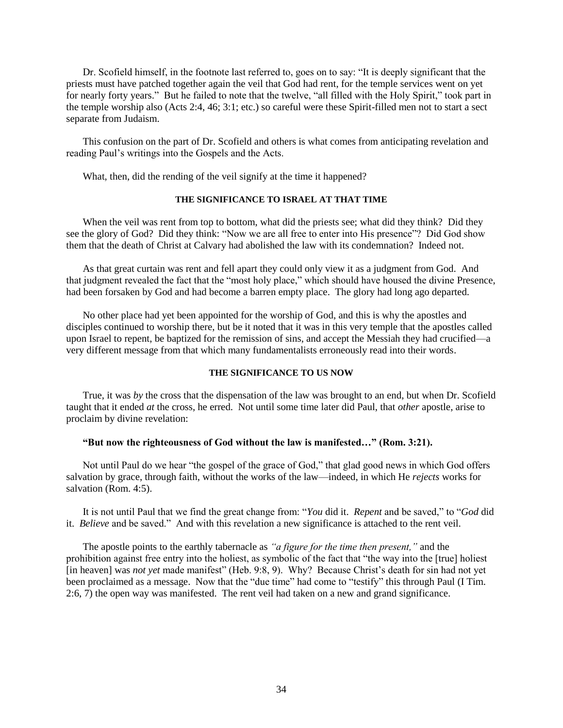Dr. Scofield himself, in the footnote last referred to, goes on to say: "It is deeply significant that the priests must have patched together again the veil that God had rent, for the temple services went on yet for nearly forty years." But he failed to note that the twelve, "all filled with the Holy Spirit," took part in the temple worship also (Acts 2:4, 46; 3:1; etc.) so careful were these Spirit-filled men not to start a sect separate from Judaism.

This confusion on the part of Dr. Scofield and others is what comes from anticipating revelation and reading Paul's writings into the Gospels and the Acts.

What, then, did the rending of the veil signify at the time it happened?

### **THE SIGNIFICANCE TO ISRAEL AT THAT TIME**

When the veil was rent from top to bottom, what did the priests see; what did they think? Did they see the glory of God? Did they think: "Now we are all free to enter into His presence"? Did God show them that the death of Christ at Calvary had abolished the law with its condemnation? Indeed not.

As that great curtain was rent and fell apart they could only view it as a judgment from God. And that judgment revealed the fact that the "most holy place," which should have housed the divine Presence, had been forsaken by God and had become a barren empty place. The glory had long ago departed.

No other place had yet been appointed for the worship of God, and this is why the apostles and disciples continued to worship there, but be it noted that it was in this very temple that the apostles called upon Israel to repent, be baptized for the remission of sins, and accept the Messiah they had crucified—a very different message from that which many fundamentalists erroneously read into their words.

#### **THE SIGNIFICANCE TO US NOW**

True, it was *by* the cross that the dispensation of the law was brought to an end, but when Dr. Scofield taught that it ended *at* the cross, he erred. Not until some time later did Paul, that *other* apostle, arise to proclaim by divine revelation:

#### **"But now the righteousness of God without the law is manifested…" (Rom. 3:21).**

Not until Paul do we hear "the gospel of the grace of God," that glad good news in which God offers salvation by grace, through faith, without the works of the law—indeed, in which He *rejects* works for salvation (Rom. 4:5).

It is not until Paul that we find the great change from: "*You* did it. *Repent* and be saved," to "*God* did it. *Believe* and be saved." And with this revelation a new significance is attached to the rent veil.

The apostle points to the earthly tabernacle as *"a figure for the time then present,"* and the prohibition against free entry into the holiest, as symbolic of the fact that "the way into the [true] holiest [in heaven] was *not yet* made manifest" (Heb. 9:8, 9). Why? Because Christ's death for sin had not yet been proclaimed as a message. Now that the "due time" had come to "testify" this through Paul (I Tim. 2:6, 7) the open way was manifested. The rent veil had taken on a new and grand significance.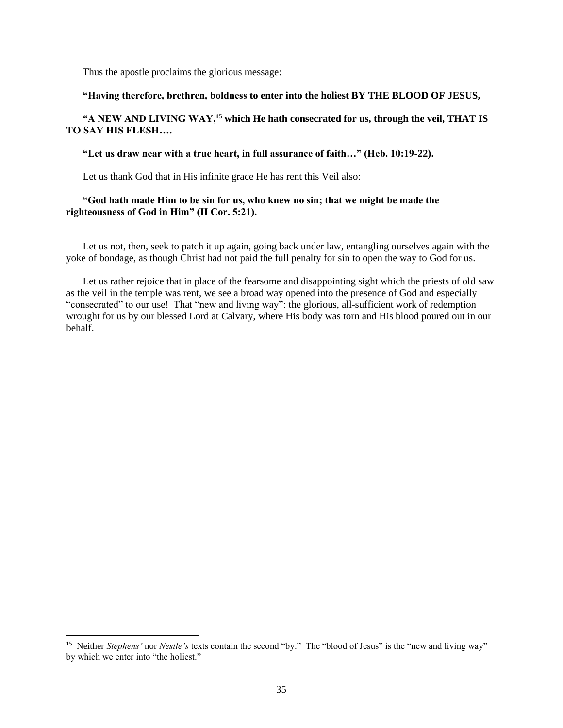Thus the apostle proclaims the glorious message:

#### **"Having therefore, brethren, boldness to enter into the holiest BY THE BLOOD OF JESUS,**

## **"A NEW AND LIVING WAY,<sup>15</sup> which He hath consecrated for us, through the veil, THAT IS TO SAY HIS FLESH….**

## **"Let us draw near with a true heart, in full assurance of faith…" (Heb. 10:19-22).**

Let us thank God that in His infinite grace He has rent this Veil also:

## **"God hath made Him to be sin for us, who knew no sin; that we might be made the righteousness of God in Him" (II Cor. 5:21).**

Let us not, then, seek to patch it up again, going back under law, entangling ourselves again with the yoke of bondage, as though Christ had not paid the full penalty for sin to open the way to God for us.

Let us rather rejoice that in place of the fearsome and disappointing sight which the priests of old saw as the veil in the temple was rent, we see a broad way opened into the presence of God and especially "consecrated" to our use! That "new and living way": the glorious, all-sufficient work of redemption wrought for us by our blessed Lord at Calvary, where His body was torn and His blood poured out in our behalf.

 $\overline{a}$ 

<sup>&</sup>lt;sup>15</sup> Neither *Stephens'* nor *Nestle's* texts contain the second "by." The "blood of Jesus" is the "new and living way" by which we enter into "the holiest."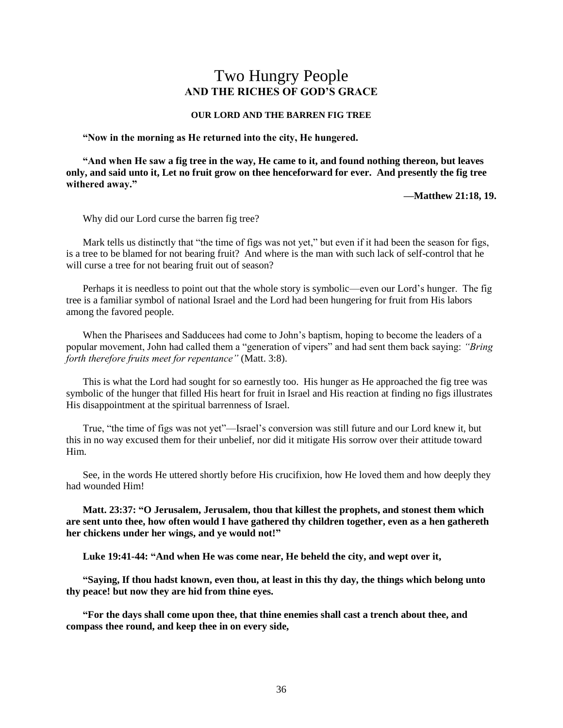## Two Hungry People **AND THE RICHES OF GOD'S GRACE**

#### **OUR LORD AND THE BARREN FIG TREE**

**"Now in the morning as He returned into the city, He hungered.**

**"And when He saw a fig tree in the way, He came to it, and found nothing thereon, but leaves only, and said unto it, Let no fruit grow on thee henceforward for ever. And presently the fig tree withered away."**

**—Matthew 21:18, 19.**

Why did our Lord curse the barren fig tree?

Mark tells us distinctly that "the time of figs was not yet," but even if it had been the season for figs, is a tree to be blamed for not bearing fruit? And where is the man with such lack of self-control that he will curse a tree for not bearing fruit out of season?

Perhaps it is needless to point out that the whole story is symbolic—even our Lord's hunger. The fig tree is a familiar symbol of national Israel and the Lord had been hungering for fruit from His labors among the favored people.

When the Pharisees and Sadducees had come to John's baptism, hoping to become the leaders of a popular movement, John had called them a "generation of vipers" and had sent them back saying: *"Bring forth therefore fruits meet for repentance"* (Matt. 3:8).

This is what the Lord had sought for so earnestly too. His hunger as He approached the fig tree was symbolic of the hunger that filled His heart for fruit in Israel and His reaction at finding no figs illustrates His disappointment at the spiritual barrenness of Israel.

True, "the time of figs was not yet"—Israel's conversion was still future and our Lord knew it, but this in no way excused them for their unbelief, nor did it mitigate His sorrow over their attitude toward Him.

See, in the words He uttered shortly before His crucifixion, how He loved them and how deeply they had wounded Him!

**Matt. 23:37: "O Jerusalem, Jerusalem, thou that killest the prophets, and stonest them which are sent unto thee, how often would I have gathered thy children together, even as a hen gathereth her chickens under her wings, and ye would not!"**

**Luke 19:41-44: "And when He was come near, He beheld the city, and wept over it,**

**"Saying, If thou hadst known, even thou, at least in this thy day, the things which belong unto thy peace! but now they are hid from thine eyes.**

**"For the days shall come upon thee, that thine enemies shall cast a trench about thee, and compass thee round, and keep thee in on every side,**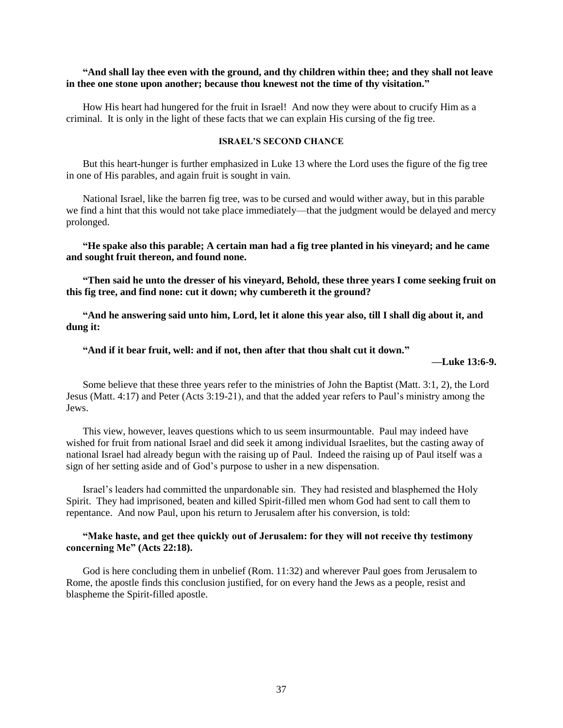# **"And shall lay thee even with the ground, and thy children within thee; and they shall not leave in thee one stone upon another; because thou knewest not the time of thy visitation."**

How His heart had hungered for the fruit in Israel! And now they were about to crucify Him as a criminal. It is only in the light of these facts that we can explain His cursing of the fig tree.

#### **ISRAEL'S SECOND CHANCE**

But this heart-hunger is further emphasized in Luke 13 where the Lord uses the figure of the fig tree in one of His parables, and again fruit is sought in vain.

National Israel, like the barren fig tree, was to be cursed and would wither away, but in this parable we find a hint that this would not take place immediately—that the judgment would be delayed and mercy prolonged.

**"He spake also this parable; A certain man had a fig tree planted in his vineyard; and he came and sought fruit thereon, and found none.**

**"Then said he unto the dresser of his vineyard, Behold, these three years I come seeking fruit on this fig tree, and find none: cut it down; why cumbereth it the ground?**

**"And he answering said unto him, Lord, let it alone this year also, till I shall dig about it, and dung it:**

#### **"And if it bear fruit, well: and if not, then after that thou shalt cut it down."**

**—Luke 13:6-9.**

Some believe that these three years refer to the ministries of John the Baptist (Matt. 3:1, 2), the Lord Jesus (Matt. 4:17) and Peter (Acts 3:19-21), and that the added year refers to Paul's ministry among the Jews.

This view, however, leaves questions which to us seem insurmountable. Paul may indeed have wished for fruit from national Israel and did seek it among individual Israelites, but the casting away of national Israel had already begun with the raising up of Paul. Indeed the raising up of Paul itself was a sign of her setting aside and of God's purpose to usher in a new dispensation.

Israel's leaders had committed the unpardonable sin. They had resisted and blasphemed the Holy Spirit. They had imprisoned, beaten and killed Spirit-filled men whom God had sent to call them to repentance. And now Paul, upon his return to Jerusalem after his conversion, is told:

# **"Make haste, and get thee quickly out of Jerusalem: for they will not receive thy testimony concerning Me" (Acts 22:18).**

God is here concluding them in unbelief (Rom. 11:32) and wherever Paul goes from Jerusalem to Rome, the apostle finds this conclusion justified, for on every hand the Jews as a people, resist and blaspheme the Spirit-filled apostle.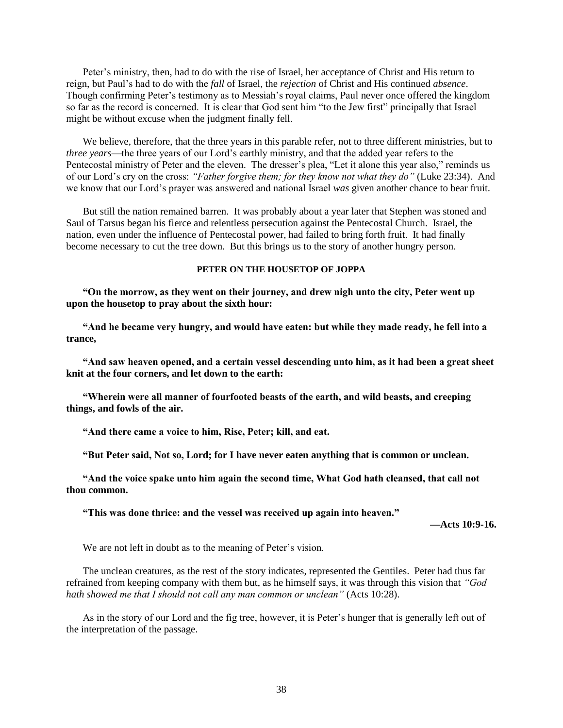Peter's ministry, then, had to do with the rise of Israel, her acceptance of Christ and His return to reign, but Paul's had to do with the *fall* of Israel, the *rejection* of Christ and His continued *absence*. Though confirming Peter's testimony as to Messiah's royal claims, Paul never once offered the kingdom so far as the record is concerned. It is clear that God sent him "to the Jew first" principally that Israel might be without excuse when the judgment finally fell.

We believe, therefore, that the three years in this parable refer, not to three different ministries, but to *three years*—the three years of our Lord's earthly ministry, and that the added year refers to the Pentecostal ministry of Peter and the eleven. The dresser's plea, "Let it alone this year also," reminds us of our Lord's cry on the cross: *"Father forgive them; for they know not what they do"* (Luke 23:34). And we know that our Lord's prayer was answered and national Israel *was* given another chance to bear fruit.

But still the nation remained barren. It was probably about a year later that Stephen was stoned and Saul of Tarsus began his fierce and relentless persecution against the Pentecostal Church. Israel, the nation, even under the influence of Pentecostal power, had failed to bring forth fruit. It had finally become necessary to cut the tree down. But this brings us to the story of another hungry person.

#### **PETER ON THE HOUSETOP OF JOPPA**

**"On the morrow, as they went on their journey, and drew nigh unto the city, Peter went up upon the housetop to pray about the sixth hour:**

**"And he became very hungry, and would have eaten: but while they made ready, he fell into a trance,**

**"And saw heaven opened, and a certain vessel descending unto him, as it had been a great sheet knit at the four corners, and let down to the earth:**

**"Wherein were all manner of fourfooted beasts of the earth, and wild beasts, and creeping things, and fowls of the air.**

**"And there came a voice to him, Rise, Peter; kill, and eat.**

**"But Peter said, Not so, Lord; for I have never eaten anything that is common or unclean.**

**"And the voice spake unto him again the second time, What God hath cleansed, that call not thou common.**

**"This was done thrice: and the vessel was received up again into heaven."**

**—Acts 10:9-16.**

We are not left in doubt as to the meaning of Peter's vision.

The unclean creatures, as the rest of the story indicates, represented the Gentiles. Peter had thus far refrained from keeping company with them but, as he himself says, it was through this vision that *"God hath showed me that I should not call any man common or unclean"* (Acts 10:28).

As in the story of our Lord and the fig tree, however, it is Peter's hunger that is generally left out of the interpretation of the passage.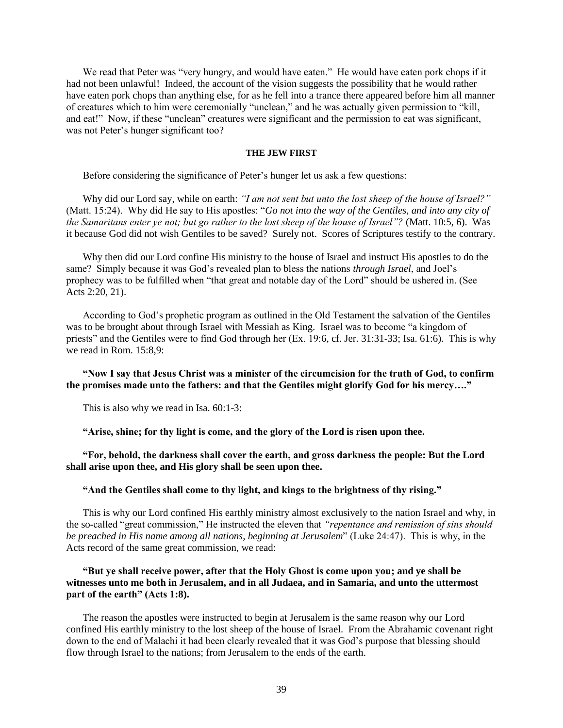We read that Peter was "very hungry, and would have eaten." He would have eaten pork chops if it had not been unlawful! Indeed, the account of the vision suggests the possibility that he would rather have eaten pork chops than anything else, for as he fell into a trance there appeared before him all manner of creatures which to him were ceremonially "unclean," and he was actually given permission to "kill, and eat!" Now, if these "unclean" creatures were significant and the permission to eat was significant, was not Peter's hunger significant too?

#### **THE JEW FIRST**

Before considering the significance of Peter's hunger let us ask a few questions:

Why did our Lord say, while on earth: *"I am not sent but unto the lost sheep of the house of Israel?"* (Matt. 15:24). Why did He say to His apostles: "*Go not into the way of the Gentiles, and into any city of the Samaritans enter ye not; but go rather to the lost sheep of the house of Israel"?* (Matt. 10:5, 6). Was it because God did not wish Gentiles to be saved? Surely not. Scores of Scriptures testify to the contrary.

Why then did our Lord confine His ministry to the house of Israel and instruct His apostles to do the same? Simply because it was God's revealed plan to bless the nations *through Israel*, and Joel's prophecy was to be fulfilled when "that great and notable day of the Lord" should be ushered in. (See Acts 2:20, 21).

According to God's prophetic program as outlined in the Old Testament the salvation of the Gentiles was to be brought about through Israel with Messiah as King. Israel was to become "a kingdom of priests" and the Gentiles were to find God through her (Ex. 19:6, cf. Jer. 31:31-33; Isa. 61:6). This is why we read in Rom. 15:8,9:

# **"Now I say that Jesus Christ was a minister of the circumcision for the truth of God, to confirm the promises made unto the fathers: and that the Gentiles might glorify God for his mercy…."**

This is also why we read in Isa. 60:1-3:

**"Arise, shine; for thy light is come, and the glory of the Lord is risen upon thee.** 

**"For, behold, the darkness shall cover the earth, and gross darkness the people: But the Lord shall arise upon thee, and His glory shall be seen upon thee.**

#### **"And the Gentiles shall come to thy light, and kings to the brightness of thy rising."**

This is why our Lord confined His earthly ministry almost exclusively to the nation Israel and why, in the so-called "great commission," He instructed the eleven that *"repentance and remission of sins should be preached in His name among all nations, beginning at Jerusalem*" (Luke 24:47). This is why, in the Acts record of the same great commission, we read:

# **"But ye shall receive power, after that the Holy Ghost is come upon you; and ye shall be witnesses unto me both in Jerusalem, and in all Judaea, and in Samaria, and unto the uttermost part of the earth" (Acts 1:8).**

The reason the apostles were instructed to begin at Jerusalem is the same reason why our Lord confined His earthly ministry to the lost sheep of the house of Israel. From the Abrahamic covenant right down to the end of Malachi it had been clearly revealed that it was God's purpose that blessing should flow through Israel to the nations; from Jerusalem to the ends of the earth.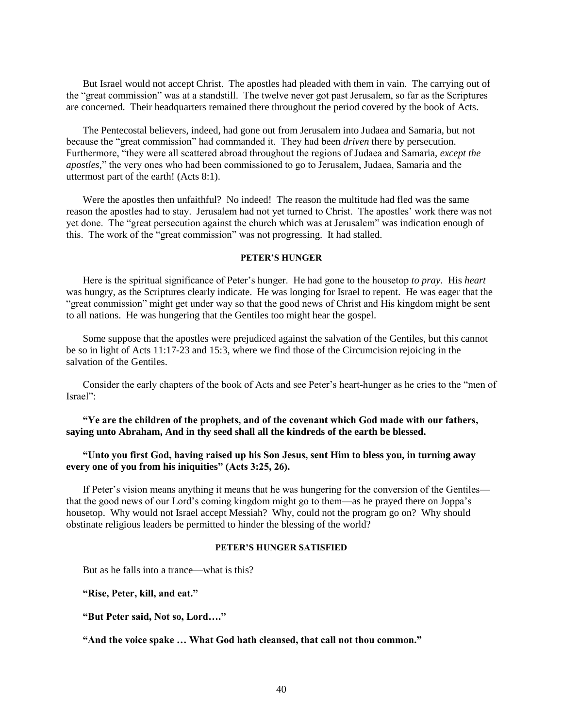But Israel would not accept Christ. The apostles had pleaded with them in vain. The carrying out of the "great commission" was at a standstill. The twelve never got past Jerusalem, so far as the Scriptures are concerned. Their headquarters remained there throughout the period covered by the book of Acts.

The Pentecostal believers, indeed, had gone out from Jerusalem into Judaea and Samaria, but not because the "great commission" had commanded it. They had been *driven* there by persecution. Furthermore, "they were all scattered abroad throughout the regions of Judaea and Samaria, *except the apostles,*" the very ones who had been commissioned to go to Jerusalem, Judaea, Samaria and the uttermost part of the earth! (Acts 8:1).

Were the apostles then unfaithful? No indeed! The reason the multitude had fled was the same reason the apostles had to stay. Jerusalem had not yet turned to Christ. The apostles' work there was not yet done. The "great persecution against the church which was at Jerusalem" was indication enough of this. The work of the "great commission" was not progressing. It had stalled.

#### **PETER'S HUNGER**

Here is the spiritual significance of Peter's hunger. He had gone to the housetop *to pray*. His *heart* was hungry, as the Scriptures clearly indicate. He was longing for Israel to repent. He was eager that the "great commission" might get under way so that the good news of Christ and His kingdom might be sent to all nations. He was hungering that the Gentiles too might hear the gospel.

Some suppose that the apostles were prejudiced against the salvation of the Gentiles, but this cannot be so in light of Acts 11:17-23 and 15:3, where we find those of the Circumcision rejoicing in the salvation of the Gentiles.

Consider the early chapters of the book of Acts and see Peter's heart-hunger as he cries to the "men of Israel":

**"Ye are the children of the prophets, and of the covenant which God made with our fathers, saying unto Abraham, And in thy seed shall all the kindreds of the earth be blessed.**

# **"Unto you first God, having raised up his Son Jesus, sent Him to bless you, in turning away every one of you from his iniquities" (Acts 3:25, 26).**

If Peter's vision means anything it means that he was hungering for the conversion of the Gentiles that the good news of our Lord's coming kingdom might go to them—as he prayed there on Joppa's housetop. Why would not Israel accept Messiah? Why, could not the program go on? Why should obstinate religious leaders be permitted to hinder the blessing of the world?

# **PETER'S HUNGER SATISFIED**

But as he falls into a trance—what is this?

**"Rise, Peter, kill, and eat."**

**"But Peter said, Not so, Lord…."**

**"And the voice spake … What God hath cleansed, that call not thou common."**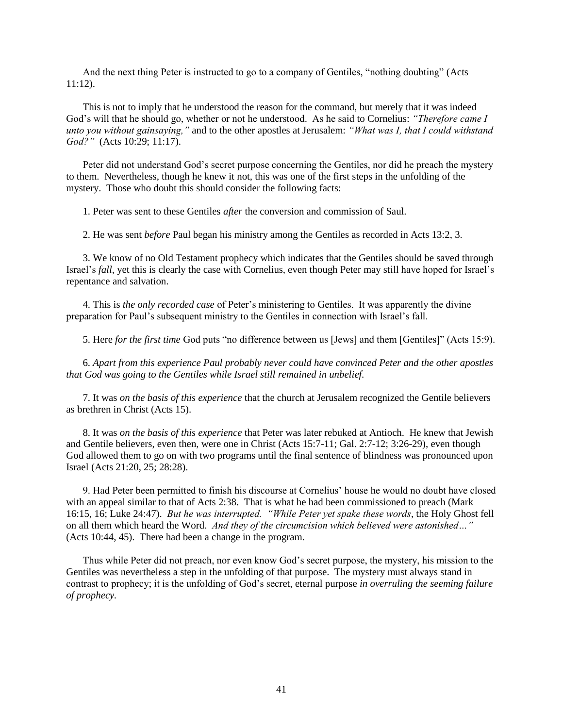And the next thing Peter is instructed to go to a company of Gentiles, "nothing doubting" (Acts 11:12).

This is not to imply that he understood the reason for the command, but merely that it was indeed God's will that he should go, whether or not he understood. As he said to Cornelius: *"Therefore came I unto you without gainsaying,"* and to the other apostles at Jerusalem: *"What was I, that I could withstand God?"* (Acts 10:29; 11:17).

Peter did not understand God's secret purpose concerning the Gentiles, nor did he preach the mystery to them. Nevertheless, though he knew it not, this was one of the first steps in the unfolding of the mystery. Those who doubt this should consider the following facts:

1. Peter was sent to these Gentiles *after* the conversion and commission of Saul.

2. He was sent *before* Paul began his ministry among the Gentiles as recorded in Acts 13:2, 3.

3. We know of no Old Testament prophecy which indicates that the Gentiles should be saved through Israel's *fall*, yet this is clearly the case with Cornelius, even though Peter may still have hoped for Israel's repentance and salvation.

4. This is *the only recorded case* of Peter's ministering to Gentiles. It was apparently the divine preparation for Paul's subsequent ministry to the Gentiles in connection with Israel's fall.

5. Here *for the first time* God puts "no difference between us [Jews] and them [Gentiles]" (Acts 15:9).

6. *Apart from this experience Paul probably never could have convinced Peter and the other apostles that God was going to the Gentiles while Israel still remained in unbelief.*

7. It was *on the basis of this experience* that the church at Jerusalem recognized the Gentile believers as brethren in Christ (Acts 15).

8. It was *on the basis of this experience* that Peter was later rebuked at Antioch. He knew that Jewish and Gentile believers, even then, were one in Christ (Acts 15:7-11; Gal. 2:7-12; 3:26-29), even though God allowed them to go on with two programs until the final sentence of blindness was pronounced upon Israel (Acts 21:20, 25; 28:28).

9. Had Peter been permitted to finish his discourse at Cornelius' house he would no doubt have closed with an appeal similar to that of Acts 2:38. That is what he had been commissioned to preach (Mark 16:15, 16; Luke 24:47). *But he was interrupted. "While Peter yet spake these words*, the Holy Ghost fell on all them which heard the Word. *And they of the circumcision which believed were astonished…"* (Acts 10:44, 45). There had been a change in the program.

Thus while Peter did not preach, nor even know God's secret purpose, the mystery, his mission to the Gentiles was nevertheless a step in the unfolding of that purpose. The mystery must always stand in contrast to prophecy; it is the unfolding of God's secret, eternal purpose *in overruling the seeming failure of prophecy.*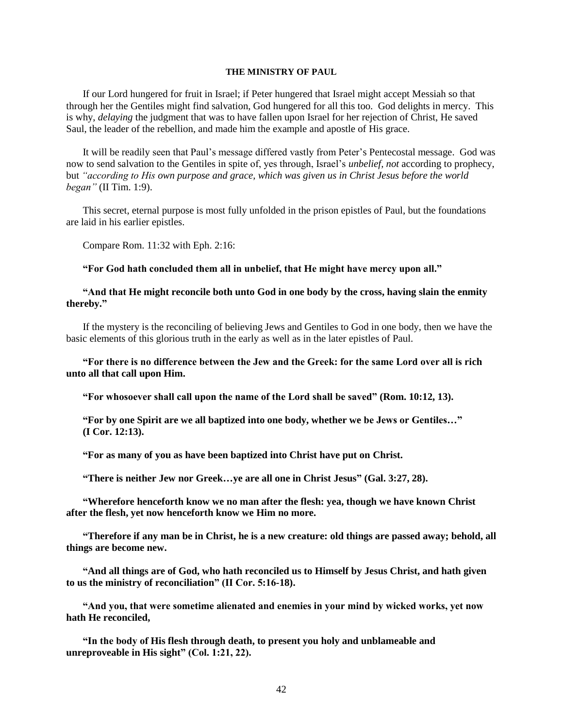#### **THE MINISTRY OF PAUL**

If our Lord hungered for fruit in Israel; if Peter hungered that Israel might accept Messiah so that through her the Gentiles might find salvation, God hungered for all this too. God delights in mercy. This is why, *delaying* the judgment that was to have fallen upon Israel for her rejection of Christ, He saved Saul, the leader of the rebellion, and made him the example and apostle of His grace.

It will be readily seen that Paul's message differed vastly from Peter's Pentecostal message. God was now to send salvation to the Gentiles in spite of, yes through, Israel's *unbelief, not* according to prophecy, but *"according to His own purpose and grace, which was given us in Christ Jesus before the world began"* (II Tim. 1:9).

This secret, eternal purpose is most fully unfolded in the prison epistles of Paul, but the foundations are laid in his earlier epistles.

Compare Rom. 11:32 with Eph. 2:16:

**"For God hath concluded them all in unbelief, that He might have mercy upon all."**

# **"And that He might reconcile both unto God in one body by the cross, having slain the enmity thereby."**

If the mystery is the reconciling of believing Jews and Gentiles to God in one body, then we have the basic elements of this glorious truth in the early as well as in the later epistles of Paul.

**"For there is no difference between the Jew and the Greek: for the same Lord over all is rich unto all that call upon Him.**

**"For whosoever shall call upon the name of the Lord shall be saved" (Rom. 10:12, 13).**

**"For by one Spirit are we all baptized into one body, whether we be Jews or Gentiles…" (I Cor. 12:13).**

**"For as many of you as have been baptized into Christ have put on Christ.**

**"There is neither Jew nor Greek…ye are all one in Christ Jesus" (Gal. 3:27, 28).**

**"Wherefore henceforth know we no man after the flesh: yea, though we have known Christ after the flesh, yet now henceforth know we Him no more.**

**"Therefore if any man be in Christ, he is a new creature: old things are passed away; behold, all things are become new.**

**"And all things are of God, who hath reconciled us to Himself by Jesus Christ, and hath given to us the ministry of reconciliation" (II Cor. 5:16-18).**

**"And you, that were sometime alienated and enemies in your mind by wicked works, yet now hath He reconciled,**

**"In the body of His flesh through death, to present you holy and unblameable and unreproveable in His sight" (Col. 1:21, 22).**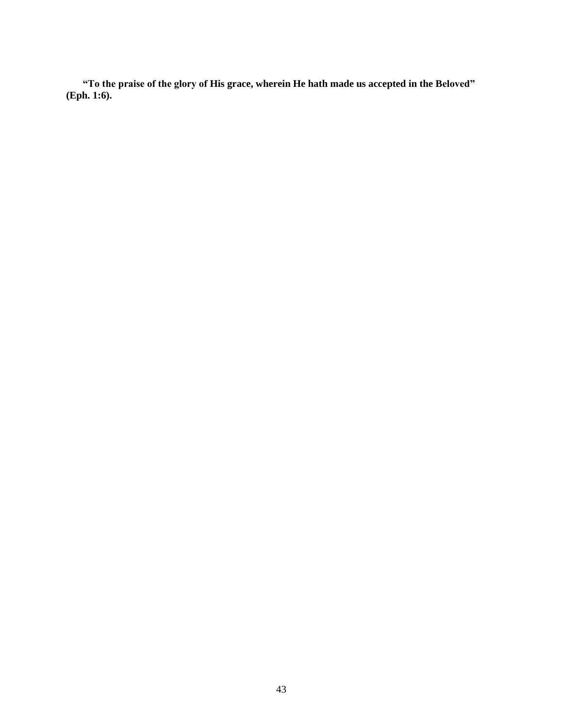**"To the praise of the glory of His grace, wherein He hath made us accepted in the Beloved" (Eph. 1:6).**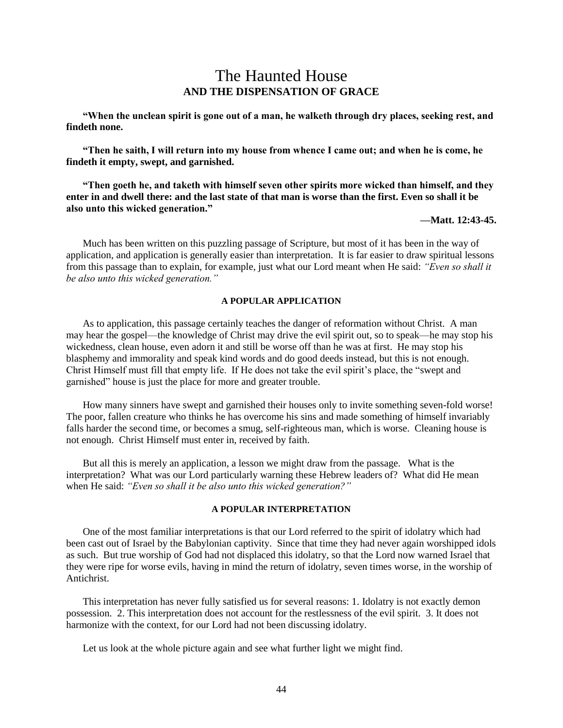# The Haunted House **AND THE DISPENSATION OF GRACE**

**"When the unclean spirit is gone out of a man, he walketh through dry places, seeking rest, and findeth none.**

**"Then he saith, I will return into my house from whence I came out; and when he is come, he findeth it empty, swept, and garnished.**

**"Then goeth he, and taketh with himself seven other spirits more wicked than himself, and they enter in and dwell there: and the last state of that man is worse than the first. Even so shall it be also unto this wicked generation."**

**—Matt. 12:43-45.**

Much has been written on this puzzling passage of Scripture, but most of it has been in the way of application, and application is generally easier than interpretation. It is far easier to draw spiritual lessons from this passage than to explain, for example, just what our Lord meant when He said: *"Even so shall it be also unto this wicked generation."*

#### **A POPULAR APPLICATION**

As to application, this passage certainly teaches the danger of reformation without Christ. A man may hear the gospel—the knowledge of Christ may drive the evil spirit out, so to speak—he may stop his wickedness, clean house, even adorn it and still be worse off than he was at first. He may stop his blasphemy and immorality and speak kind words and do good deeds instead, but this is not enough. Christ Himself must fill that empty life. If He does not take the evil spirit's place, the "swept and garnished" house is just the place for more and greater trouble.

How many sinners have swept and garnished their houses only to invite something seven-fold worse! The poor, fallen creature who thinks he has overcome his sins and made something of himself invariably falls harder the second time, or becomes a smug, self-righteous man, which is worse. Cleaning house is not enough. Christ Himself must enter in, received by faith.

But all this is merely an application, a lesson we might draw from the passage. What is the interpretation? What was our Lord particularly warning these Hebrew leaders of? What did He mean when He said: *"Even so shall it be also unto this wicked generation?"*

#### **A POPULAR INTERPRETATION**

One of the most familiar interpretations is that our Lord referred to the spirit of idolatry which had been cast out of Israel by the Babylonian captivity. Since that time they had never again worshipped idols as such. But true worship of God had not displaced this idolatry, so that the Lord now warned Israel that they were ripe for worse evils, having in mind the return of idolatry, seven times worse, in the worship of Antichrist.

This interpretation has never fully satisfied us for several reasons: 1. Idolatry is not exactly demon possession. 2. This interpretation does not account for the restlessness of the evil spirit. 3. It does not harmonize with the context, for our Lord had not been discussing idolatry.

Let us look at the whole picture again and see what further light we might find.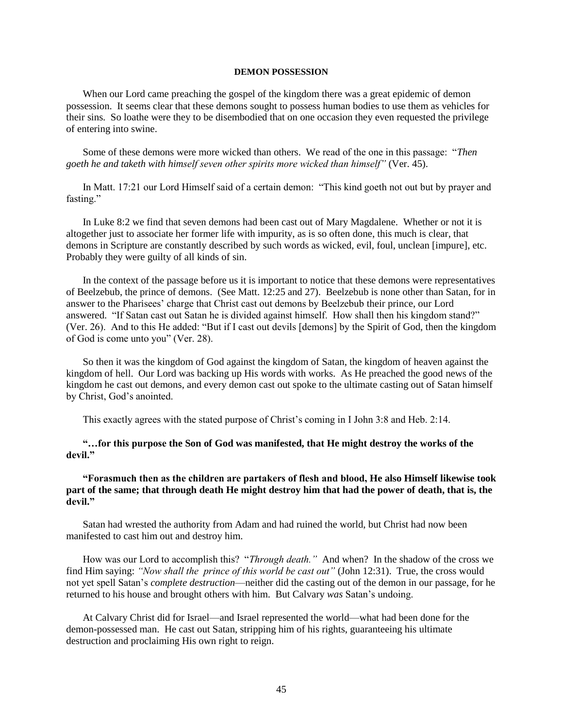#### **DEMON POSSESSION**

When our Lord came preaching the gospel of the kingdom there was a great epidemic of demon possession. It seems clear that these demons sought to possess human bodies to use them as vehicles for their sins. So loathe were they to be disembodied that on one occasion they even requested the privilege of entering into swine.

Some of these demons were more wicked than others. We read of the one in this passage: "*Then goeth he and taketh with himself seven other spirits more wicked than himself"* (Ver. 45).

In Matt. 17:21 our Lord Himself said of a certain demon: "This kind goeth not out but by prayer and fasting."

In Luke 8:2 we find that seven demons had been cast out of Mary Magdalene. Whether or not it is altogether just to associate her former life with impurity, as is so often done, this much is clear, that demons in Scripture are constantly described by such words as wicked, evil, foul, unclean [impure], etc. Probably they were guilty of all kinds of sin.

In the context of the passage before us it is important to notice that these demons were representatives of Beelzebub, the prince of demons. (See Matt. 12:25 and 27). Beelzebub is none other than Satan, for in answer to the Pharisees' charge that Christ cast out demons by Beelzebub their prince, our Lord answered. "If Satan cast out Satan he is divided against himself. How shall then his kingdom stand?" (Ver. 26). And to this He added: "But if I cast out devils [demons] by the Spirit of God, then the kingdom of God is come unto you" (Ver. 28).

So then it was the kingdom of God against the kingdom of Satan, the kingdom of heaven against the kingdom of hell. Our Lord was backing up His words with works. As He preached the good news of the kingdom he cast out demons, and every demon cast out spoke to the ultimate casting out of Satan himself by Christ, God's anointed.

This exactly agrees with the stated purpose of Christ's coming in I John 3:8 and Heb. 2:14.

**"…for this purpose the Son of God was manifested, that He might destroy the works of the devil."**

# **"Forasmuch then as the children are partakers of flesh and blood, He also Himself likewise took part of the same; that through death He might destroy him that had the power of death, that is, the devil."**

Satan had wrested the authority from Adam and had ruined the world, but Christ had now been manifested to cast him out and destroy him.

How was our Lord to accomplish this? "*Through death."* And when? In the shadow of the cross we find Him saying: *"Now shall the prince of this world be cast out"* (John 12:31). True, the cross would not yet spell Satan's *complete destruction*—neither did the casting out of the demon in our passage, for he returned to his house and brought others with him. But Calvary *was* Satan's undoing.

At Calvary Christ did for Israel—and Israel represented the world—what had been done for the demon-possessed man. He cast out Satan, stripping him of his rights, guaranteeing his ultimate destruction and proclaiming His own right to reign.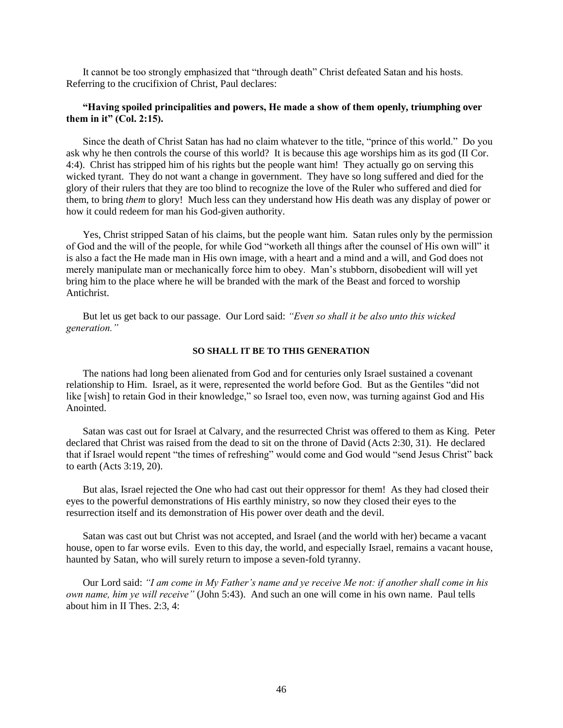It cannot be too strongly emphasized that "through death" Christ defeated Satan and his hosts. Referring to the crucifixion of Christ, Paul declares:

# **"Having spoiled principalities and powers, He made a show of them openly, triumphing over them in it" (Col. 2:15).**

Since the death of Christ Satan has had no claim whatever to the title, "prince of this world." Do you ask why he then controls the course of this world? It is because this age worships him as its god (II Cor. 4:4). Christ has stripped him of his rights but the people want him! They actually go on serving this wicked tyrant. They do not want a change in government. They have so long suffered and died for the glory of their rulers that they are too blind to recognize the love of the Ruler who suffered and died for them, to bring *them* to glory! Much less can they understand how His death was any display of power or how it could redeem for man his God-given authority.

Yes, Christ stripped Satan of his claims, but the people want him. Satan rules only by the permission of God and the will of the people, for while God "worketh all things after the counsel of His own will" it is also a fact the He made man in His own image, with a heart and a mind and a will, and God does not merely manipulate man or mechanically force him to obey. Man's stubborn, disobedient will will yet bring him to the place where he will be branded with the mark of the Beast and forced to worship Antichrist.

But let us get back to our passage. Our Lord said: *"Even so shall it be also unto this wicked generation."*

# **SO SHALL IT BE TO THIS GENERATION**

The nations had long been alienated from God and for centuries only Israel sustained a covenant relationship to Him. Israel, as it were, represented the world before God. But as the Gentiles "did not like [wish] to retain God in their knowledge," so Israel too, even now, was turning against God and His Anointed.

Satan was cast out for Israel at Calvary, and the resurrected Christ was offered to them as King. Peter declared that Christ was raised from the dead to sit on the throne of David (Acts 2:30, 31). He declared that if Israel would repent "the times of refreshing" would come and God would "send Jesus Christ" back to earth (Acts 3:19, 20).

But alas, Israel rejected the One who had cast out their oppressor for them! As they had closed their eyes to the powerful demonstrations of His earthly ministry, so now they closed their eyes to the resurrection itself and its demonstration of His power over death and the devil.

Satan was cast out but Christ was not accepted, and Israel (and the world with her) became a vacant house, open to far worse evils. Even to this day, the world, and especially Israel, remains a vacant house, haunted by Satan, who will surely return to impose a seven-fold tyranny.

Our Lord said: *"I am come in My Father's name and ye receive Me not: if another shall come in his own name, him ye will receive"* (John 5:43). And such an one will come in his own name. Paul tells about him in II Thes. 2:3, 4: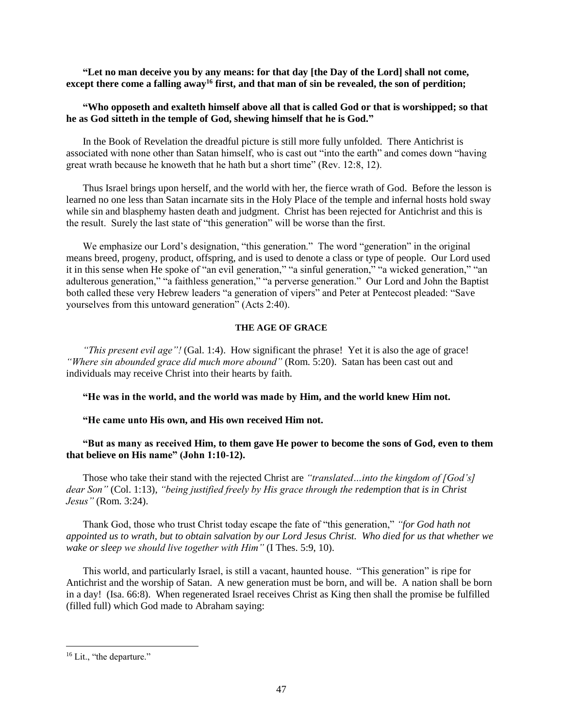**"Let no man deceive you by any means: for that day [the Day of the Lord] shall not come, except there come a falling away<sup>16</sup> first, and that man of sin be revealed, the son of perdition;**

# **"Who opposeth and exalteth himself above all that is called God or that is worshipped; so that he as God sitteth in the temple of God, shewing himself that he is God."**

In the Book of Revelation the dreadful picture is still more fully unfolded. There Antichrist is associated with none other than Satan himself, who is cast out "into the earth" and comes down "having great wrath because he knoweth that he hath but a short time" (Rev. 12:8, 12).

Thus Israel brings upon herself, and the world with her, the fierce wrath of God. Before the lesson is learned no one less than Satan incarnate sits in the Holy Place of the temple and infernal hosts hold sway while sin and blasphemy hasten death and judgment. Christ has been rejected for Antichrist and this is the result. Surely the last state of "this generation" will be worse than the first.

We emphasize our Lord's designation, "this generation." The word "generation" in the original means breed, progeny, product, offspring, and is used to denote a class or type of people. Our Lord used it in this sense when He spoke of "an evil generation," "a sinful generation," "a wicked generation," "an adulterous generation," "a faithless generation," "a perverse generation." Our Lord and John the Baptist both called these very Hebrew leaders "a generation of vipers" and Peter at Pentecost pleaded: "Save yourselves from this untoward generation" (Acts 2:40).

#### **THE AGE OF GRACE**

*"This present evil age"!* (Gal. 1:4). How significant the phrase! Yet it is also the age of grace! *"Where sin abounded grace did much more abound"* (Rom. 5:20). Satan has been cast out and individuals may receive Christ into their hearts by faith.

**"He was in the world, and the world was made by Him, and the world knew Him not.**

**"He came unto His own, and His own received Him not.**

# **"But as many as received Him, to them gave He power to become the sons of God, even to them that believe on His name" (John 1:10-12).**

Those who take their stand with the rejected Christ are *"translated…into the kingdom of [God's] dear Son"* (Col. 1:13), *"being justified freely by His grace through the redemption that is in Christ Jesus"* (Rom. 3:24).

Thank God, those who trust Christ today escape the fate of "this generation," *"for God hath not appointed us to wrath, but to obtain salvation by our Lord Jesus Christ. Who died for us that whether we wake or sleep we should live together with Him"* (I Thes. 5:9, 10).

This world, and particularly Israel, is still a vacant, haunted house. "This generation" is ripe for Antichrist and the worship of Satan. A new generation must be born, and will be. A nation shall be born in a day! (Isa. 66:8). When regenerated Israel receives Christ as King then shall the promise be fulfilled (filled full) which God made to Abraham saying:

 $\overline{\phantom{a}}$ 

<sup>&</sup>lt;sup>16</sup> Lit., "the departure."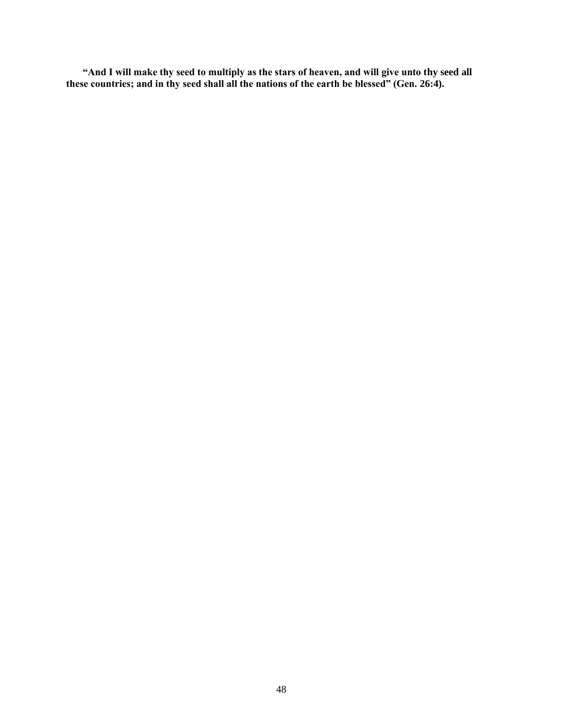**"And I will make thy seed to multiply as the stars of heaven, and will give unto thy seed all these countries; and in thy seed shall all the nations of the earth be blessed" (Gen. 26:4).**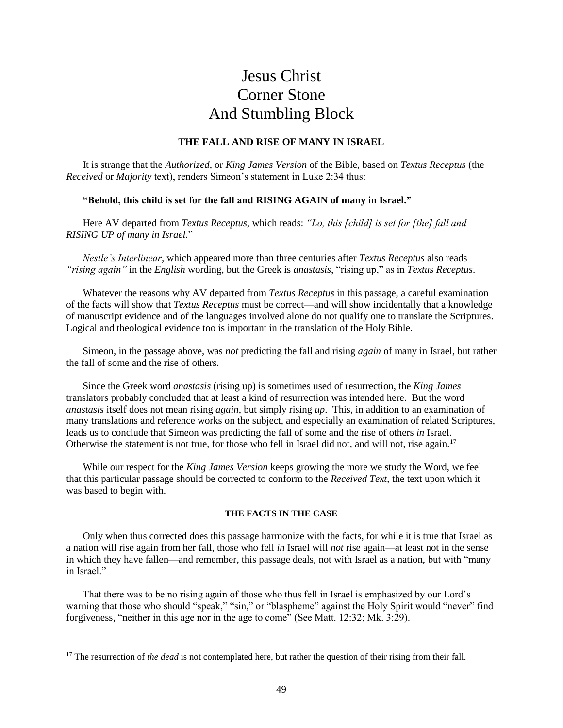# Jesus Christ Corner Stone And Stumbling Block

# **THE FALL AND RISE OF MANY IN ISRAEL**

It is strange that the *Authorized*, or *King James Version* of the Bible, based on *Textus Receptus* (the *Received* or *Majority* text), renders Simeon's statement in Luke 2:34 thus:

## **"Behold, this child is set for the fall and RISING AGAIN of many in Israel."**

Here AV departed from *Textus Receptus,* which reads: *"Lo, this [child] is set for [the] fall and RISING UP of many in Israel.*"

*Nestle's Interlinear,* which appeared more than three centuries after *Textus Receptus* also reads *"rising again"* in the *English* wording, but the Greek is *anastasis*, "rising up," as in *Textus Receptus*.

Whatever the reasons why AV departed from *Textus Receptus* in this passage, a careful examination of the facts will show that *Textus Receptus* must be correct—and will show incidentally that a knowledge of manuscript evidence and of the languages involved alone do not qualify one to translate the Scriptures. Logical and theological evidence too is important in the translation of the Holy Bible.

Simeon, in the passage above, was *not* predicting the fall and rising *again* of many in Israel, but rather the fall of some and the rise of others.

Since the Greek word *anastasis* (rising up) is sometimes used of resurrection, the *King James* translators probably concluded that at least a kind of resurrection was intended here. But the word *anastasis* itself does not mean rising *again*, but simply rising *up*. This, in addition to an examination of many translations and reference works on the subject, and especially an examination of related Scriptures, leads us to conclude that Simeon was predicting the fall of some and the rise of others *in* Israel. Otherwise the statement is not true, for those who fell in Israel did not, and will not, rise again.<sup>17</sup>

While our respect for the *King James Version* keeps growing the more we study the Word, we feel that this particular passage should be corrected to conform to the *Received Text*, the text upon which it was based to begin with.

#### **THE FACTS IN THE CASE**

Only when thus corrected does this passage harmonize with the facts, for while it is true that Israel as a nation will rise again from her fall, those who fell *in* Israel will *not* rise again—at least not in the sense in which they have fallen—and remember, this passage deals, not with Israel as a nation, but with "many in Israel"

That there was to be no rising again of those who thus fell in Israel is emphasized by our Lord's warning that those who should "speak," "sin," or "blaspheme" against the Holy Spirit would "never" find forgiveness, "neither in this age nor in the age to come" (See Matt. 12:32; Mk. 3:29).

 $\overline{\phantom{a}}$ 

<sup>&</sup>lt;sup>17</sup> The resurrection of *the dead* is not contemplated here, but rather the question of their rising from their fall.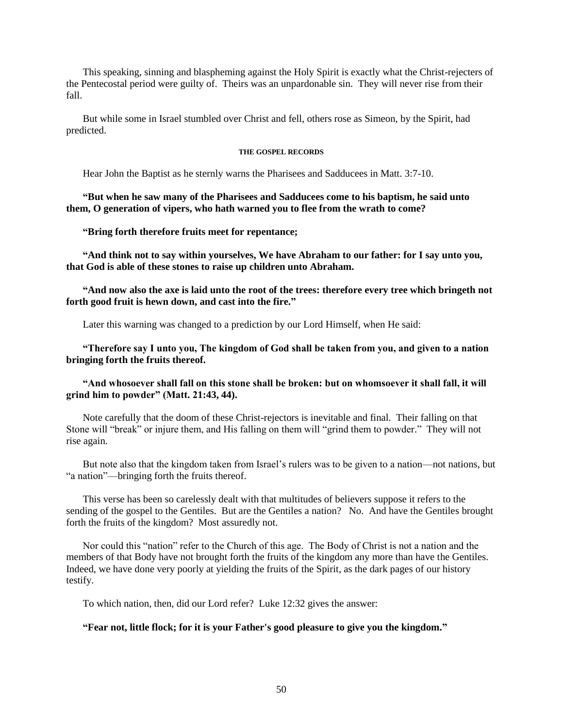This speaking, sinning and blaspheming against the Holy Spirit is exactly what the Christ-rejecters of the Pentecostal period were guilty of. Theirs was an unpardonable sin. They will never rise from their fall.

But while some in Israel stumbled over Christ and fell, others rose as Simeon, by the Spirit, had predicted.

#### **THE GOSPEL RECORDS**

Hear John the Baptist as he sternly warns the Pharisees and Sadducees in Matt. 3:7-10.

# **"But when he saw many of the Pharisees and Sadducees come to his baptism, he said unto them, O generation of vipers, who hath warned you to flee from the wrath to come?**

**"Bring forth therefore fruits meet for repentance;**

**"And think not to say within yourselves, We have Abraham to our father: for I say unto you, that God is able of these stones to raise up children unto Abraham.**

**"And now also the axe is laid unto the root of the trees: therefore every tree which bringeth not forth good fruit is hewn down, and cast into the fire."**

Later this warning was changed to a prediction by our Lord Himself, when He said:

**"Therefore say I unto you, The kingdom of God shall be taken from you, and given to a nation bringing forth the fruits thereof.**

# **"And whosoever shall fall on this stone shall be broken: but on whomsoever it shall fall, it will grind him to powder" (Matt. 21:43, 44).**

Note carefully that the doom of these Christ-rejectors is inevitable and final. Their falling on that Stone will "break" or injure them, and His falling on them will "grind them to powder." They will not rise again.

But note also that the kingdom taken from Israel's rulers was to be given to a nation—not nations, but "a nation"—bringing forth the fruits thereof.

This verse has been so carelessly dealt with that multitudes of believers suppose it refers to the sending of the gospel to the Gentiles. But are the Gentiles a nation? No. And have the Gentiles brought forth the fruits of the kingdom? Most assuredly not.

Nor could this "nation" refer to the Church of this age. The Body of Christ is not a nation and the members of that Body have not brought forth the fruits of the kingdom any more than have the Gentiles. Indeed, we have done very poorly at yielding the fruits of the Spirit, as the dark pages of our history testify.

To which nation, then, did our Lord refer? Luke 12:32 gives the answer:

# **"Fear not, little flock; for it is your Father's good pleasure to give you the kingdom."**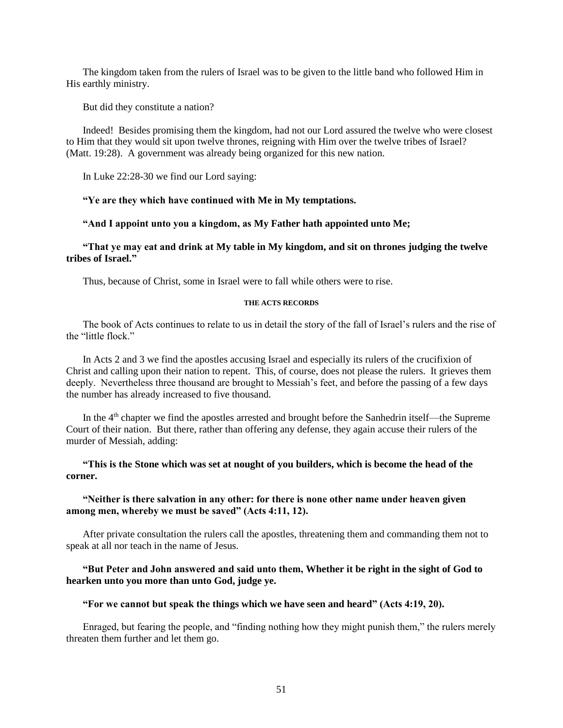The kingdom taken from the rulers of Israel was to be given to the little band who followed Him in His earthly ministry.

But did they constitute a nation?

Indeed! Besides promising them the kingdom, had not our Lord assured the twelve who were closest to Him that they would sit upon twelve thrones, reigning with Him over the twelve tribes of Israel? (Matt. 19:28). A government was already being organized for this new nation.

In Luke 22:28-30 we find our Lord saying:

# **"Ye are they which have continued with Me in My temptations.**

## **"And I appoint unto you a kingdom, as My Father hath appointed unto Me;**

# **"That ye may eat and drink at My table in My kingdom, and sit on thrones judging the twelve tribes of Israel."**

Thus, because of Christ, some in Israel were to fall while others were to rise.

#### **THE ACTS RECORDS**

The book of Acts continues to relate to us in detail the story of the fall of Israel's rulers and the rise of the "little flock."

In Acts 2 and 3 we find the apostles accusing Israel and especially its rulers of the crucifixion of Christ and calling upon their nation to repent. This, of course, does not please the rulers. It grieves them deeply. Nevertheless three thousand are brought to Messiah's feet, and before the passing of a few days the number has already increased to five thousand.

In the 4<sup>th</sup> chapter we find the apostles arrested and brought before the Sanhedrin itself—the Supreme Court of their nation. But there, rather than offering any defense, they again accuse their rulers of the murder of Messiah, adding:

**"This is the Stone which was set at nought of you builders, which is become the head of the corner.**

# **"Neither is there salvation in any other: for there is none other name under heaven given among men, whereby we must be saved" (Acts 4:11, 12).**

After private consultation the rulers call the apostles, threatening them and commanding them not to speak at all nor teach in the name of Jesus.

# **"But Peter and John answered and said unto them, Whether it be right in the sight of God to hearken unto you more than unto God, judge ye.**

#### **"For we cannot but speak the things which we have seen and heard" (Acts 4:19, 20).**

Enraged, but fearing the people, and "finding nothing how they might punish them," the rulers merely threaten them further and let them go.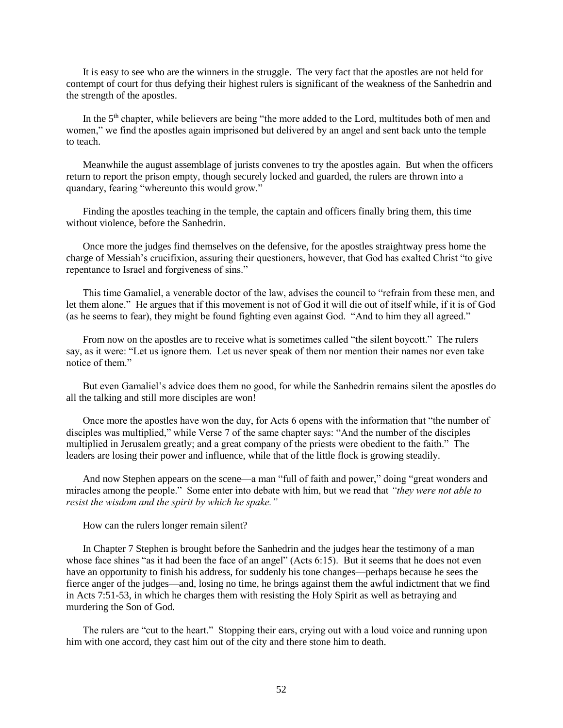It is easy to see who are the winners in the struggle. The very fact that the apostles are not held for contempt of court for thus defying their highest rulers is significant of the weakness of the Sanhedrin and the strength of the apostles.

In the 5<sup>th</sup> chapter, while believers are being "the more added to the Lord, multitudes both of men and women," we find the apostles again imprisoned but delivered by an angel and sent back unto the temple to teach.

Meanwhile the august assemblage of jurists convenes to try the apostles again. But when the officers return to report the prison empty, though securely locked and guarded, the rulers are thrown into a quandary, fearing "whereunto this would grow."

Finding the apostles teaching in the temple, the captain and officers finally bring them, this time without violence, before the Sanhedrin.

Once more the judges find themselves on the defensive, for the apostles straightway press home the charge of Messiah's crucifixion, assuring their questioners, however, that God has exalted Christ "to give repentance to Israel and forgiveness of sins."

This time Gamaliel, a venerable doctor of the law, advises the council to "refrain from these men, and let them alone." He argues that if this movement is not of God it will die out of itself while, if it is of God (as he seems to fear), they might be found fighting even against God. "And to him they all agreed."

From now on the apostles are to receive what is sometimes called "the silent boycott." The rulers say, as it were: "Let us ignore them. Let us never speak of them nor mention their names nor even take notice of them."

But even Gamaliel's advice does them no good, for while the Sanhedrin remains silent the apostles do all the talking and still more disciples are won!

Once more the apostles have won the day, for Acts 6 opens with the information that "the number of disciples was multiplied," while Verse 7 of the same chapter says: "And the number of the disciples multiplied in Jerusalem greatly; and a great company of the priests were obedient to the faith." The leaders are losing their power and influence, while that of the little flock is growing steadily.

And now Stephen appears on the scene—a man "full of faith and power," doing "great wonders and miracles among the people." Some enter into debate with him, but we read that *"they were not able to resist the wisdom and the spirit by which he spake."*

How can the rulers longer remain silent?

In Chapter 7 Stephen is brought before the Sanhedrin and the judges hear the testimony of a man whose face shines "as it had been the face of an angel" (Acts 6:15). But it seems that he does not even have an opportunity to finish his address, for suddenly his tone changes—perhaps because he sees the fierce anger of the judges—and, losing no time, he brings against them the awful indictment that we find in Acts 7:51-53, in which he charges them with resisting the Holy Spirit as well as betraying and murdering the Son of God.

The rulers are "cut to the heart." Stopping their ears, crying out with a loud voice and running upon him with one accord, they cast him out of the city and there stone him to death.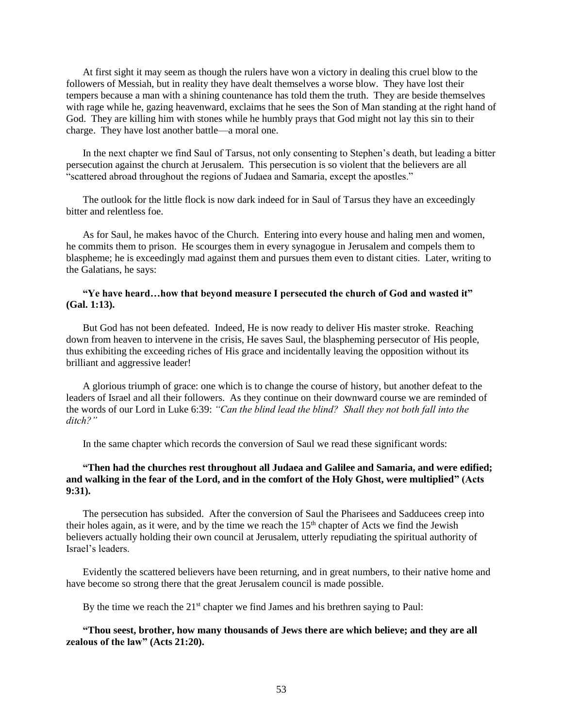At first sight it may seem as though the rulers have won a victory in dealing this cruel blow to the followers of Messiah, but in reality they have dealt themselves a worse blow. They have lost their tempers because a man with a shining countenance has told them the truth. They are beside themselves with rage while he, gazing heavenward, exclaims that he sees the Son of Man standing at the right hand of God. They are killing him with stones while he humbly prays that God might not lay this sin to their charge. They have lost another battle—a moral one.

In the next chapter we find Saul of Tarsus, not only consenting to Stephen's death, but leading a bitter persecution against the church at Jerusalem. This persecution is so violent that the believers are all "scattered abroad throughout the regions of Judaea and Samaria, except the apostles."

The outlook for the little flock is now dark indeed for in Saul of Tarsus they have an exceedingly bitter and relentless foe.

As for Saul, he makes havoc of the Church. Entering into every house and haling men and women, he commits them to prison. He scourges them in every synagogue in Jerusalem and compels them to blaspheme; he is exceedingly mad against them and pursues them even to distant cities. Later, writing to the Galatians, he says:

# **"Ye have heard…how that beyond measure I persecuted the church of God and wasted it" (Gal. 1:13).**

But God has not been defeated. Indeed, He is now ready to deliver His master stroke. Reaching down from heaven to intervene in the crisis, He saves Saul, the blaspheming persecutor of His people, thus exhibiting the exceeding riches of His grace and incidentally leaving the opposition without its brilliant and aggressive leader!

A glorious triumph of grace: one which is to change the course of history, but another defeat to the leaders of Israel and all their followers. As they continue on their downward course we are reminded of the words of our Lord in Luke 6:39: *"Can the blind lead the blind? Shall they not both fall into the ditch?"*

In the same chapter which records the conversion of Saul we read these significant words:

# **"Then had the churches rest throughout all Judaea and Galilee and Samaria, and were edified; and walking in the fear of the Lord, and in the comfort of the Holy Ghost, were multiplied" (Acts 9:31).**

The persecution has subsided. After the conversion of Saul the Pharisees and Sadducees creep into their holes again, as it were, and by the time we reach the 15<sup>th</sup> chapter of Acts we find the Jewish believers actually holding their own council at Jerusalem, utterly repudiating the spiritual authority of Israel's leaders.

Evidently the scattered believers have been returning, and in great numbers, to their native home and have become so strong there that the great Jerusalem council is made possible.

By the time we reach the  $21<sup>st</sup>$  chapter we find James and his brethren saying to Paul:

# **"Thou seest, brother, how many thousands of Jews there are which believe; and they are all zealous of the law" (Acts 21:20).**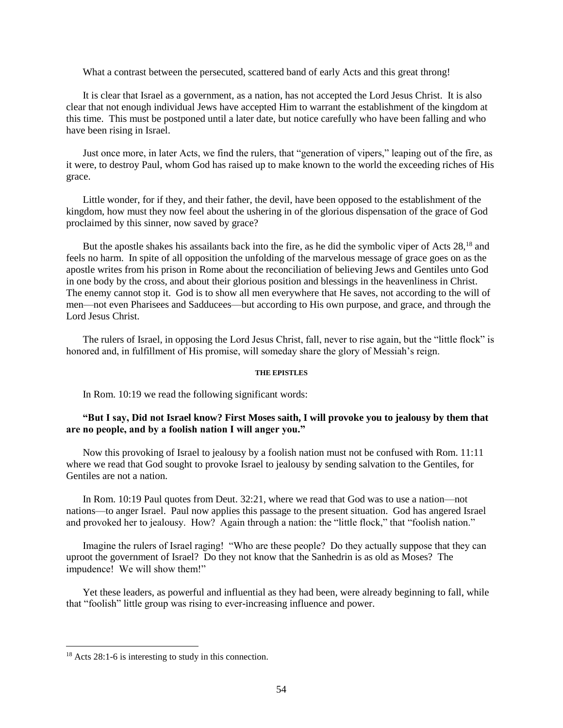What a contrast between the persecuted, scattered band of early Acts and this great throng!

It is clear that Israel as a government, as a nation, has not accepted the Lord Jesus Christ. It is also clear that not enough individual Jews have accepted Him to warrant the establishment of the kingdom at this time. This must be postponed until a later date, but notice carefully who have been falling and who have been rising in Israel.

Just once more, in later Acts, we find the rulers, that "generation of vipers," leaping out of the fire, as it were, to destroy Paul, whom God has raised up to make known to the world the exceeding riches of His grace.

Little wonder, for if they, and their father, the devil, have been opposed to the establishment of the kingdom, how must they now feel about the ushering in of the glorious dispensation of the grace of God proclaimed by this sinner, now saved by grace?

But the apostle shakes his assailants back into the fire, as he did the symbolic viper of Acts 28,<sup>18</sup> and feels no harm. In spite of all opposition the unfolding of the marvelous message of grace goes on as the apostle writes from his prison in Rome about the reconciliation of believing Jews and Gentiles unto God in one body by the cross, and about their glorious position and blessings in the heavenliness in Christ. The enemy cannot stop it. God is to show all men everywhere that He saves, not according to the will of men—not even Pharisees and Sadducees—but according to His own purpose, and grace, and through the Lord Jesus Christ.

The rulers of Israel, in opposing the Lord Jesus Christ, fall, never to rise again, but the "little flock" is honored and, in fulfillment of His promise, will someday share the glory of Messiah's reign.

#### **THE EPISTLES**

In Rom. 10:19 we read the following significant words:

# **"But I say, Did not Israel know? First Moses saith, I will provoke you to jealousy by them that are no people, and by a foolish nation I will anger you."**

Now this provoking of Israel to jealousy by a foolish nation must not be confused with Rom. 11:11 where we read that God sought to provoke Israel to jealousy by sending salvation to the Gentiles, for Gentiles are not a nation.

In Rom. 10:19 Paul quotes from Deut. 32:21, where we read that God was to use a nation—not nations—to anger Israel. Paul now applies this passage to the present situation. God has angered Israel and provoked her to jealousy. How? Again through a nation: the "little flock," that "foolish nation."

Imagine the rulers of Israel raging! "Who are these people? Do they actually suppose that they can uproot the government of Israel? Do they not know that the Sanhedrin is as old as Moses? The impudence! We will show them!"

Yet these leaders, as powerful and influential as they had been, were already beginning to fall, while that "foolish" little group was rising to ever-increasing influence and power.

 $\overline{\phantom{a}}$ 

<sup>18</sup> Acts 28:1-6 is interesting to study in this connection.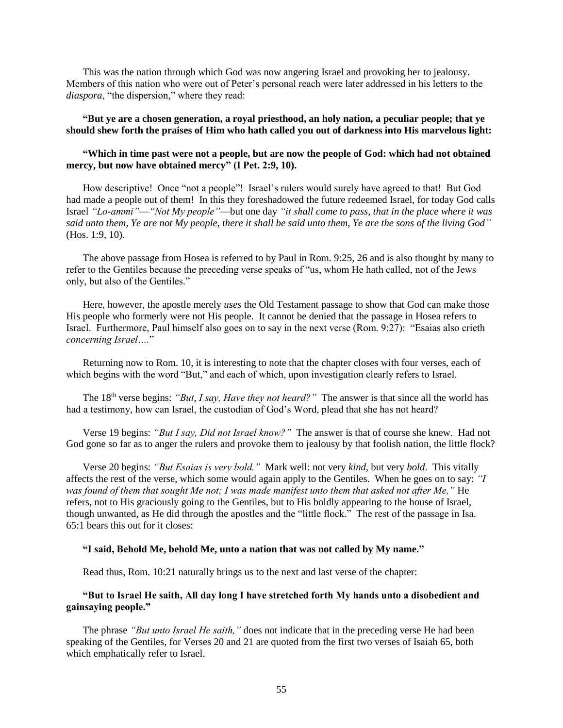This was the nation through which God was now angering Israel and provoking her to jealousy. Members of this nation who were out of Peter's personal reach were later addressed in his letters to the *diaspora*, "the dispersion," where they read:

**"But ye are a chosen generation, a royal priesthood, an holy nation, a peculiar people; that ye should shew forth the praises of Him who hath called you out of darkness into His marvelous light:**

# **"Which in time past were not a people, but are now the people of God: which had not obtained mercy, but now have obtained mercy" (I Pet. 2:9, 10).**

How descriptive! Once "not a people"! Israel's rulers would surely have agreed to that! But God had made a people out of them! In this they foreshadowed the future redeemed Israel, for today God calls Israel *"Lo-ammi"*—*"Not My people"*—but one day *"it shall come to pass, that in the place where it was said unto them, Ye are not My people, there it shall be said unto them, Ye are the sons of the living God"* (Hos. 1:9, 10).

The above passage from Hosea is referred to by Paul in Rom. 9:25, 26 and is also thought by many to refer to the Gentiles because the preceding verse speaks of "us, whom He hath called, not of the Jews only, but also of the Gentiles."

Here, however, the apostle merely *uses* the Old Testament passage to show that God can make those His people who formerly were not His people. It cannot be denied that the passage in Hosea refers to Israel. Furthermore, Paul himself also goes on to say in the next verse (Rom. 9:27): "Esaias also crieth *concerning Israel….*"

Returning now to Rom. 10, it is interesting to note that the chapter closes with four verses, each of which begins with the word "But," and each of which, upon investigation clearly refers to Israel.

The 18th verse begins: *"But, I say, Have they not heard?"* The answer is that since all the world has had a testimony, how can Israel, the custodian of God's Word, plead that she has not heard?

Verse 19 begins: *"But I say, Did not Israel know?"* The answer is that of course she knew. Had not God gone so far as to anger the rulers and provoke them to jealousy by that foolish nation, the little flock?

Verse 20 begins: *"But Esaias is very bold."* Mark well: not very *kind*, but very *bold*. This vitally affects the rest of the verse, which some would again apply to the Gentiles. When he goes on to say: *"I was found of them that sought Me not; I was made manifest unto them that asked not after Me,"* He refers, not to His graciously going to the Gentiles, but to His boldly appearing to the house of Israel, though unwanted, as He did through the apostles and the "little flock." The rest of the passage in Isa. 65:1 bears this out for it closes:

#### **"I said, Behold Me, behold Me, unto a nation that was not called by My name."**

Read thus, Rom. 10:21 naturally brings us to the next and last verse of the chapter:

# **"But to Israel He saith, All day long I have stretched forth My hands unto a disobedient and gainsaying people."**

The phrase *"But unto Israel He saith,"* does not indicate that in the preceding verse He had been speaking of the Gentiles, for Verses 20 and 21 are quoted from the first two verses of Isaiah 65, both which emphatically refer to Israel.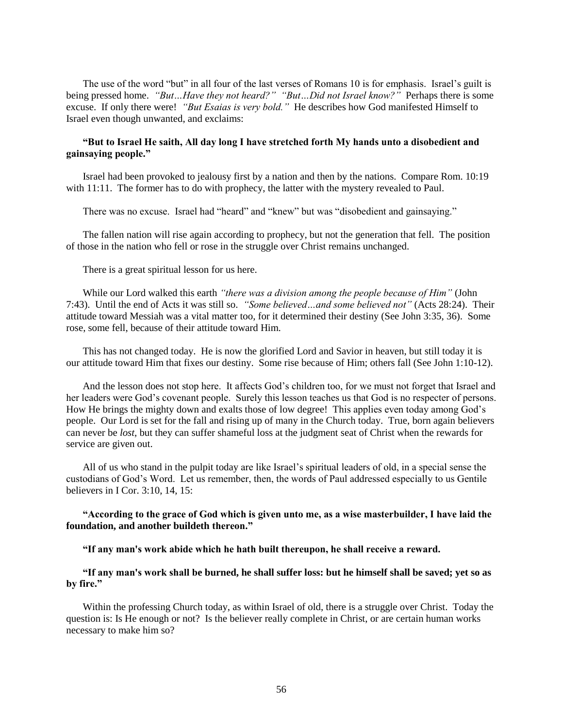The use of the word "but" in all four of the last verses of Romans 10 is for emphasis. Israel's guilt is being pressed home. *"But…Have they not heard?" "But…Did not Israel know?"* Perhaps there is some excuse. If only there were! *"But Esaias is very bold."* He describes how God manifested Himself to Israel even though unwanted, and exclaims:

# **"But to Israel He saith, All day long I have stretched forth My hands unto a disobedient and gainsaying people."**

Israel had been provoked to jealousy first by a nation and then by the nations. Compare Rom. 10:19 with 11:11. The former has to do with prophecy, the latter with the mystery revealed to Paul.

There was no excuse. Israel had "heard" and "knew" but was "disobedient and gainsaying."

The fallen nation will rise again according to prophecy, but not the generation that fell. The position of those in the nation who fell or rose in the struggle over Christ remains unchanged.

There is a great spiritual lesson for us here.

While our Lord walked this earth *"there was a division among the people because of Him"* (John 7:43). Until the end of Acts it was still so. *"Some believed…and some believed not"* (Acts 28:24). Their attitude toward Messiah was a vital matter too, for it determined their destiny (See John 3:35, 36). Some rose, some fell, because of their attitude toward Him.

This has not changed today. He is now the glorified Lord and Savior in heaven, but still today it is our attitude toward Him that fixes our destiny. Some rise because of Him; others fall (See John 1:10-12).

And the lesson does not stop here. It affects God's children too, for we must not forget that Israel and her leaders were God's covenant people. Surely this lesson teaches us that God is no respecter of persons. How He brings the mighty down and exalts those of low degree! This applies even today among God's people. Our Lord is set for the fall and rising up of many in the Church today. True, born again believers can never be *lost*, but they can suffer shameful loss at the judgment seat of Christ when the rewards for service are given out.

All of us who stand in the pulpit today are like Israel's spiritual leaders of old, in a special sense the custodians of God's Word. Let us remember, then, the words of Paul addressed especially to us Gentile believers in I Cor. 3:10, 14, 15:

**"According to the grace of God which is given unto me, as a wise masterbuilder, I have laid the foundation, and another buildeth thereon."**

**"If any man's work abide which he hath built thereupon, he shall receive a reward.**

# **"If any man's work shall be burned, he shall suffer loss: but he himself shall be saved; yet so as by fire."**

Within the professing Church today, as within Israel of old, there is a struggle over Christ. Today the question is: Is He enough or not? Is the believer really complete in Christ, or are certain human works necessary to make him so?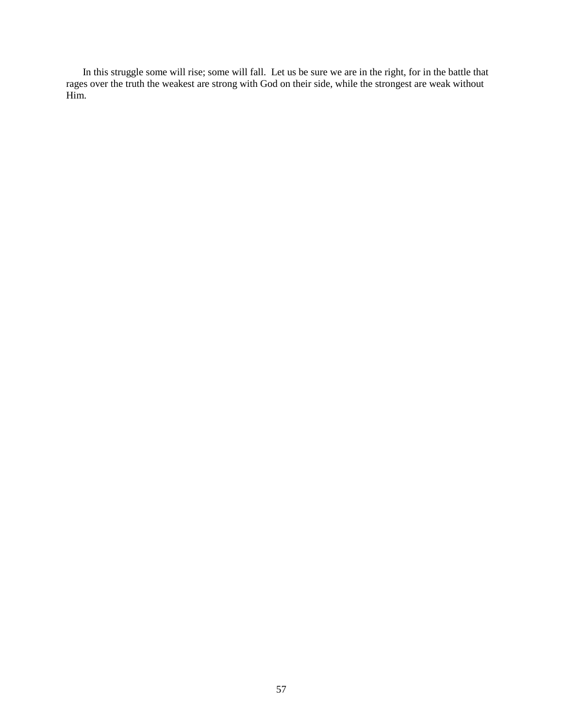In this struggle some will rise; some will fall. Let us be sure we are in the right, for in the battle that rages over the truth the weakest are strong with God on their side, while the strongest are weak without Him.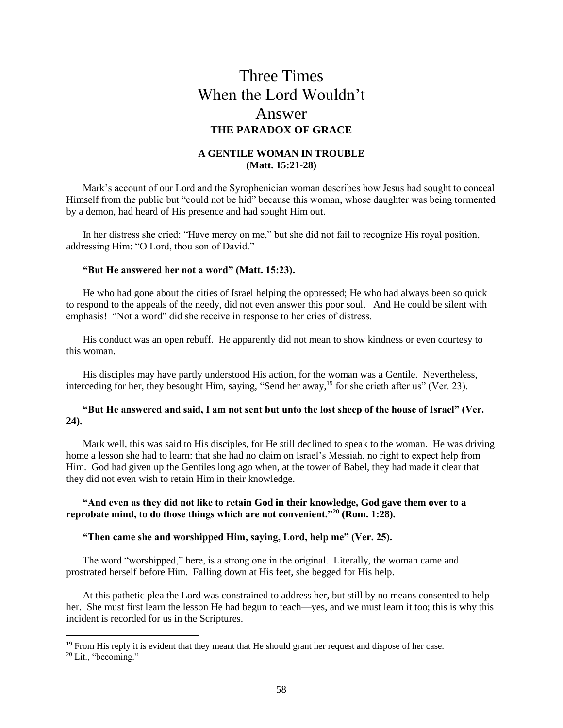# Three Times When the Lord Wouldn't Answer **THE PARADOX OF GRACE**

# **A GENTILE WOMAN IN TROUBLE (Matt. 15:21-28)**

Mark's account of our Lord and the Syrophenician woman describes how Jesus had sought to conceal Himself from the public but "could not be hid" because this woman, whose daughter was being tormented by a demon, had heard of His presence and had sought Him out.

In her distress she cried: "Have mercy on me," but she did not fail to recognize His royal position, addressing Him: "O Lord, thou son of David."

#### **"But He answered her not a word" (Matt. 15:23).**

He who had gone about the cities of Israel helping the oppressed; He who had always been so quick to respond to the appeals of the needy, did not even answer this poor soul. And He could be silent with emphasis! "Not a word" did she receive in response to her cries of distress.

His conduct was an open rebuff. He apparently did not mean to show kindness or even courtesy to this woman.

His disciples may have partly understood His action, for the woman was a Gentile. Nevertheless, interceding for her, they besought Him, saying, "Send her away,<sup>19</sup> for she crieth after us" (Ver. 23).

# **"But He answered and said, I am not sent but unto the lost sheep of the house of Israel" (Ver. 24).**

Mark well, this was said to His disciples, for He still declined to speak to the woman. He was driving home a lesson she had to learn: that she had no claim on Israel's Messiah, no right to expect help from Him. God had given up the Gentiles long ago when, at the tower of Babel, they had made it clear that they did not even wish to retain Him in their knowledge.

# **"And even as they did not like to retain God in their knowledge, God gave them over to a reprobate mind, to do those things which are not convenient."<sup>20</sup> (Rom. 1:28).**

# **"Then came she and worshipped Him, saying, Lord, help me" (Ver. 25).**

The word "worshipped," here, is a strong one in the original. Literally, the woman came and prostrated herself before Him. Falling down at His feet, she begged for His help.

At this pathetic plea the Lord was constrained to address her, but still by no means consented to help her. She must first learn the lesson He had begun to teach—yes, and we must learn it too; this is why this incident is recorded for us in the Scriptures.

<sup>19</sup> From His reply it is evident that they meant that He should grant her request and dispose of her case.

 $\overline{a}$ 

<sup>&</sup>lt;sup>20</sup> Lit., "becoming."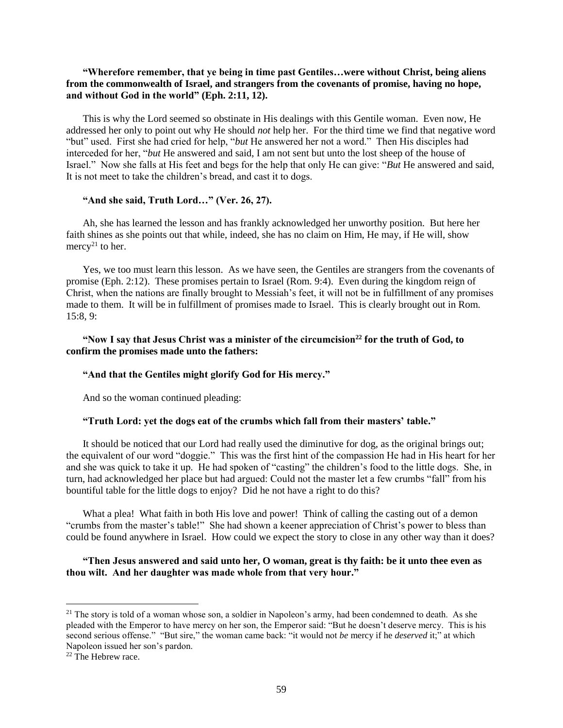# **"Wherefore remember, that ye being in time past Gentiles…were without Christ, being aliens from the commonwealth of Israel, and strangers from the covenants of promise, having no hope, and without God in the world" (Eph. 2:11, 12).**

This is why the Lord seemed so obstinate in His dealings with this Gentile woman. Even now, He addressed her only to point out why He should *not* help her. For the third time we find that negative word "but" used. First she had cried for help, "*but* He answered her not a word." Then His disciples had interceded for her, "*but* He answered and said, I am not sent but unto the lost sheep of the house of Israel." Now she falls at His feet and begs for the help that only He can give: "*But* He answered and said, It is not meet to take the children's bread, and cast it to dogs.

## **"And she said, Truth Lord…" (Ver. 26, 27).**

Ah, she has learned the lesson and has frankly acknowledged her unworthy position. But here her faith shines as she points out that while, indeed, she has no claim on Him, He may, if He will, show mercy<sup>21</sup> to her.

Yes, we too must learn this lesson. As we have seen, the Gentiles are strangers from the covenants of promise (Eph. 2:12). These promises pertain to Israel (Rom. 9:4). Even during the kingdom reign of Christ, when the nations are finally brought to Messiah's feet, it will not be in fulfillment of any promises made to them. It will be in fulfillment of promises made to Israel. This is clearly brought out in Rom. 15:8, 9:

# **"Now I say that Jesus Christ was a minister of the circumcision<sup>22</sup> for the truth of God, to confirm the promises made unto the fathers:**

# **"And that the Gentiles might glorify God for His mercy."**

And so the woman continued pleading:

### **"Truth Lord: yet the dogs eat of the crumbs which fall from their masters' table."**

It should be noticed that our Lord had really used the diminutive for dog, as the original brings out; the equivalent of our word "doggie." This was the first hint of the compassion He had in His heart for her and she was quick to take it up. He had spoken of "casting" the children's food to the little dogs. She, in turn, had acknowledged her place but had argued: Could not the master let a few crumbs "fall" from his bountiful table for the little dogs to enjoy? Did he not have a right to do this?

What a plea! What faith in both His love and power! Think of calling the casting out of a demon "crumbs from the master's table!" She had shown a keener appreciation of Christ's power to bless than could be found anywhere in Israel. How could we expect the story to close in any other way than it does?

# **"Then Jesus answered and said unto her, O woman, great is thy faith: be it unto thee even as thou wilt. And her daughter was made whole from that very hour."**

l

 $21$  The story is told of a woman whose son, a soldier in Napoleon's army, had been condemned to death. As she pleaded with the Emperor to have mercy on her son, the Emperor said: "But he doesn't deserve mercy. This is his second serious offense." "But sire," the woman came back: "it would not *be* mercy if he *deserved* it;" at which Napoleon issued her son's pardon.

<sup>&</sup>lt;sup>22</sup> The Hebrew race.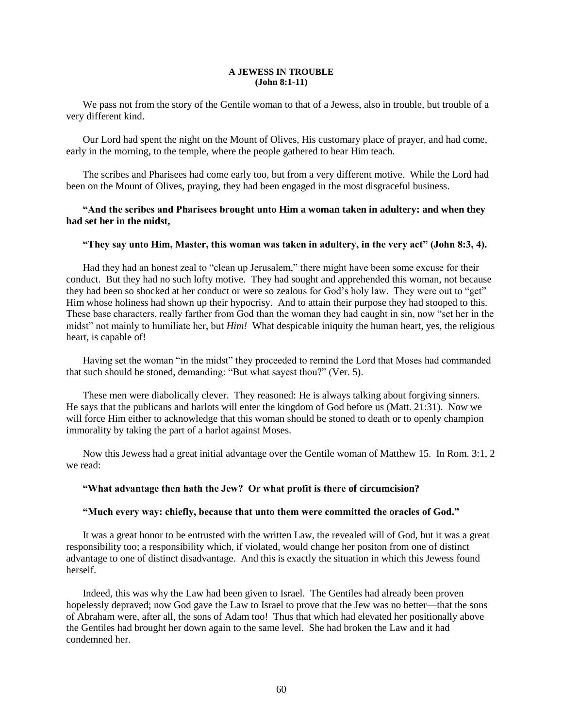#### **A JEWESS IN TROUBLE (John 8:1-11)**

We pass not from the story of the Gentile woman to that of a Jewess, also in trouble, but trouble of a very different kind.

Our Lord had spent the night on the Mount of Olives, His customary place of prayer, and had come, early in the morning, to the temple, where the people gathered to hear Him teach.

The scribes and Pharisees had come early too, but from a very different motive. While the Lord had been on the Mount of Olives, praying, they had been engaged in the most disgraceful business.

# **"And the scribes and Pharisees brought unto Him a woman taken in adultery: and when they had set her in the midst,**

#### **"They say unto Him, Master, this woman was taken in adultery, in the very act" (John 8:3, 4).**

Had they had an honest zeal to "clean up Jerusalem," there might have been some excuse for their conduct. But they had no such lofty motive. They had sought and apprehended this woman, not because they had been so shocked at her conduct or were so zealous for God's holy law. They were out to "get" Him whose holiness had shown up their hypocrisy. And to attain their purpose they had stooped to this. These base characters, really farther from God than the woman they had caught in sin, now "set her in the midst" not mainly to humiliate her, but *Him!* What despicable iniquity the human heart, yes, the religious heart, is capable of!

Having set the woman "in the midst" they proceeded to remind the Lord that Moses had commanded that such should be stoned, demanding: "But what sayest thou?" (Ver. 5).

These men were diabolically clever. They reasoned: He is always talking about forgiving sinners. He says that the publicans and harlots will enter the kingdom of God before us (Matt. 21:31). Now we will force Him either to acknowledge that this woman should be stoned to death or to openly champion immorality by taking the part of a harlot against Moses.

Now this Jewess had a great initial advantage over the Gentile woman of Matthew 15. In Rom. 3:1, 2 we read:

#### **"What advantage then hath the Jew? Or what profit is there of circumcision?**

#### **"Much every way: chiefly, because that unto them were committed the oracles of God."**

It was a great honor to be entrusted with the written Law, the revealed will of God, but it was a great responsibility too; a responsibility which, if violated, would change her positon from one of distinct advantage to one of distinct disadvantage. And this is exactly the situation in which this Jewess found herself.

Indeed, this was why the Law had been given to Israel. The Gentiles had already been proven hopelessly depraved; now God gave the Law to Israel to prove that the Jew was no better—that the sons of Abraham were, after all, the sons of Adam too! Thus that which had elevated her positionally above the Gentiles had brought her down again to the same level. She had broken the Law and it had condemned her.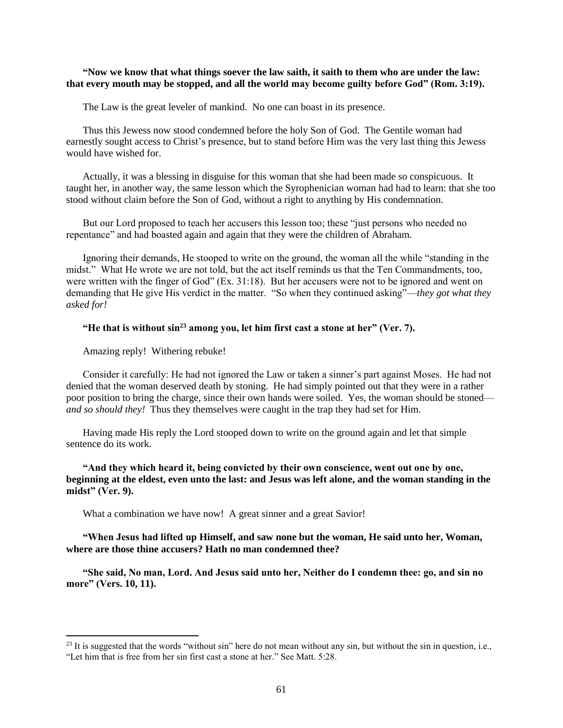#### **"Now we know that what things soever the law saith, it saith to them who are under the law: that every mouth may be stopped, and all the world may become guilty before God" (Rom. 3:19).**

The Law is the great leveler of mankind. No one can boast in its presence.

Thus this Jewess now stood condemned before the holy Son of God. The Gentile woman had earnestly sought access to Christ's presence, but to stand before Him was the very last thing this Jewess would have wished for.

Actually, it was a blessing in disguise for this woman that she had been made so conspicuous. It taught her, in another way, the same lesson which the Syrophenician woman had had to learn: that she too stood without claim before the Son of God, without a right to anything by His condemnation.

But our Lord proposed to teach her accusers this lesson too; these "just persons who needed no repentance" and had boasted again and again that they were the children of Abraham.

Ignoring their demands, He stooped to write on the ground, the woman all the while "standing in the midst." What He wrote we are not told, but the act itself reminds us that the Ten Commandments, too, were written with the finger of God" (Ex. 31:18). But her accusers were not to be ignored and went on demanding that He give His verdict in the matter. "So when they continued asking"—*they got what they asked for!*

# **"He that is without sin<sup>23</sup> among you, let him first cast a stone at her" (Ver. 7).**

#### Amazing reply! Withering rebuke!

 $\overline{a}$ 

Consider it carefully: He had not ignored the Law or taken a sinner's part against Moses. He had not denied that the woman deserved death by stoning. He had simply pointed out that they were in a rather poor position to bring the charge, since their own hands were soiled. Yes, the woman should be stoned *and so should they!* Thus they themselves were caught in the trap they had set for Him.

Having made His reply the Lord stooped down to write on the ground again and let that simple sentence do its work.

# **"And they which heard it, being convicted by their own conscience, went out one by one, beginning at the eldest, even unto the last: and Jesus was left alone, and the woman standing in the midst" (Ver. 9).**

What a combination we have now! A great sinner and a great Savior!

# **"When Jesus had lifted up Himself, and saw none but the woman, He said unto her, Woman, where are those thine accusers? Hath no man condemned thee?**

**"She said, No man, Lord. And Jesus said unto her, Neither do I condemn thee: go, and sin no more" (Vers. 10, 11).**

<sup>&</sup>lt;sup>23</sup> It is suggested that the words "without sin" here do not mean without any sin, but without the sin in question, i.e., "Let him that is free from her sin first cast a stone at her." See Matt. 5:28.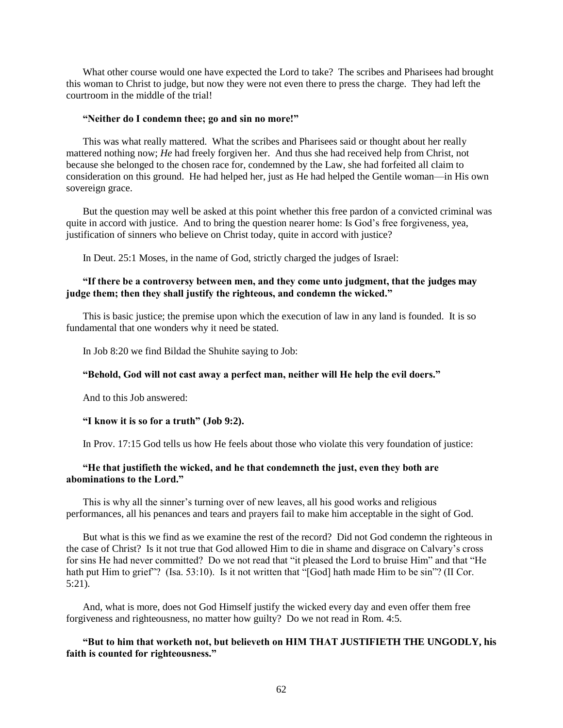What other course would one have expected the Lord to take? The scribes and Pharisees had brought this woman to Christ to judge, but now they were not even there to press the charge. They had left the courtroom in the middle of the trial!

#### **"Neither do I condemn thee; go and sin no more!"**

This was what really mattered. What the scribes and Pharisees said or thought about her really mattered nothing now; *He* had freely forgiven her. And thus she had received help from Christ, not because she belonged to the chosen race for, condemned by the Law, she had forfeited all claim to consideration on this ground. He had helped her, just as He had helped the Gentile woman—in His own sovereign grace.

But the question may well be asked at this point whether this free pardon of a convicted criminal was quite in accord with justice. And to bring the question nearer home: Is God's free forgiveness, yea, justification of sinners who believe on Christ today, quite in accord with justice?

In Deut. 25:1 Moses, in the name of God, strictly charged the judges of Israel:

# **"If there be a controversy between men, and they come unto judgment, that the judges may judge them; then they shall justify the righteous, and condemn the wicked."**

This is basic justice; the premise upon which the execution of law in any land is founded. It is so fundamental that one wonders why it need be stated.

In Job 8:20 we find Bildad the Shuhite saying to Job:

#### **"Behold, God will not cast away a perfect man, neither will He help the evil doers."**

And to this Job answered:

### **"I know it is so for a truth" (Job 9:2).**

In Prov. 17:15 God tells us how He feels about those who violate this very foundation of justice:

#### **"He that justifieth the wicked, and he that condemneth the just, even they both are abominations to the Lord."**

This is why all the sinner's turning over of new leaves, all his good works and religious performances, all his penances and tears and prayers fail to make him acceptable in the sight of God.

But what is this we find as we examine the rest of the record? Did not God condemn the righteous in the case of Christ? Is it not true that God allowed Him to die in shame and disgrace on Calvary's cross for sins He had never committed? Do we not read that "it pleased the Lord to bruise Him" and that "He hath put Him to grief"? (Isa. 53:10). Is it not written that "[God] hath made Him to be sin"? (II Cor. 5:21).

And, what is more, does not God Himself justify the wicked every day and even offer them free forgiveness and righteousness, no matter how guilty? Do we not read in Rom. 4:5.

# **"But to him that worketh not, but believeth on HIM THAT JUSTIFIETH THE UNGODLY, his faith is counted for righteousness."**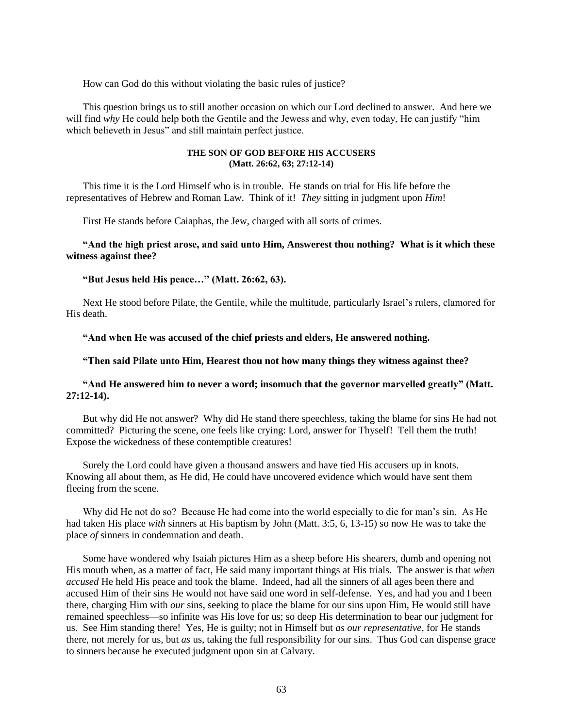How can God do this without violating the basic rules of justice?

This question brings us to still another occasion on which our Lord declined to answer. And here we will find *why* He could help both the Gentile and the Jewess and why, even today, He can justify "him which believeth in Jesus" and still maintain perfect justice.

#### **THE SON OF GOD BEFORE HIS ACCUSERS (Matt. 26:62, 63; 27:12-14)**

This time it is the Lord Himself who is in trouble. He stands on trial for His life before the representatives of Hebrew and Roman Law. Think of it! *They* sitting in judgment upon *Him*!

First He stands before Caiaphas, the Jew, charged with all sorts of crimes.

#### **"And the high priest arose, and said unto Him, Answerest thou nothing? What is it which these witness against thee?**

#### **"But Jesus held His peace…" (Matt. 26:62, 63).**

Next He stood before Pilate, the Gentile, while the multitude, particularly Israel's rulers, clamored for His death.

#### **"And when He was accused of the chief priests and elders, He answered nothing.**

**"Then said Pilate unto Him, Hearest thou not how many things they witness against thee?**

# **"And He answered him to never a word; insomuch that the governor marvelled greatly" (Matt. 27:12-14).**

But why did He not answer? Why did He stand there speechless, taking the blame for sins He had not committed? Picturing the scene, one feels like crying: Lord, answer for Thyself! Tell them the truth! Expose the wickedness of these contemptible creatures!

Surely the Lord could have given a thousand answers and have tied His accusers up in knots. Knowing all about them, as He did, He could have uncovered evidence which would have sent them fleeing from the scene.

Why did He not do so? Because He had come into the world especially to die for man's sin. As He had taken His place *with* sinners at His baptism by John (Matt. 3:5, 6, 13-15) so now He was to take the place *of* sinners in condemnation and death.

Some have wondered why Isaiah pictures Him as a sheep before His shearers, dumb and opening not His mouth when, as a matter of fact, He said many important things at His trials. The answer is that *when accused* He held His peace and took the blame. Indeed, had all the sinners of all ages been there and accused Him of their sins He would not have said one word in self-defense. Yes, and had you and I been there, charging Him with *our* sins, seeking to place the blame for our sins upon Him, He would still have remained speechless—so infinite was His love for us; so deep His determination to bear our judgment for us. See Him standing there! Yes, He is guilty; not in Himself but *as our representative*, for He stands there, not merely for us, but *as* us, taking the full responsibility for our sins. Thus God can dispense grace to sinners because he executed judgment upon sin at Calvary.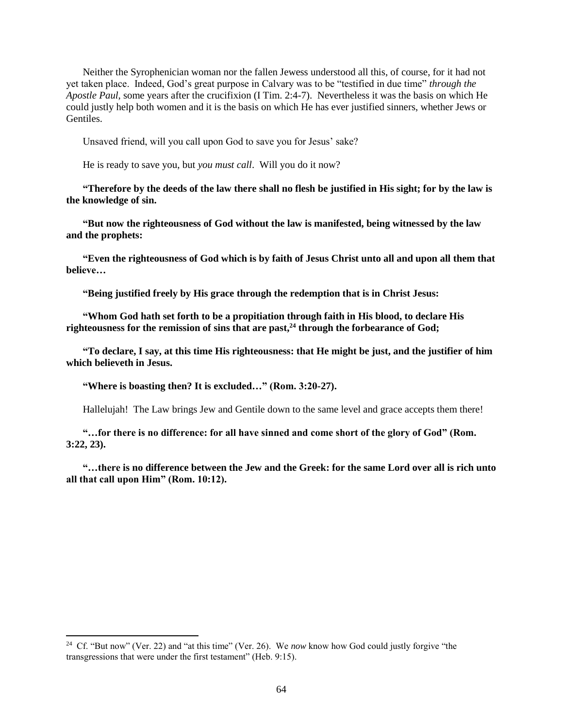Neither the Syrophenician woman nor the fallen Jewess understood all this, of course, for it had not yet taken place. Indeed, God's great purpose in Calvary was to be "testified in due time" *through the Apostle Paul*, some years after the crucifixion (I Tim. 2:4-7). Nevertheless it was the basis on which He could justly help both women and it is the basis on which He has ever justified sinners, whether Jews or Gentiles.

Unsaved friend, will you call upon God to save you for Jesus' sake?

He is ready to save you, but *you must call*. Will you do it now?

**"Therefore by the deeds of the law there shall no flesh be justified in His sight; for by the law is the knowledge of sin.**

**"But now the righteousness of God without the law is manifested, being witnessed by the law and the prophets:**

**"Even the righteousness of God which is by faith of Jesus Christ unto all and upon all them that believe…**

**"Being justified freely by His grace through the redemption that is in Christ Jesus:**

**"Whom God hath set forth to be a propitiation through faith in His blood, to declare His righteousness for the remission of sins that are past, <sup>24</sup> through the forbearance of God;** 

**"To declare, I say, at this time His righteousness: that He might be just, and the justifier of him which believeth in Jesus.**

**"Where is boasting then? It is excluded…" (Rom. 3:20-27).**

 $\overline{a}$ 

Hallelujah! The Law brings Jew and Gentile down to the same level and grace accepts them there!

**"…for there is no difference: for all have sinned and come short of the glory of God" (Rom. 3:22, 23).**

**"…there is no difference between the Jew and the Greek: for the same Lord over all is rich unto all that call upon Him" (Rom. 10:12).**

<sup>24</sup> Cf. "But now" (Ver. 22) and "at this time" (Ver. 26). We *now* know how God could justly forgive "the transgressions that were under the first testament" (Heb. 9:15).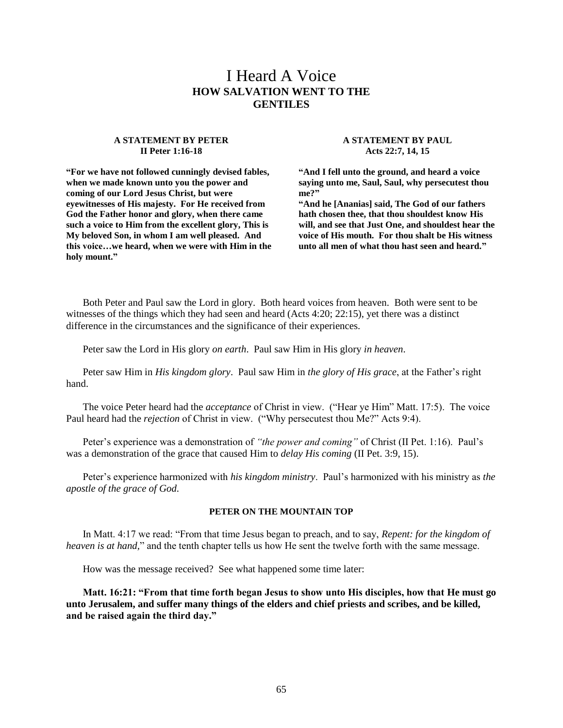# I Heard A Voice **HOW SALVATION WENT TO THE GENTILES**

#### **A STATEMENT BY PETER II Peter 1:16-18**

**"For we have not followed cunningly devised fables, when we made known unto you the power and coming of our Lord Jesus Christ, but were eyewitnesses of His majesty. For He received from God the Father honor and glory, when there came such a voice to Him from the excellent glory, This is My beloved Son, in whom I am well pleased. And this voice…we heard, when we were with Him in the holy mount."**

#### **A STATEMENT BY PAUL Acts 22:7, 14, 15**

**"And I fell unto the ground, and heard a voice saying unto me, Saul, Saul, why persecutest thou me?"**

**"And he [Ananias] said, The God of our fathers hath chosen thee, that thou shouldest know His will, and see that Just One, and shouldest hear the voice of His mouth. For thou shalt be His witness unto all men of what thou hast seen and heard."**

Both Peter and Paul saw the Lord in glory. Both heard voices from heaven. Both were sent to be witnesses of the things which they had seen and heard (Acts 4:20; 22:15), yet there was a distinct difference in the circumstances and the significance of their experiences.

Peter saw the Lord in His glory *on earth*. Paul saw Him in His glory *in heaven*.

Peter saw Him in *His kingdom glory*. Paul saw Him in *the glory of His grace*, at the Father's right hand.

The voice Peter heard had the *acceptance* of Christ in view. ("Hear ye Him" Matt. 17:5). The voice Paul heard had the *rejection* of Christ in view. ("Why persecutest thou Me?" Acts 9:4).

Peter's experience was a demonstration of *"the power and coming"* of Christ (II Pet. 1:16). Paul's was a demonstration of the grace that caused Him to *delay His coming* (II Pet. 3:9, 15).

Peter's experience harmonized with *his kingdom ministry*. Paul's harmonized with his ministry as *the apostle of the grace of God*.

#### **PETER ON THE MOUNTAIN TOP**

In Matt. 4:17 we read: "From that time Jesus began to preach, and to say, *Repent: for the kingdom of heaven is at hand,*" and the tenth chapter tells us how He sent the twelve forth with the same message.

How was the message received? See what happened some time later:

**Matt. 16:21: "From that time forth began Jesus to show unto His disciples, how that He must go unto Jerusalem, and suffer many things of the elders and chief priests and scribes, and be killed, and be raised again the third day."**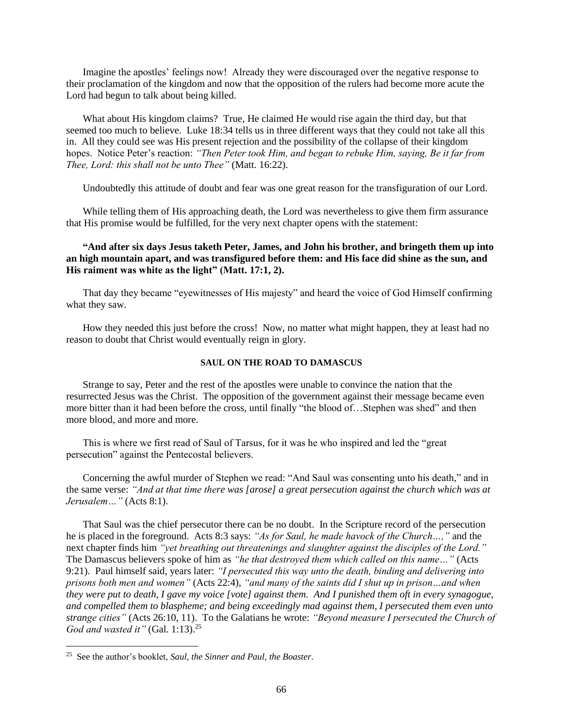Imagine the apostles' feelings now! Already they were discouraged over the negative response to their proclamation of the kingdom and now that the opposition of the rulers had become more acute the Lord had begun to talk about being killed.

What about His kingdom claims? True, He claimed He would rise again the third day, but that seemed too much to believe. Luke 18:34 tells us in three different ways that they could not take all this in. All they could see was His present rejection and the possibility of the collapse of their kingdom hopes. Notice Peter's reaction: *"Then Peter took Him, and began to rebuke Him, saying, Be it far from Thee, Lord: this shall not be unto Thee"* (Matt. 16:22).

Undoubtedly this attitude of doubt and fear was one great reason for the transfiguration of our Lord.

While telling them of His approaching death, the Lord was nevertheless to give them firm assurance that His promise would be fulfilled, for the very next chapter opens with the statement:

# **"And after six days Jesus taketh Peter, James, and John his brother, and bringeth them up into an high mountain apart, and was transfigured before them: and His face did shine as the sun, and His raiment was white as the light" (Matt. 17:1, 2).**

That day they became "eyewitnesses of His majesty" and heard the voice of God Himself confirming what they saw.

How they needed this just before the cross! Now, no matter what might happen, they at least had no reason to doubt that Christ would eventually reign in glory.

#### **SAUL ON THE ROAD TO DAMASCUS**

Strange to say, Peter and the rest of the apostles were unable to convince the nation that the resurrected Jesus was the Christ. The opposition of the government against their message became even more bitter than it had been before the cross, until finally "the blood of…Stephen was shed" and then more blood, and more and more.

This is where we first read of Saul of Tarsus, for it was he who inspired and led the "great persecution" against the Pentecostal believers.

Concerning the awful murder of Stephen we read: "And Saul was consenting unto his death," and in the same verse: *"And at that time there was [arose] a great persecution against the church which was at Jerusalem…"* (Acts 8:1).

That Saul was the chief persecutor there can be no doubt. In the Scripture record of the persecution he is placed in the foreground. Acts 8:3 says: *"As for Saul, he made havock of the Church…,"* and the next chapter finds him *"yet breathing out threatenings and slaughter against the disciples of the Lord."* The Damascus believers spoke of him as *"he that destroyed them which called on this name…"* (Acts 9:21). Paul himself said, years later: *"I persecuted this way unto the death, binding and delivering into prisons both men and women"* (Acts 22:4), *"and many of the saints did I shut up in prison…and when they were put to death, I gave my voice [vote] against them. And I punished them oft in every synagogue, and compelled them to blaspheme; and being exceedingly mad against them, I persecuted them even unto strange cities"* (Acts 26:10, 11). To the Galatians he wrote: *"Beyond measure I persecuted the Church of God and wasted it"* (Gal. 1:13).<sup>25</sup>

 $\overline{\phantom{a}}$ 

<sup>25</sup> See the author's booklet, *Saul, the Sinner and Paul, the Boaster*.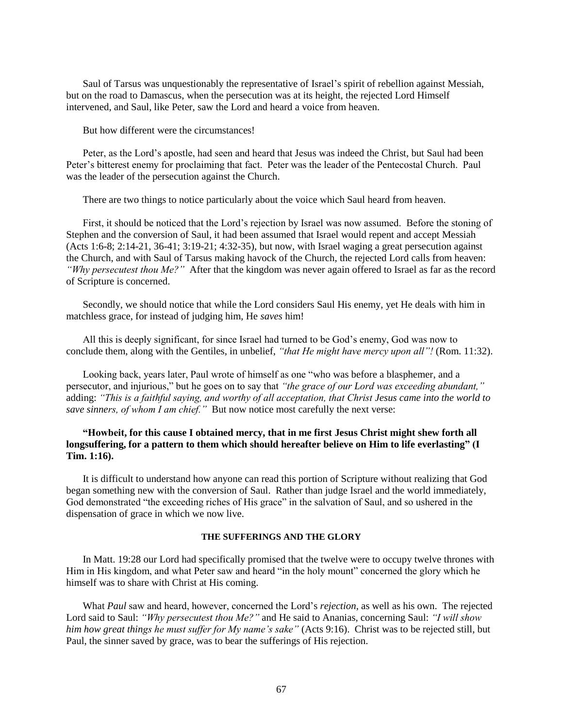Saul of Tarsus was unquestionably the representative of Israel's spirit of rebellion against Messiah, but on the road to Damascus, when the persecution was at its height, the rejected Lord Himself intervened, and Saul, like Peter, saw the Lord and heard a voice from heaven.

But how different were the circumstances!

Peter, as the Lord's apostle, had seen and heard that Jesus was indeed the Christ, but Saul had been Peter's bitterest enemy for proclaiming that fact. Peter was the leader of the Pentecostal Church. Paul was the leader of the persecution against the Church.

There are two things to notice particularly about the voice which Saul heard from heaven.

First, it should be noticed that the Lord's rejection by Israel was now assumed. Before the stoning of Stephen and the conversion of Saul, it had been assumed that Israel would repent and accept Messiah (Acts 1:6-8; 2:14-21, 36-41; 3:19-21; 4:32-35), but now, with Israel waging a great persecution against the Church, and with Saul of Tarsus making havock of the Church, the rejected Lord calls from heaven: *"Why persecutest thou Me?"* After that the kingdom was never again offered to Israel as far as the record of Scripture is concerned.

Secondly, we should notice that while the Lord considers Saul His enemy, yet He deals with him in matchless grace, for instead of judging him, He *saves* him!

All this is deeply significant, for since Israel had turned to be God's enemy, God was now to conclude them, along with the Gentiles, in unbelief, *"that He might have mercy upon all"!* (Rom. 11:32).

Looking back, years later, Paul wrote of himself as one "who was before a blasphemer, and a persecutor, and injurious," but he goes on to say that *"the grace of our Lord was exceeding abundant,"* adding: *"This is a faithful saying, and worthy of all acceptation, that Christ Jesus came into the world to save sinners, of whom I am chief."* But now notice most carefully the next verse:

# **"Howbeit, for this cause I obtained mercy, that in me first Jesus Christ might shew forth all longsuffering, for a pattern to them which should hereafter believe on Him to life everlasting" (I Tim. 1:16).**

It is difficult to understand how anyone can read this portion of Scripture without realizing that God began something new with the conversion of Saul. Rather than judge Israel and the world immediately, God demonstrated "the exceeding riches of His grace" in the salvation of Saul, and so ushered in the dispensation of grace in which we now live.

#### **THE SUFFERINGS AND THE GLORY**

In Matt. 19:28 our Lord had specifically promised that the twelve were to occupy twelve thrones with Him in His kingdom, and what Peter saw and heard "in the holy mount" concerned the glory which he himself was to share with Christ at His coming.

What *Paul* saw and heard, however, concerned the Lord's *rejection*, as well as his own. The rejected Lord said to Saul: *"Why persecutest thou Me?"* and He said to Ananias, concerning Saul: *"I will show him how great things he must suffer for My name's sake"* (Acts 9:16). Christ was to be rejected still, but Paul, the sinner saved by grace, was to bear the sufferings of His rejection.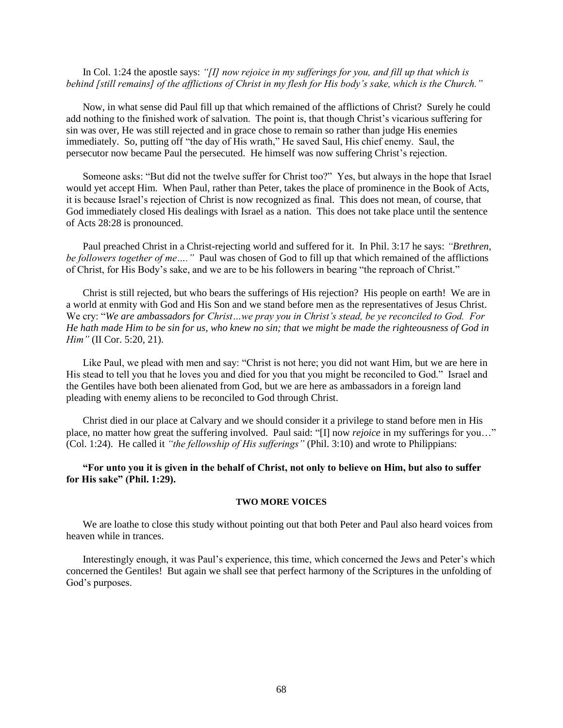In Col. 1:24 the apostle says: *"[I] now rejoice in my sufferings for you, and fill up that which is behind [still remains] of the afflictions of Christ in my flesh for His body's sake, which is the Church."*

Now, in what sense did Paul fill up that which remained of the afflictions of Christ? Surely he could add nothing to the finished work of salvation. The point is, that though Christ's vicarious suffering for sin was over, He was still rejected and in grace chose to remain so rather than judge His enemies immediately. So, putting off "the day of His wrath," He saved Saul, His chief enemy. Saul, the persecutor now became Paul the persecuted. He himself was now suffering Christ's rejection.

Someone asks: "But did not the twelve suffer for Christ too?" Yes, but always in the hope that Israel would yet accept Him. When Paul, rather than Peter, takes the place of prominence in the Book of Acts, it is because Israel's rejection of Christ is now recognized as final. This does not mean, of course, that God immediately closed His dealings with Israel as a nation. This does not take place until the sentence of Acts 28:28 is pronounced.

Paul preached Christ in a Christ-rejecting world and suffered for it. In Phil. 3:17 he says: *"Brethren, be followers together of me…."* Paul was chosen of God to fill up that which remained of the afflictions of Christ, for His Body's sake, and we are to be his followers in bearing "the reproach of Christ."

Christ is still rejected, but who bears the sufferings of His rejection? His people on earth! We are in a world at enmity with God and His Son and we stand before men as the representatives of Jesus Christ. We cry: "*We are ambassadors for Christ…we pray you in Christ's stead, be ye reconciled to God. For He hath made Him to be sin for us, who knew no sin; that we might be made the righteousness of God in Him*" (II Cor. 5:20, 21).

Like Paul, we plead with men and say: "Christ is not here; you did not want Him, but we are here in His stead to tell you that he loves you and died for you that you might be reconciled to God." Israel and the Gentiles have both been alienated from God, but we are here as ambassadors in a foreign land pleading with enemy aliens to be reconciled to God through Christ.

Christ died in our place at Calvary and we should consider it a privilege to stand before men in His place, no matter how great the suffering involved. Paul said: "[I] now *rejoice* in my sufferings for you…" (Col. 1:24). He called it *"the fellowship of His sufferings"* (Phil. 3:10) and wrote to Philippians:

**"For unto you it is given in the behalf of Christ, not only to believe on Him, but also to suffer for His sake" (Phil. 1:29).**

#### **TWO MORE VOICES**

We are loathe to close this study without pointing out that both Peter and Paul also heard voices from heaven while in trances.

Interestingly enough, it was Paul's experience, this time, which concerned the Jews and Peter's which concerned the Gentiles! But again we shall see that perfect harmony of the Scriptures in the unfolding of God's purposes.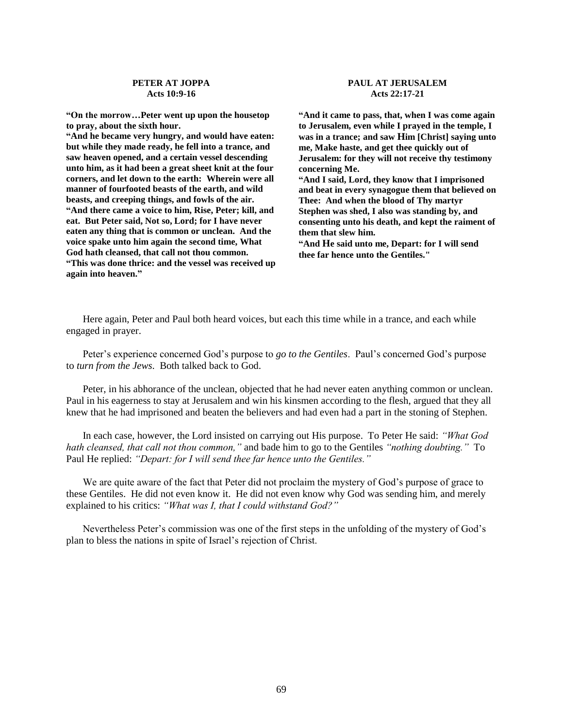#### **PETER AT JOPPA Acts 10:9-16**

**"On the morrow…Peter went up upon the housetop to pray, about the sixth hour.**

**"And he became very hungry, and would have eaten: but while they made ready, he fell into a trance, and saw heaven opened, and a certain vessel descending unto him, as it had been a great sheet knit at the four corners, and let down to the earth: Wherein were all manner of fourfooted beasts of the earth, and wild beasts, and creeping things, and fowls of the air. "And there came a voice to him, Rise, Peter; kill, and eat. But Peter said, Not so, Lord; for I have never eaten any thing that is common or unclean. And the voice spake unto him again the second time, What God hath cleansed, that call not thou common. "This was done thrice: and the vessel was received up again into heaven."**

#### **PAUL AT JERUSALEM Acts 22:17-21**

**"And it came to pass, that, when I was come again to Jerusalem, even while I prayed in the temple, I was in a trance; and saw Him [Christ] saying unto me, Make haste, and get thee quickly out of Jerusalem: for they will not receive thy testimony concerning Me.**

**"And I said, Lord, they know that I imprisoned and beat in every synagogue them that believed on Thee: And when the blood of Thy martyr Stephen was shed, I also was standing by, and consenting unto his death, and kept the raiment of them that slew him.**

**"And He said unto me, Depart: for I will send thee far hence unto the Gentiles."**

Here again, Peter and Paul both heard voices, but each this time while in a trance, and each while engaged in prayer.

Peter's experience concerned God's purpose to *go to the Gentiles*. Paul's concerned God's purpose to *turn from the Jews*. Both talked back to God.

Peter, in his abhorance of the unclean, objected that he had never eaten anything common or unclean. Paul in his eagerness to stay at Jerusalem and win his kinsmen according to the flesh, argued that they all knew that he had imprisoned and beaten the believers and had even had a part in the stoning of Stephen.

In each case, however, the Lord insisted on carrying out His purpose. To Peter He said: *"What God hath cleansed, that call not thou common,"* and bade him to go to the Gentiles *"nothing doubting."* To Paul He replied: *"Depart: for I will send thee far hence unto the Gentiles."*

We are quite aware of the fact that Peter did not proclaim the mystery of God's purpose of grace to these Gentiles. He did not even know it. He did not even know why God was sending him, and merely explained to his critics: *"What was I, that I could withstand God?"*

Nevertheless Peter's commission was one of the first steps in the unfolding of the mystery of God's plan to bless the nations in spite of Israel's rejection of Christ.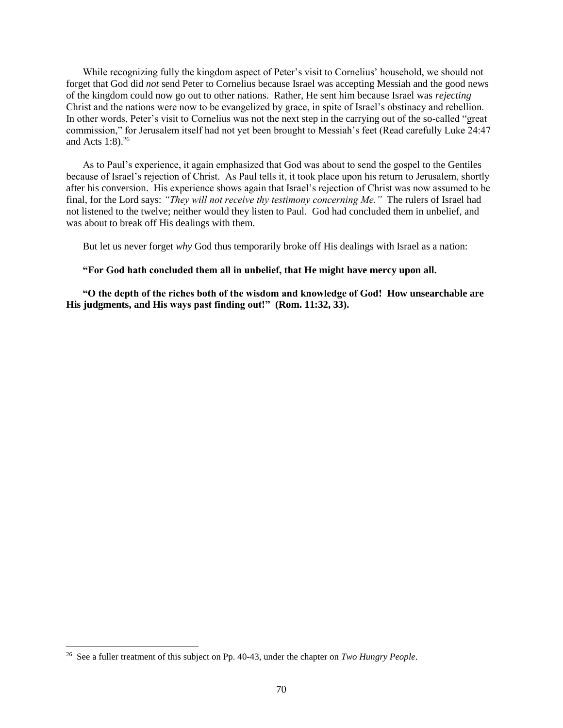While recognizing fully the kingdom aspect of Peter's visit to Cornelius' household, we should not forget that God did *not* send Peter to Cornelius because Israel was accepting Messiah and the good news of the kingdom could now go out to other nations. Rather, He sent him because Israel was *rejecting* Christ and the nations were now to be evangelized by grace, in spite of Israel's obstinacy and rebellion. In other words, Peter's visit to Cornelius was not the next step in the carrying out of the so-called "great commission," for Jerusalem itself had not yet been brought to Messiah's feet (Read carefully Luke 24:47 and Acts 1:8).<sup>26</sup>

As to Paul's experience, it again emphasized that God was about to send the gospel to the Gentiles because of Israel's rejection of Christ. As Paul tells it, it took place upon his return to Jerusalem, shortly after his conversion. His experience shows again that Israel's rejection of Christ was now assumed to be final, for the Lord says: *"They will not receive thy testimony concerning Me."* The rulers of Israel had not listened to the twelve; neither would they listen to Paul. God had concluded them in unbelief, and was about to break off His dealings with them.

But let us never forget *why* God thus temporarily broke off His dealings with Israel as a nation:

#### **"For God hath concluded them all in unbelief, that He might have mercy upon all.**

**"O the depth of the riches both of the wisdom and knowledge of God! How unsearchable are His judgments, and His ways past finding out!" (Rom. 11:32, 33).**

 $\overline{\phantom{a}}$ 

<sup>26</sup> See a fuller treatment of this subject on Pp. 40-43, under the chapter on *Two Hungry People*.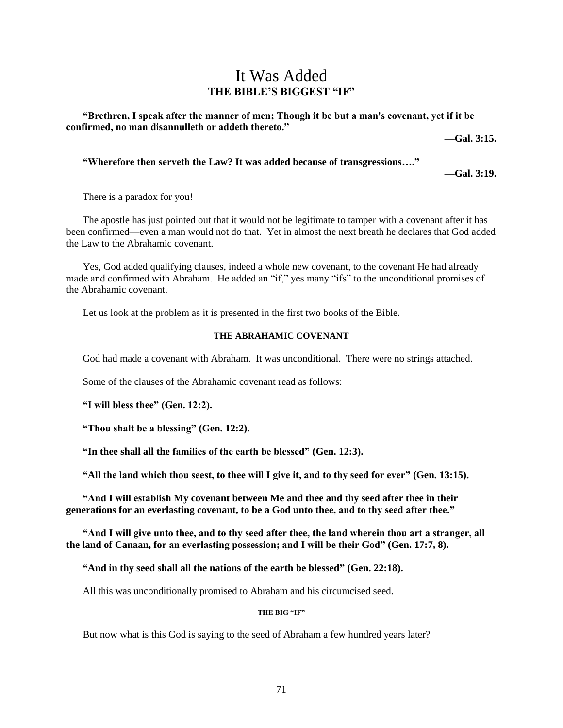# It Was Added **THE BIBLE'S BIGGEST "IF"**

**"Brethren, I speak after the manner of men; Though it be but a man's covenant, yet if it be confirmed, no man disannulleth or addeth thereto."**

**—Gal. 3:15.**

### **"Wherefore then serveth the Law? It was added because of transgressions…."**

**—Gal. 3:19.**

There is a paradox for you!

The apostle has just pointed out that it would not be legitimate to tamper with a covenant after it has been confirmed—even a man would not do that. Yet in almost the next breath he declares that God added the Law to the Abrahamic covenant.

Yes, God added qualifying clauses, indeed a whole new covenant, to the covenant He had already made and confirmed with Abraham. He added an "if," yes many "ifs" to the unconditional promises of the Abrahamic covenant.

Let us look at the problem as it is presented in the first two books of the Bible.

#### **THE ABRAHAMIC COVENANT**

God had made a covenant with Abraham. It was unconditional. There were no strings attached.

Some of the clauses of the Abrahamic covenant read as follows:

**"I will bless thee" (Gen. 12:2).**

**"Thou shalt be a blessing" (Gen. 12:2).**

**"In thee shall all the families of the earth be blessed" (Gen. 12:3).**

**"All the land which thou seest, to thee will I give it, and to thy seed for ever" (Gen. 13:15).**

**"And I will establish My covenant between Me and thee and thy seed after thee in their generations for an everlasting covenant, to be a God unto thee, and to thy seed after thee."**

**"And I will give unto thee, and to thy seed after thee, the land wherein thou art a stranger, all the land of Canaan, for an everlasting possession; and I will be their God" (Gen. 17:7, 8).**

**"And in thy seed shall all the nations of the earth be blessed" (Gen. 22:18).**

All this was unconditionally promised to Abraham and his circumcised seed.

**THE BIG "IF"**

But now what is this God is saying to the seed of Abraham a few hundred years later?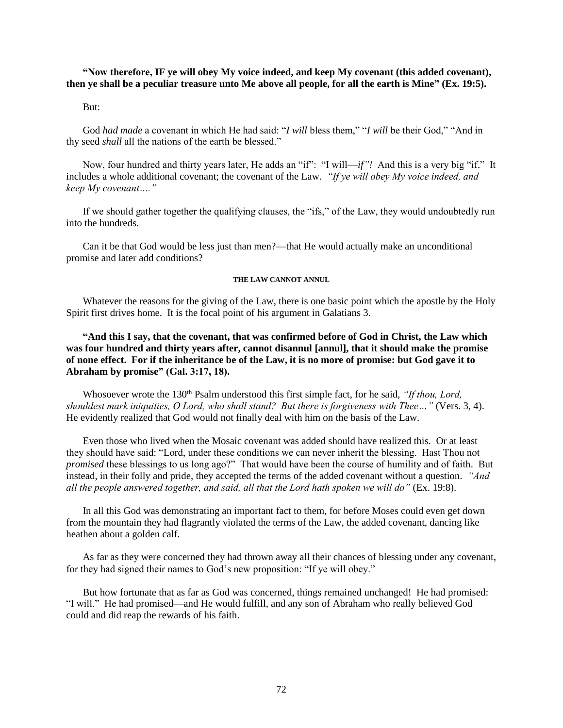# **"Now therefore, IF ye will obey My voice indeed, and keep My covenant (this added covenant), then ye shall be a peculiar treasure unto Me above all people, for all the earth is Mine" (Ex. 19:5).**

#### But:

God *had made* a covenant in which He had said: "*I will* bless them," "*I will* be their God," "And in thy seed *shall* all the nations of the earth be blessed."

Now, four hundred and thirty years later, He adds an "if": "I will—*if"!* And this is a very big "if." It includes a whole additional covenant; the covenant of the Law. *"If ye will obey My voice indeed, and keep My covenant…."*

If we should gather together the qualifying clauses, the "ifs," of the Law, they would undoubtedly run into the hundreds.

Can it be that God would be less just than men?—that He would actually make an unconditional promise and later add conditions?

#### **THE LAW CANNOT ANNUL**

Whatever the reasons for the giving of the Law, there is one basic point which the apostle by the Holy Spirit first drives home. It is the focal point of his argument in Galatians 3.

**"And this I say, that the covenant, that was confirmed before of God in Christ, the Law which was four hundred and thirty years after, cannot disannul [annul], that it should make the promise of none effect. For if the inheritance be of the Law, it is no more of promise: but God gave it to Abraham by promise" (Gal. 3:17, 18).**

Whosoever wrote the 130<sup>th</sup> Psalm understood this first simple fact, for he said, *"If thou, Lord, shouldest mark iniquities, O Lord, who shall stand? But there is forgiveness with Thee…"* (Vers. 3, 4). He evidently realized that God would not finally deal with him on the basis of the Law.

Even those who lived when the Mosaic covenant was added should have realized this. Or at least they should have said: "Lord, under these conditions we can never inherit the blessing. Hast Thou not *promised* these blessings to us long ago?" That would have been the course of humility and of faith. But instead, in their folly and pride, they accepted the terms of the added covenant without a question. *"And all the people answered together, and said, all that the Lord hath spoken we will do"* (Ex. 19:8).

In all this God was demonstrating an important fact to them, for before Moses could even get down from the mountain they had flagrantly violated the terms of the Law, the added covenant, dancing like heathen about a golden calf.

As far as they were concerned they had thrown away all their chances of blessing under any covenant, for they had signed their names to God's new proposition: "If ye will obey."

But how fortunate that as far as God was concerned, things remained unchanged! He had promised: "I will." He had promised—and He would fulfill, and any son of Abraham who really believed God could and did reap the rewards of his faith.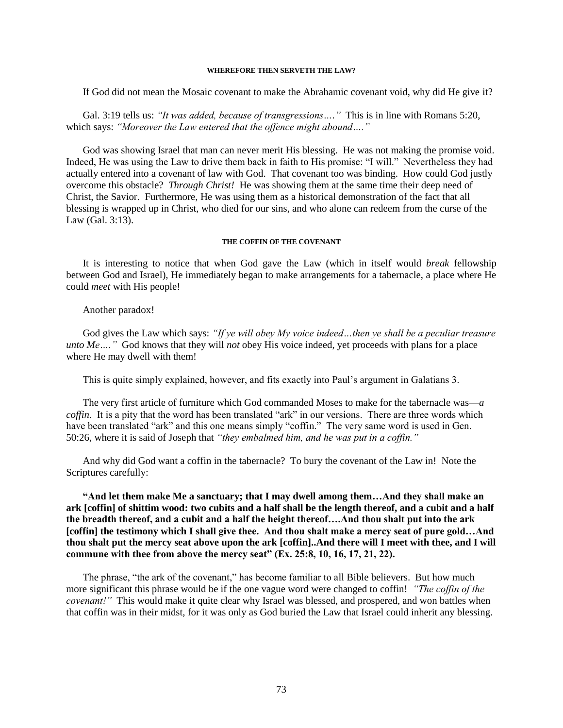#### **WHEREFORE THEN SERVETH THE LAW?**

If God did not mean the Mosaic covenant to make the Abrahamic covenant void, why did He give it?

Gal. 3:19 tells us: *"It was added, because of transgressions…."* This is in line with Romans 5:20, which says: *"Moreover the Law entered that the offence might abound…."*

God was showing Israel that man can never merit His blessing. He was not making the promise void. Indeed, He was using the Law to drive them back in faith to His promise: "I will." Nevertheless they had actually entered into a covenant of law with God. That covenant too was binding. How could God justly overcome this obstacle? *Through Christ!* He was showing them at the same time their deep need of Christ, the Savior. Furthermore, He was using them as a historical demonstration of the fact that all blessing is wrapped up in Christ, who died for our sins, and who alone can redeem from the curse of the Law (Gal. 3:13).

#### **THE COFFIN OF THE COVENANT**

It is interesting to notice that when God gave the Law (which in itself would *break* fellowship between God and Israel), He immediately began to make arrangements for a tabernacle, a place where He could *meet* with His people!

Another paradox!

God gives the Law which says: *"If ye will obey My voice indeed…then ye shall be a peculiar treasure unto Me…."* God knows that they will *not* obey His voice indeed, yet proceeds with plans for a place where He may dwell with them!

This is quite simply explained, however, and fits exactly into Paul's argument in Galatians 3.

The very first article of furniture which God commanded Moses to make for the tabernacle was—*a coffin*. It is a pity that the word has been translated "ark" in our versions. There are three words which have been translated "ark" and this one means simply "coffin." The very same word is used in Gen. 50:26, where it is said of Joseph that *"they embalmed him, and he was put in a coffin."*

And why did God want a coffin in the tabernacle? To bury the covenant of the Law in! Note the Scriptures carefully:

**"And let them make Me a sanctuary; that I may dwell among them…And they shall make an ark [coffin] of shittim wood: two cubits and a half shall be the length thereof, and a cubit and a half the breadth thereof, and a cubit and a half the height thereof….And thou shalt put into the ark [coffin] the testimony which I shall give thee. And thou shalt make a mercy seat of pure gold…And thou shalt put the mercy seat above upon the ark [coffin]..And there will I meet with thee, and I will commune with thee from above the mercy seat" (Ex. 25:8, 10, 16, 17, 21, 22).**

The phrase, "the ark of the covenant," has become familiar to all Bible believers. But how much more significant this phrase would be if the one vague word were changed to coffin! *"The coffin of the covenant!"* This would make it quite clear why Israel was blessed, and prospered, and won battles when that coffin was in their midst, for it was only as God buried the Law that Israel could inherit any blessing.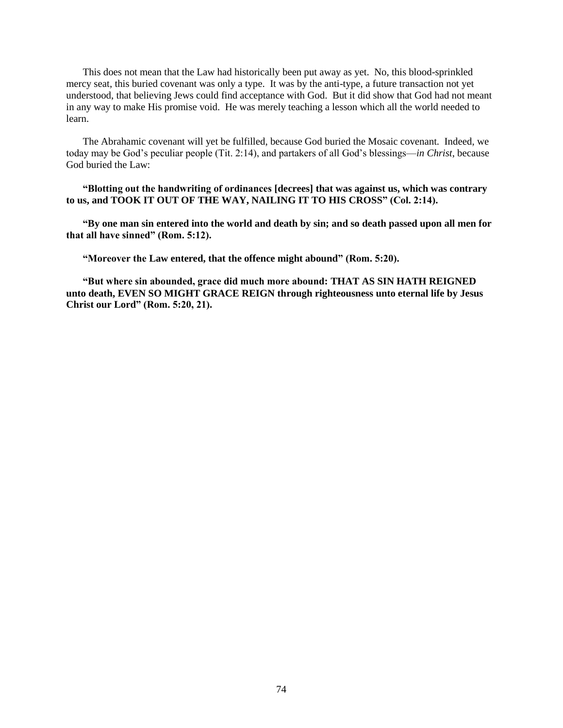This does not mean that the Law had historically been put away as yet. No, this blood-sprinkled mercy seat, this buried covenant was only a type. It was by the anti-type, a future transaction not yet understood, that believing Jews could find acceptance with God. But it did show that God had not meant in any way to make His promise void. He was merely teaching a lesson which all the world needed to learn.

The Abrahamic covenant will yet be fulfilled, because God buried the Mosaic covenant. Indeed, we today may be God's peculiar people (Tit. 2:14), and partakers of all God's blessings—*in Christ*, because God buried the Law:

**"Blotting out the handwriting of ordinances [decrees] that was against us, which was contrary to us, and TOOK IT OUT OF THE WAY, NAILING IT TO HIS CROSS" (Col. 2:14).**

**"By one man sin entered into the world and death by sin; and so death passed upon all men for that all have sinned" (Rom. 5:12).**

**"Moreover the Law entered, that the offence might abound" (Rom. 5:20).**

**"But where sin abounded, grace did much more abound: THAT AS SIN HATH REIGNED unto death, EVEN SO MIGHT GRACE REIGN through righteousness unto eternal life by Jesus Christ our Lord" (Rom. 5:20, 21).**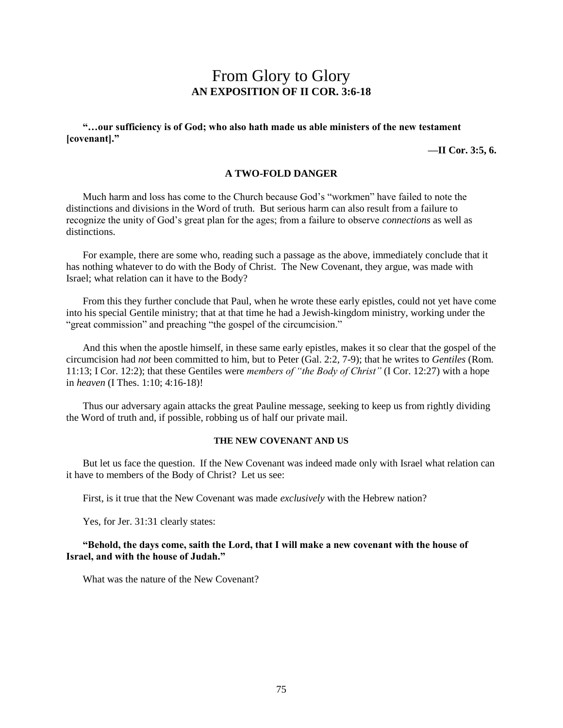## From Glory to Glory **AN EXPOSITION OF II COR. 3:6-18**

**"…our sufficiency is of God; who also hath made us able ministers of the new testament [covenant]."**

**—II Cor. 3:5, 6.**

## **A TWO-FOLD DANGER**

Much harm and loss has come to the Church because God's "workmen" have failed to note the distinctions and divisions in the Word of truth. But serious harm can also result from a failure to recognize the unity of God's great plan for the ages; from a failure to observe *connections* as well as distinctions.

For example, there are some who, reading such a passage as the above, immediately conclude that it has nothing whatever to do with the Body of Christ. The New Covenant, they argue, was made with Israel; what relation can it have to the Body?

From this they further conclude that Paul, when he wrote these early epistles, could not yet have come into his special Gentile ministry; that at that time he had a Jewish-kingdom ministry, working under the "great commission" and preaching "the gospel of the circumcision."

And this when the apostle himself, in these same early epistles, makes it so clear that the gospel of the circumcision had *not* been committed to him, but to Peter (Gal. 2:2, 7-9); that he writes to *Gentiles* (Rom. 11:13; I Cor. 12:2); that these Gentiles were *members of "the Body of Christ"* (I Cor. 12:27) with a hope in *heaven* (I Thes. 1:10; 4:16-18)!

Thus our adversary again attacks the great Pauline message, seeking to keep us from rightly dividing the Word of truth and, if possible, robbing us of half our private mail.

## **THE NEW COVENANT AND US**

But let us face the question. If the New Covenant was indeed made only with Israel what relation can it have to members of the Body of Christ? Let us see:

First, is it true that the New Covenant was made *exclusively* with the Hebrew nation?

Yes, for Jer. 31:31 clearly states:

## **"Behold, the days come, saith the Lord, that I will make a new covenant with the house of Israel, and with the house of Judah."**

What was the nature of the New Covenant?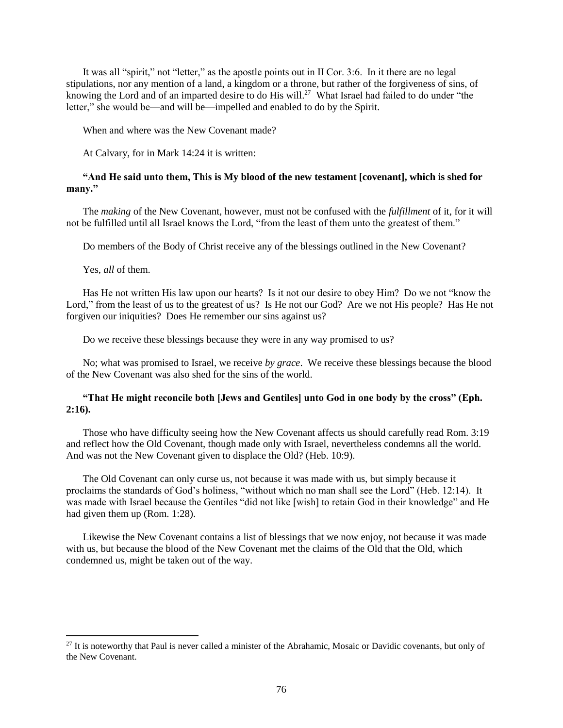It was all "spirit," not "letter," as the apostle points out in II Cor. 3:6. In it there are no legal stipulations, nor any mention of a land, a kingdom or a throne, but rather of the forgiveness of sins, of knowing the Lord and of an imparted desire to do His will.<sup>27</sup> What Israel had failed to do under "the letter," she would be—and will be—impelled and enabled to do by the Spirit.

When and where was the New Covenant made?

At Calvary, for in Mark 14:24 it is written:

## **"And He said unto them, This is My blood of the new testament [covenant], which is shed for many."**

The *making* of the New Covenant, however, must not be confused with the *fulfillment* of it, for it will not be fulfilled until all Israel knows the Lord, "from the least of them unto the greatest of them."

Do members of the Body of Christ receive any of the blessings outlined in the New Covenant?

Yes, *all* of them.

 $\overline{a}$ 

Has He not written His law upon our hearts? Is it not our desire to obey Him? Do we not "know the Lord," from the least of us to the greatest of us? Is He not our God? Are we not His people? Has He not forgiven our iniquities? Does He remember our sins against us?

Do we receive these blessings because they were in any way promised to us?

No; what was promised to Israel, we receive *by grace*. We receive these blessings because the blood of the New Covenant was also shed for the sins of the world.

## **"That He might reconcile both [Jews and Gentiles] unto God in one body by the cross" (Eph. 2:16).**

Those who have difficulty seeing how the New Covenant affects us should carefully read Rom. 3:19 and reflect how the Old Covenant, though made only with Israel, nevertheless condemns all the world. And was not the New Covenant given to displace the Old? (Heb. 10:9).

The Old Covenant can only curse us, not because it was made with us, but simply because it proclaims the standards of God's holiness, "without which no man shall see the Lord" (Heb. 12:14). It was made with Israel because the Gentiles "did not like [wish] to retain God in their knowledge" and He had given them up (Rom. 1:28).

Likewise the New Covenant contains a list of blessings that we now enjoy, not because it was made with us, but because the blood of the New Covenant met the claims of the Old that the Old, which condemned us, might be taken out of the way.

<sup>&</sup>lt;sup>27</sup> It is noteworthy that Paul is never called a minister of the Abrahamic, Mosaic or Davidic covenants, but only of the New Covenant.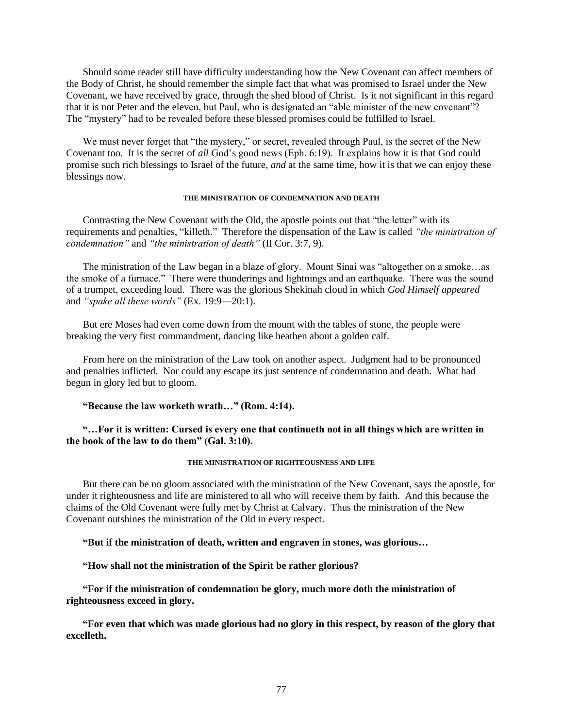Should some reader still have difficulty understanding how the New Covenant can affect members of the Body of Christ, he should remember the simple fact that what was promised to Israel under the New Covenant, we have received by grace, through the shed blood of Christ. Is it not significant in this regard that it is not Peter and the eleven, but Paul, who is designated an "able minister of the new covenant"? The "mystery" had to be revealed before these blessed promises could be fulfilled to Israel.

We must never forget that "the mystery," or secret, revealed through Paul, is the secret of the New Covenant too. It is the secret of *all* God's good news (Eph. 6:19). It explains how it is that God could promise such rich blessings to Israel of the future, *and* at the same time, how it is that we can enjoy these blessings now.

#### **THE MINISTRATION OF CONDEMNATION AND DEATH**

Contrasting the New Covenant with the Old, the apostle points out that "the letter" with its requirements and penalties, "killeth." Therefore the dispensation of the Law is called *"the ministration of condemnation"* and *"the ministration of death"* (II Cor. 3:7, 9).

The ministration of the Law began in a blaze of glory. Mount Sinai was "altogether on a smoke…as the smoke of a furnace." There were thunderings and lightnings and an earthquake. There was the sound of a trumpet, exceeding loud. There was the glorious Shekinah cloud in which *God Himself appeared* and *"spake all these words"* (Ex. 19:9—20:1).

But ere Moses had even come down from the mount with the tables of stone, the people were breaking the very first commandment, dancing like heathen about a golden calf.

From here on the ministration of the Law took on another aspect. Judgment had to be pronounced and penalties inflicted. Nor could any escape its just sentence of condemnation and death. What had begun in glory led but to gloom.

#### **"Because the law worketh wrath…" (Rom. 4:14).**

**"…For it is written: Cursed is every one that continueth not in all things which are written in the book of the law to do them" (Gal. 3:10).** 

#### **THE MINISTRATION OF RIGHTEOUSNESS AND LIFE**

But there can be no gloom associated with the ministration of the New Covenant, says the apostle, for under it righteousness and life are ministered to all who will receive them by faith. And this because the claims of the Old Covenant were fully met by Christ at Calvary. Thus the ministration of the New Covenant outshines the ministration of the Old in every respect.

**"But if the ministration of death, written and engraven in stones, was glorious…**

#### **"How shall not the ministration of the Spirit be rather glorious?**

**"For if the ministration of condemnation be glory, much more doth the ministration of righteousness exceed in glory.**

**"For even that which was made glorious had no glory in this respect, by reason of the glory that excelleth.**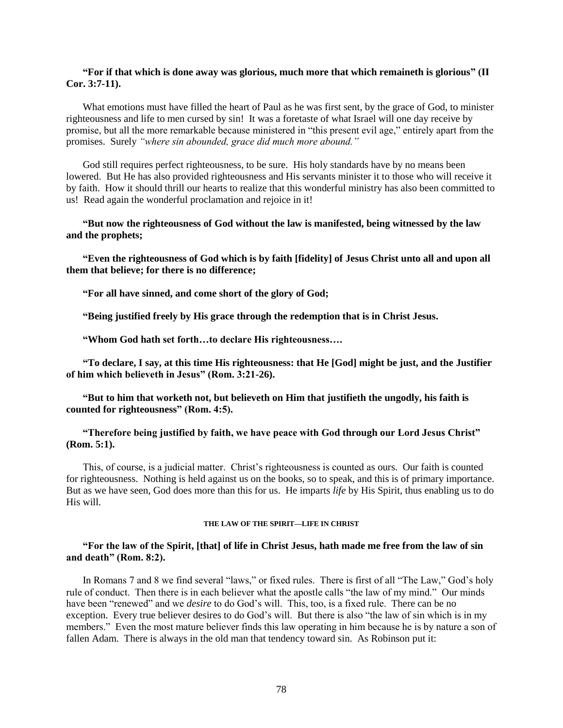#### **"For if that which is done away was glorious, much more that which remaineth is glorious" (II Cor. 3:7-11).**

What emotions must have filled the heart of Paul as he was first sent, by the grace of God, to minister righteousness and life to men cursed by sin! It was a foretaste of what Israel will one day receive by promise, but all the more remarkable because ministered in "this present evil age," entirely apart from the promises. Surely *"where sin abounded, grace did much more abound."*

God still requires perfect righteousness, to be sure. His holy standards have by no means been lowered. But He has also provided righteousness and His servants minister it to those who will receive it by faith. How it should thrill our hearts to realize that this wonderful ministry has also been committed to us! Read again the wonderful proclamation and rejoice in it!

#### **"But now the righteousness of God without the law is manifested, being witnessed by the law and the prophets;**

**"Even the righteousness of God which is by faith [fidelity] of Jesus Christ unto all and upon all them that believe; for there is no difference;**

**"For all have sinned, and come short of the glory of God;**

**"Being justified freely by His grace through the redemption that is in Christ Jesus.**

**"Whom God hath set forth…to declare His righteousness….**

**"To declare, I say, at this time His righteousness: that He [God] might be just, and the Justifier of him which believeth in Jesus" (Rom. 3:21-26).**

**"But to him that worketh not, but believeth on Him that justifieth the ungodly, his faith is counted for righteousness" (Rom. 4:5).**

## **"Therefore being justified by faith, we have peace with God through our Lord Jesus Christ" (Rom. 5:1).**

This, of course, is a judicial matter. Christ's righteousness is counted as ours. Our faith is counted for righteousness. Nothing is held against us on the books, so to speak, and this is of primary importance. But as we have seen, God does more than this for us. He imparts *life* by His Spirit, thus enabling us to do His will.

#### **THE LAW OF THE SPIRIT—LIFE IN CHRIST**

## **"For the law of the Spirit, [that] of life in Christ Jesus, hath made me free from the law of sin and death" (Rom. 8:2).**

In Romans 7 and 8 we find several "laws," or fixed rules. There is first of all "The Law," God's holy rule of conduct. Then there is in each believer what the apostle calls "the law of my mind." Our minds have been "renewed" and we *desire* to do God's will. This, too, is a fixed rule. There can be no exception. Every true believer desires to do God's will. But there is also "the law of sin which is in my members." Even the most mature believer finds this law operating in him because he is by nature a son of fallen Adam. There is always in the old man that tendency toward sin. As Robinson put it: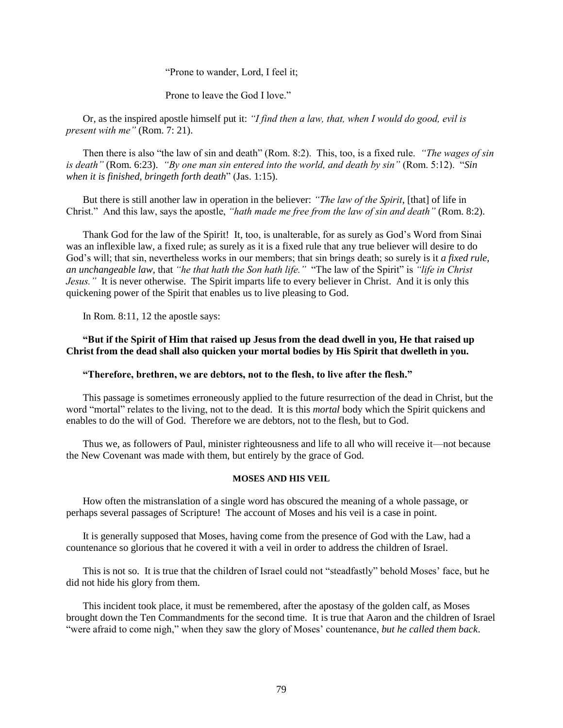"Prone to wander, Lord, I feel it;

Prone to leave the God I love."

Or, as the inspired apostle himself put it: *"I find then a law, that, when I would do good, evil is present with me"* (Rom. 7: 21).

Then there is also "the law of sin and death" (Rom. 8:2). This, too, is a fixed rule. *"The wages of sin is death"* (Rom. 6:23). *"By one man sin entered into the world, and death by sin"* (Rom. 5:12). "*Sin when it is finished, bringeth forth death*" (Jas. 1:15).

But there is still another law in operation in the believer: *"The law of the Spirit*, [that] of life in Christ." And this law, says the apostle, *"hath made me free from the law of sin and death"* (Rom. 8:2).

Thank God for the law of the Spirit! It, too, is unalterable, for as surely as God's Word from Sinai was an inflexible law, a fixed rule; as surely as it is a fixed rule that any true believer will desire to do God's will; that sin, nevertheless works in our members; that sin brings death; so surely is it *a fixed rule, an unchangeable law,* that *"he that hath the Son hath life."* "The law of the Spirit" is *"life in Christ Jesus.*" It is never otherwise. The Spirit imparts life to every believer in Christ. And it is only this quickening power of the Spirit that enables us to live pleasing to God.

In Rom. 8:11, 12 the apostle says:

## **"But if the Spirit of Him that raised up Jesus from the dead dwell in you, He that raised up Christ from the dead shall also quicken your mortal bodies by His Spirit that dwelleth in you.**

#### **"Therefore, brethren, we are debtors, not to the flesh, to live after the flesh."**

This passage is sometimes erroneously applied to the future resurrection of the dead in Christ, but the word "mortal" relates to the living, not to the dead. It is this *mortal* body which the Spirit quickens and enables to do the will of God. Therefore we are debtors, not to the flesh, but to God.

Thus we, as followers of Paul, minister righteousness and life to all who will receive it—not because the New Covenant was made with them, but entirely by the grace of God.

#### **MOSES AND HIS VEIL**

How often the mistranslation of a single word has obscured the meaning of a whole passage, or perhaps several passages of Scripture! The account of Moses and his veil is a case in point.

It is generally supposed that Moses, having come from the presence of God with the Law, had a countenance so glorious that he covered it with a veil in order to address the children of Israel.

This is not so. It is true that the children of Israel could not "steadfastly" behold Moses' face, but he did not hide his glory from them.

This incident took place, it must be remembered, after the apostasy of the golden calf, as Moses brought down the Ten Commandments for the second time. It is true that Aaron and the children of Israel "were afraid to come nigh," when they saw the glory of Moses' countenance, *but he called them back*.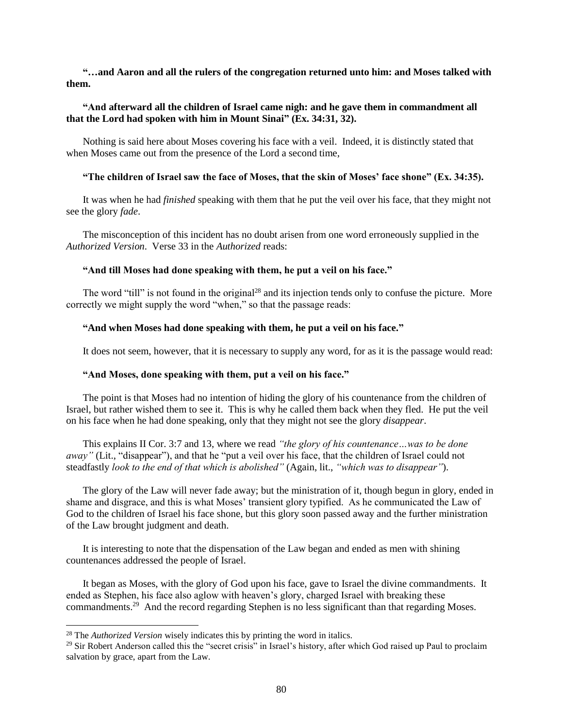## **"…and Aaron and all the rulers of the congregation returned unto him: and Moses talked with them.**

## **"And afterward all the children of Israel came nigh: and he gave them in commandment all that the Lord had spoken with him in Mount Sinai" (Ex. 34:31, 32).**

Nothing is said here about Moses covering his face with a veil. Indeed, it is distinctly stated that when Moses came out from the presence of the Lord a second time.

## **"The children of Israel saw the face of Moses, that the skin of Moses' face shone" (Ex. 34:35).**

It was when he had *finished* speaking with them that he put the veil over his face, that they might not see the glory *fade*.

The misconception of this incident has no doubt arisen from one word erroneously supplied in the *Authorized Version*. Verse 33 in the *Authorized* reads:

#### **"And till Moses had done speaking with them, he put a veil on his face."**

The word "till" is not found in the original<sup>28</sup> and its injection tends only to confuse the picture. More correctly we might supply the word "when," so that the passage reads:

## **"And when Moses had done speaking with them, he put a veil on his face."**

It does not seem, however, that it is necessary to supply any word, for as it is the passage would read:

#### **"And Moses, done speaking with them, put a veil on his face."**

The point is that Moses had no intention of hiding the glory of his countenance from the children of Israel, but rather wished them to see it. This is why he called them back when they fled. He put the veil on his face when he had done speaking, only that they might not see the glory *disappear*.

This explains II Cor. 3:7 and 13, where we read *"the glory of his countenance…was to be done away"* (Lit., "disappear"), and that he "put a veil over his face, that the children of Israel could not steadfastly *look to the end of that which is abolished"* (Again, lit., *"which was to disappear"*).

The glory of the Law will never fade away; but the ministration of it, though begun in glory, ended in shame and disgrace, and this is what Moses' transient glory typified. As he communicated the Law of God to the children of Israel his face shone, but this glory soon passed away and the further ministration of the Law brought judgment and death.

It is interesting to note that the dispensation of the Law began and ended as men with shining countenances addressed the people of Israel.

It began as Moses, with the glory of God upon his face, gave to Israel the divine commandments. It ended as Stephen, his face also aglow with heaven's glory, charged Israel with breaking these commandments.<sup>29</sup> And the record regarding Stephen is no less significant than that regarding Moses.

 $\overline{\phantom{a}}$ 

<sup>28</sup> The *Authorized Version* wisely indicates this by printing the word in italics.

<sup>&</sup>lt;sup>29</sup> Sir Robert Anderson called this the "secret crisis" in Israel's history, after which God raised up Paul to proclaim salvation by grace, apart from the Law.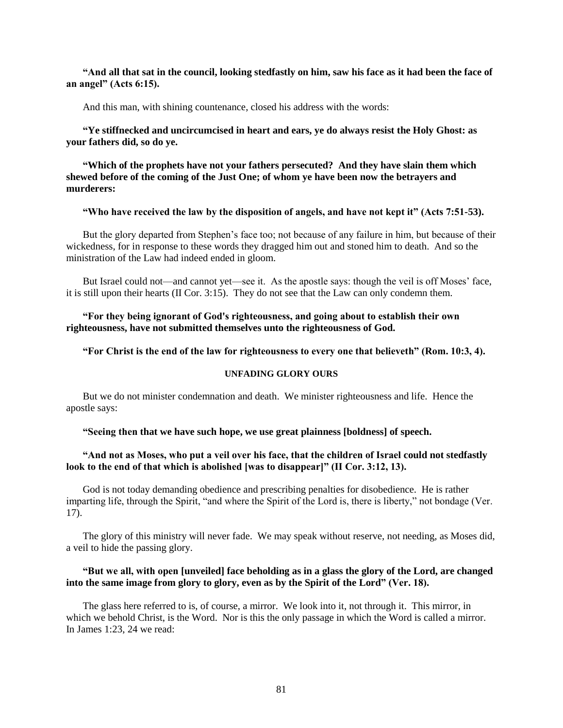#### **"And all that sat in the council, looking stedfastly on him, saw his face as it had been the face of an angel" (Acts 6:15).**

And this man, with shining countenance, closed his address with the words:

## **"Ye stiffnecked and uncircumcised in heart and ears, ye do always resist the Holy Ghost: as your fathers did, so do ye.**

**"Which of the prophets have not your fathers persecuted? And they have slain them which shewed before of the coming of the Just One; of whom ye have been now the betrayers and murderers:**

### **"Who have received the law by the disposition of angels, and have not kept it" (Acts 7:51-53).**

But the glory departed from Stephen's face too; not because of any failure in him, but because of their wickedness, for in response to these words they dragged him out and stoned him to death. And so the ministration of the Law had indeed ended in gloom.

But Israel could not—and cannot yet—see it. As the apostle says: though the veil is off Moses' face, it is still upon their hearts (II Cor. 3:15). They do not see that the Law can only condemn them.

## **"For they being ignorant of God's righteousness, and going about to establish their own righteousness, have not submitted themselves unto the righteousness of God.**

#### **"For Christ is the end of the law for righteousness to every one that believeth" (Rom. 10:3, 4).**

#### **UNFADING GLORY OURS**

But we do not minister condemnation and death. We minister righteousness and life. Hence the apostle says:

### **"Seeing then that we have such hope, we use great plainness [boldness] of speech.**

## **"And not as Moses, who put a veil over his face, that the children of Israel could not stedfastly look to the end of that which is abolished [was to disappear]" (II Cor. 3:12, 13).**

God is not today demanding obedience and prescribing penalties for disobedience. He is rather imparting life, through the Spirit, "and where the Spirit of the Lord is, there is liberty," not bondage (Ver. 17).

The glory of this ministry will never fade. We may speak without reserve, not needing, as Moses did, a veil to hide the passing glory.

## **"But we all, with open [unveiled] face beholding as in a glass the glory of the Lord, are changed into the same image from glory to glory, even as by the Spirit of the Lord" (Ver. 18).**

The glass here referred to is, of course, a mirror. We look into it, not through it. This mirror, in which we behold Christ, is the Word. Nor is this the only passage in which the Word is called a mirror. In James 1:23, 24 we read: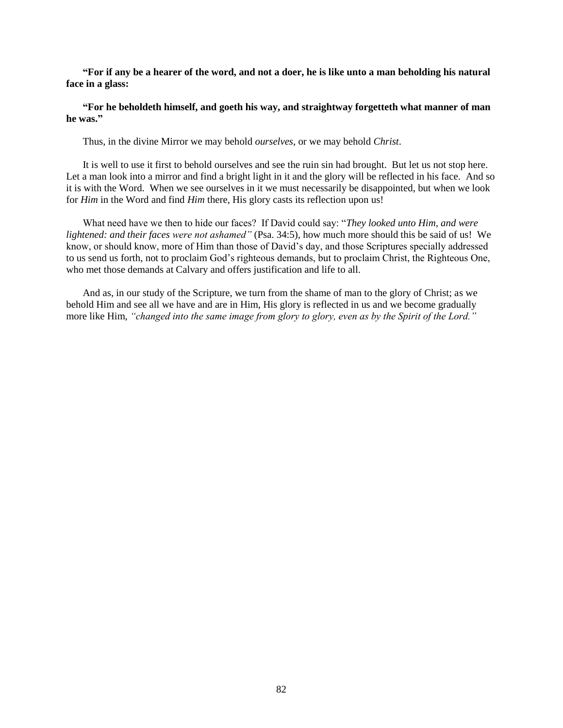**"For if any be a hearer of the word, and not a doer, he is like unto a man beholding his natural face in a glass:**

**"For he beholdeth himself, and goeth his way, and straightway forgetteth what manner of man he was."**

Thus, in the divine Mirror we may behold *ourselves*, or we may behold *Christ*.

It is well to use it first to behold ourselves and see the ruin sin had brought. But let us not stop here. Let a man look into a mirror and find a bright light in it and the glory will be reflected in his face. And so it is with the Word. When we see ourselves in it we must necessarily be disappointed, but when we look for *Him* in the Word and find *Him* there, His glory casts its reflection upon us!

What need have we then to hide our faces? If David could say: "*They looked unto Him, and were lightened: and their faces were not ashamed"* (Psa. 34:5), how much more should this be said of us! We know, or should know, more of Him than those of David's day, and those Scriptures specially addressed to us send us forth, not to proclaim God's righteous demands, but to proclaim Christ, the Righteous One, who met those demands at Calvary and offers justification and life to all.

And as, in our study of the Scripture, we turn from the shame of man to the glory of Christ; as we behold Him and see all we have and are in Him, His glory is reflected in us and we become gradually more like Him, *"changed into the same image from glory to glory, even as by the Spirit of the Lord."*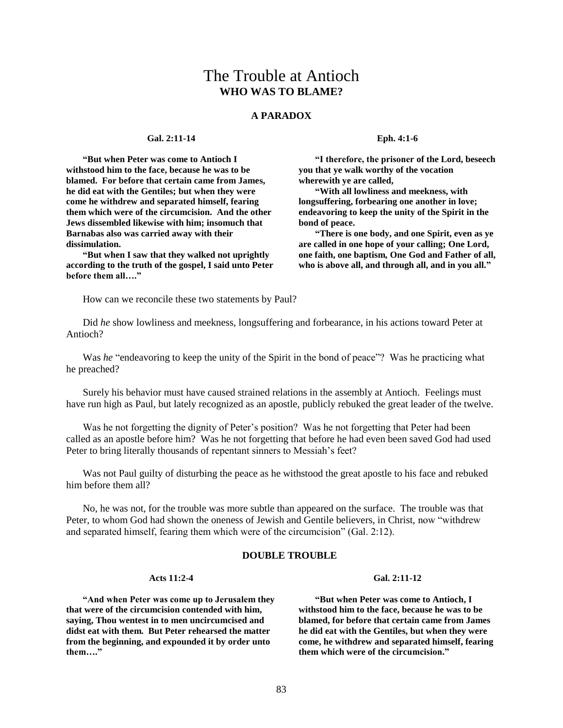## The Trouble at Antioch **WHO WAS TO BLAME?**

#### **A PARADOX**

#### **Gal. 2:11-14**

**"But when Peter was come to Antioch I withstood him to the face, because he was to be blamed. For before that certain came from James, he did eat with the Gentiles; but when they were come he withdrew and separated himself, fearing them which were of the circumcision. And the other Jews dissembled likewise with him; insomuch that Barnabas also was carried away with their dissimulation.**

**"But when I saw that they walked not uprightly according to the truth of the gospel, I said unto Peter before them all…."**

#### **Eph. 4:1-6**

**"I therefore, the prisoner of the Lord, beseech you that ye walk worthy of the vocation wherewith ye are called,**

**"With all lowliness and meekness, with longsuffering, forbearing one another in love; endeavoring to keep the unity of the Spirit in the bond of peace.**

**"There is one body, and one Spirit, even as ye are called in one hope of your calling; One Lord, one faith, one baptism, One God and Father of all, who is above all, and through all, and in you all."**

How can we reconcile these two statements by Paul?

Did *he* show lowliness and meekness, longsuffering and forbearance, in his actions toward Peter at Antioch?

Was *he* "endeavoring to keep the unity of the Spirit in the bond of peace"? Was he practicing what he preached?

Surely his behavior must have caused strained relations in the assembly at Antioch. Feelings must have run high as Paul, but lately recognized as an apostle, publicly rebuked the great leader of the twelve.

Was he not forgetting the dignity of Peter's position? Was he not forgetting that Peter had been called as an apostle before him? Was he not forgetting that before he had even been saved God had used Peter to bring literally thousands of repentant sinners to Messiah's feet?

Was not Paul guilty of disturbing the peace as he withstood the great apostle to his face and rebuked him before them all?

No, he was not, for the trouble was more subtle than appeared on the surface. The trouble was that Peter, to whom God had shown the oneness of Jewish and Gentile believers, in Christ, now "withdrew and separated himself, fearing them which were of the circumcision" (Gal. 2:12).

#### **DOUBLE TROUBLE**

#### **Acts 11:2-4**

**"And when Peter was come up to Jerusalem they that were of the circumcision contended with him, saying, Thou wentest in to men uncircumcised and didst eat with them. But Peter rehearsed the matter from the beginning, and expounded it by order unto them…."**

#### **Gal. 2:11-12**

**"But when Peter was come to Antioch, I withstood him to the face, because he was to be blamed, for before that certain came from James he did eat with the Gentiles, but when they were come, he withdrew and separated himself, fearing them which were of the circumcision."**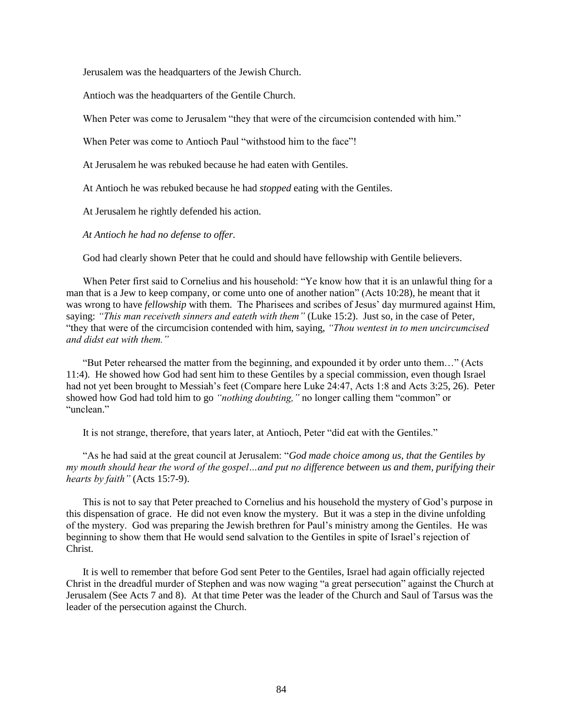Jerusalem was the headquarters of the Jewish Church.

Antioch was the headquarters of the Gentile Church.

When Peter was come to Jerusalem "they that were of the circumcision contended with him."

When Peter was come to Antioch Paul "withstood him to the face"!

At Jerusalem he was rebuked because he had eaten with Gentiles.

At Antioch he was rebuked because he had *stopped* eating with the Gentiles.

At Jerusalem he rightly defended his action.

*At Antioch he had no defense to offer.*

God had clearly shown Peter that he could and should have fellowship with Gentile believers.

When Peter first said to Cornelius and his household: "Ye know how that it is an unlawful thing for a man that is a Jew to keep company, or come unto one of another nation" (Acts 10:28), he meant that it was wrong to have *fellowship* with them. The Pharisees and scribes of Jesus' day murmured against Him, saying: *"This man receiveth sinners and eateth with them"* (Luke 15:2). Just so, in the case of Peter, "they that were of the circumcision contended with him, saying, *"Thou wentest in to men uncircumcised and didst eat with them."*

"But Peter rehearsed the matter from the beginning, and expounded it by order unto them…" (Acts 11:4). He showed how God had sent him to these Gentiles by a special commission, even though Israel had not yet been brought to Messiah's feet (Compare here Luke 24:47, Acts 1:8 and Acts 3:25, 26). Peter showed how God had told him to go *"nothing doubting,"* no longer calling them "common" or "unclean"

It is not strange, therefore, that years later, at Antioch, Peter "did eat with the Gentiles."

"As he had said at the great council at Jerusalem: "*God made choice among us, that the Gentiles by my mouth should hear the word of the gospel…and put no difference between us and them, purifying their hearts by faith"* (Acts 15:7-9).

This is not to say that Peter preached to Cornelius and his household the mystery of God's purpose in this dispensation of grace. He did not even know the mystery. But it was a step in the divine unfolding of the mystery. God was preparing the Jewish brethren for Paul's ministry among the Gentiles. He was beginning to show them that He would send salvation to the Gentiles in spite of Israel's rejection of Christ.

It is well to remember that before God sent Peter to the Gentiles, Israel had again officially rejected Christ in the dreadful murder of Stephen and was now waging "a great persecution" against the Church at Jerusalem (See Acts 7 and 8). At that time Peter was the leader of the Church and Saul of Tarsus was the leader of the persecution against the Church.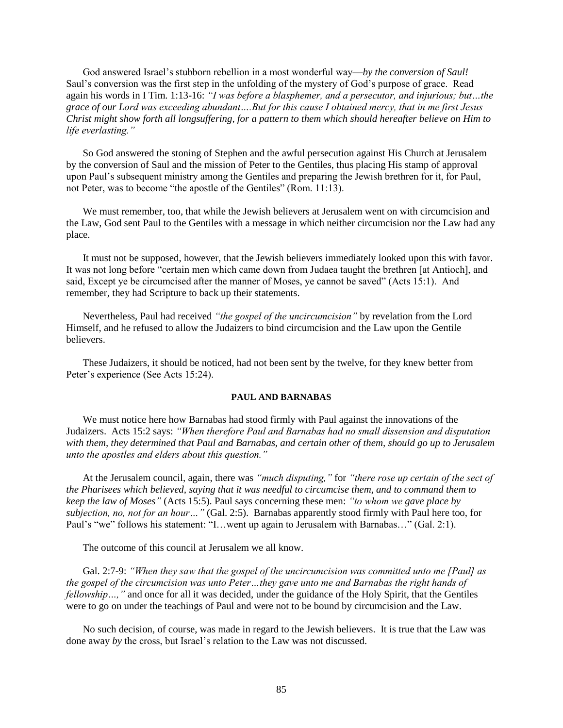God answered Israel's stubborn rebellion in a most wonderful way—*by the conversion of Saul!* Saul's conversion was the first step in the unfolding of the mystery of God's purpose of grace. Read again his words in I Tim. 1:13-16: *"I was before a blasphemer, and a persecutor, and injurious; but…the grace of our Lord was exceeding abundant….But for this cause I obtained mercy, that in me first Jesus Christ might show forth all longsuffering, for a pattern to them which should hereafter believe on Him to life everlasting."*

So God answered the stoning of Stephen and the awful persecution against His Church at Jerusalem by the conversion of Saul and the mission of Peter to the Gentiles, thus placing His stamp of approval upon Paul's subsequent ministry among the Gentiles and preparing the Jewish brethren for it, for Paul, not Peter, was to become "the apostle of the Gentiles" (Rom. 11:13).

We must remember, too, that while the Jewish believers at Jerusalem went on with circumcision and the Law, God sent Paul to the Gentiles with a message in which neither circumcision nor the Law had any place.

It must not be supposed, however, that the Jewish believers immediately looked upon this with favor. It was not long before "certain men which came down from Judaea taught the brethren [at Antioch], and said, Except ye be circumcised after the manner of Moses, ye cannot be saved" (Acts 15:1). And remember, they had Scripture to back up their statements.

Nevertheless, Paul had received *"the gospel of the uncircumcision"* by revelation from the Lord Himself, and he refused to allow the Judaizers to bind circumcision and the Law upon the Gentile believers.

These Judaizers, it should be noticed, had not been sent by the twelve, for they knew better from Peter's experience (See Acts 15:24).

#### **PAUL AND BARNABAS**

We must notice here how Barnabas had stood firmly with Paul against the innovations of the Judaizers. Acts 15:2 says: *"When therefore Paul and Barnabas had no small dissension and disputation with them, they determined that Paul and Barnabas, and certain other of them, should go up to Jerusalem unto the apostles and elders about this question."*

At the Jerusalem council, again, there was *"much disputing,"* for *"there rose up certain of the sect of the Pharisees which believed, saying that it was needful to circumcise them, and to command them to keep the law of Moses"* (Acts 15:5). Paul says concerning these men: *"to whom we gave place by subjection, no, not for an hour…"* (Gal. 2:5). Barnabas apparently stood firmly with Paul here too, for Paul's "we" follows his statement: "I...went up again to Jerusalem with Barnabas..." (Gal. 2:1).

The outcome of this council at Jerusalem we all know.

Gal. 2:7-9: *"When they saw that the gospel of the uncircumcision was committed unto me [Paul] as the gospel of the circumcision was unto Peter…they gave unto me and Barnabas the right hands of fellowship...,"* and once for all it was decided, under the guidance of the Holy Spirit, that the Gentiles were to go on under the teachings of Paul and were not to be bound by circumcision and the Law.

No such decision, of course, was made in regard to the Jewish believers. It is true that the Law was done away *by* the cross, but Israel's relation to the Law was not discussed.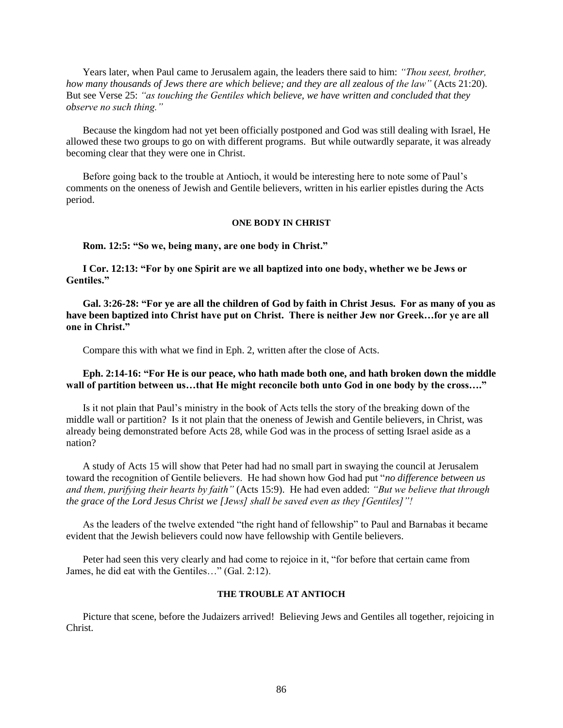Years later, when Paul came to Jerusalem again, the leaders there said to him: *"Thou seest, brother, how many thousands of Jews there are which believe; and they are all zealous of the law"* (Acts 21:20). But see Verse 25: *"as touching the Gentiles which believe, we have written and concluded that they observe no such thing."*

Because the kingdom had not yet been officially postponed and God was still dealing with Israel, He allowed these two groups to go on with different programs. But while outwardly separate, it was already becoming clear that they were one in Christ.

Before going back to the trouble at Antioch, it would be interesting here to note some of Paul's comments on the oneness of Jewish and Gentile believers, written in his earlier epistles during the Acts period.

#### **ONE BODY IN CHRIST**

**Rom. 12:5: "So we, being many, are one body in Christ."**

**I Cor. 12:13: "For by one Spirit are we all baptized into one body, whether we be Jews or Gentiles."**

**Gal. 3:26-28: "For ye are all the children of God by faith in Christ Jesus. For as many of you as have been baptized into Christ have put on Christ. There is neither Jew nor Greek…for ye are all one in Christ."**

Compare this with what we find in Eph. 2, written after the close of Acts.

## **Eph. 2:14-16: "For He is our peace, who hath made both one, and hath broken down the middle wall of partition between us…that He might reconcile both unto God in one body by the cross…."**

Is it not plain that Paul's ministry in the book of Acts tells the story of the breaking down of the middle wall or partition? Is it not plain that the oneness of Jewish and Gentile believers, in Christ, was already being demonstrated before Acts 28, while God was in the process of setting Israel aside as a nation?

A study of Acts 15 will show that Peter had had no small part in swaying the council at Jerusalem toward the recognition of Gentile believers. He had shown how God had put "*no difference between us and them, purifying their hearts by faith"* (Acts 15:9). He had even added: *"But we believe that through the grace of the Lord Jesus Christ we [Jews] shall be saved even as they [Gentiles]"!*

As the leaders of the twelve extended "the right hand of fellowship" to Paul and Barnabas it became evident that the Jewish believers could now have fellowship with Gentile believers.

Peter had seen this very clearly and had come to rejoice in it, "for before that certain came from James, he did eat with the Gentiles…" (Gal. 2:12).

#### **THE TROUBLE AT ANTIOCH**

Picture that scene, before the Judaizers arrived! Believing Jews and Gentiles all together, rejoicing in Christ.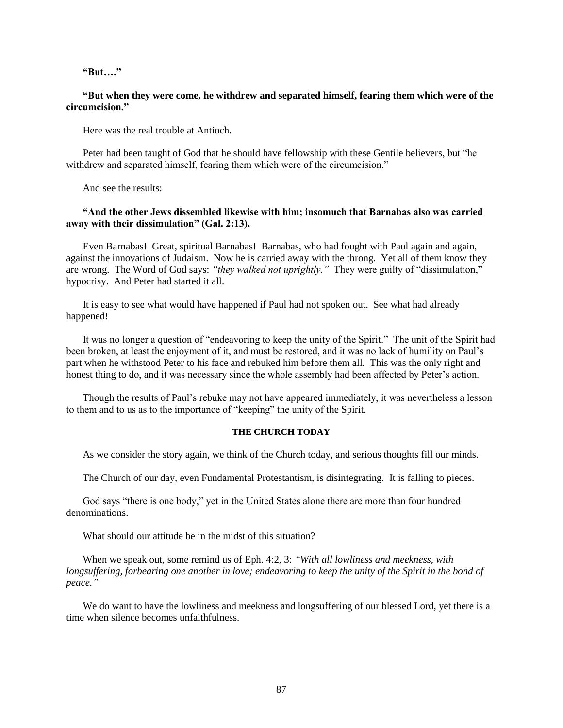#### **"But…."**

#### **"But when they were come, he withdrew and separated himself, fearing them which were of the circumcision."**

Here was the real trouble at Antioch.

Peter had been taught of God that he should have fellowship with these Gentile believers, but "he withdrew and separated himself, fearing them which were of the circumcision."

And see the results:

## **"And the other Jews dissembled likewise with him; insomuch that Barnabas also was carried away with their dissimulation" (Gal. 2:13).**

Even Barnabas! Great, spiritual Barnabas! Barnabas, who had fought with Paul again and again, against the innovations of Judaism. Now he is carried away with the throng. Yet all of them know they are wrong. The Word of God says: *"they walked not uprightly."* They were guilty of "dissimulation," hypocrisy. And Peter had started it all.

It is easy to see what would have happened if Paul had not spoken out. See what had already happened!

It was no longer a question of "endeavoring to keep the unity of the Spirit." The unit of the Spirit had been broken, at least the enjoyment of it, and must be restored, and it was no lack of humility on Paul's part when he withstood Peter to his face and rebuked him before them all. This was the only right and honest thing to do, and it was necessary since the whole assembly had been affected by Peter's action.

Though the results of Paul's rebuke may not have appeared immediately, it was nevertheless a lesson to them and to us as to the importance of "keeping" the unity of the Spirit.

#### **THE CHURCH TODAY**

As we consider the story again, we think of the Church today, and serious thoughts fill our minds.

The Church of our day, even Fundamental Protestantism, is disintegrating. It is falling to pieces.

God says "there is one body," yet in the United States alone there are more than four hundred denominations.

What should our attitude be in the midst of this situation?

When we speak out, some remind us of Eph. 4:2, 3: *"With all lowliness and meekness, with longsuffering, forbearing one another in love; endeavoring to keep the unity of the Spirit in the bond of peace."*

We do want to have the lowliness and meekness and longsuffering of our blessed Lord, yet there is a time when silence becomes unfaithfulness.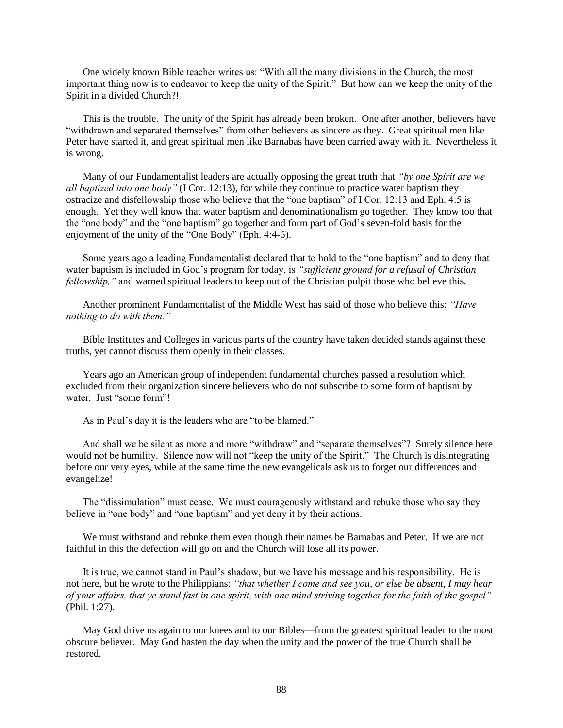One widely known Bible teacher writes us: "With all the many divisions in the Church, the most important thing now is to endeavor to keep the unity of the Spirit." But how can we keep the unity of the Spirit in a divided Church?!

This is the trouble. The unity of the Spirit has already been broken. One after another, believers have "withdrawn and separated themselves" from other believers as sincere as they. Great spiritual men like Peter have started it, and great spiritual men like Barnabas have been carried away with it. Nevertheless it is wrong.

Many of our Fundamentalist leaders are actually opposing the great truth that *"by one Spirit are we all baptized into one body"* (I Cor. 12:13), for while they continue to practice water baptism they ostracize and disfellowship those who believe that the "one baptism" of I Cor. 12:13 and Eph. 4:5 is enough. Yet they well know that water baptism and denominationalism go together. They know too that the "one body" and the "one baptism" go together and form part of God's seven-fold basis for the enjoyment of the unity of the "One Body" (Eph. 4:4-6).

Some years ago a leading Fundamentalist declared that to hold to the "one baptism" and to deny that water baptism is included in God's program for today, is *"sufficient ground for a refusal of Christian fellowship*," and warned spiritual leaders to keep out of the Christian pulpit those who believe this.

Another prominent Fundamentalist of the Middle West has said of those who believe this: *"Have nothing to do with them."*

Bible Institutes and Colleges in various parts of the country have taken decided stands against these truths, yet cannot discuss them openly in their classes.

Years ago an American group of independent fundamental churches passed a resolution which excluded from their organization sincere believers who do not subscribe to some form of baptism by water. Just "some form"!

As in Paul's day it is the leaders who are "to be blamed."

And shall we be silent as more and more "withdraw" and "separate themselves"? Surely silence here would not be humility. Silence now will not "keep the unity of the Spirit." The Church is disintegrating before our very eyes, while at the same time the new evangelicals ask us to forget our differences and evangelize!

The "dissimulation" must cease. We must courageously withstand and rebuke those who say they believe in "one body" and "one baptism" and yet deny it by their actions.

We must withstand and rebuke them even though their names be Barnabas and Peter. If we are not faithful in this the defection will go on and the Church will lose all its power.

It is true, we cannot stand in Paul's shadow, but we have his message and his responsibility. He is not here, but he wrote to the Philippians: *"that whether I come and see you, or else be absent, I may hear of your affairs, that ye stand fast in one spirit, with one mind striving together for the faith of the gospel"* (Phil. 1:27).

May God drive us again to our knees and to our Bibles—from the greatest spiritual leader to the most obscure believer. May God hasten the day when the unity and the power of the true Church shall be restored.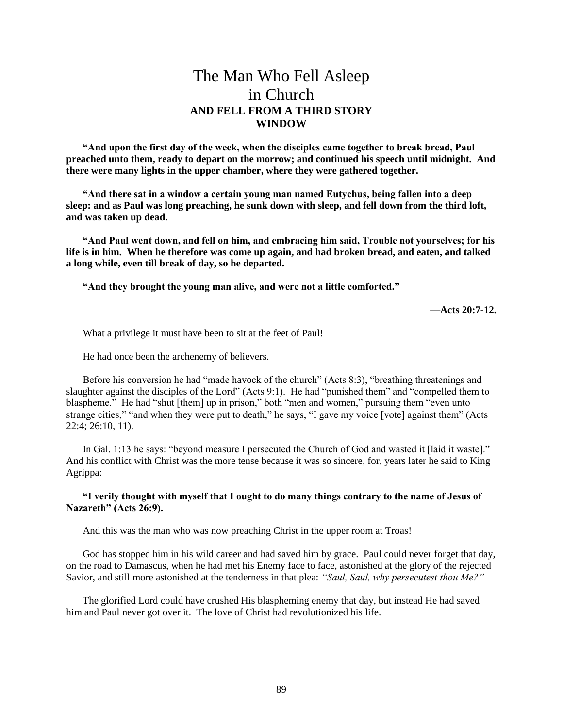## The Man Who Fell Asleep in Church **AND FELL FROM A THIRD STORY WINDOW**

**"And upon the first day of the week, when the disciples came together to break bread, Paul preached unto them, ready to depart on the morrow; and continued his speech until midnight. And there were many lights in the upper chamber, where they were gathered together.**

**"And there sat in a window a certain young man named Eutychus, being fallen into a deep sleep: and as Paul was long preaching, he sunk down with sleep, and fell down from the third loft, and was taken up dead.**

**"And Paul went down, and fell on him, and embracing him said, Trouble not yourselves; for his life is in him. When he therefore was come up again, and had broken bread, and eaten, and talked a long while, even till break of day, so he departed.**

**"And they brought the young man alive, and were not a little comforted."** 

**—Acts 20:7-12.**

What a privilege it must have been to sit at the feet of Paul!

He had once been the archenemy of believers.

Before his conversion he had "made havock of the church" (Acts 8:3), "breathing threatenings and slaughter against the disciples of the Lord" (Acts 9:1). He had "punished them" and "compelled them to blaspheme." He had "shut [them] up in prison," both "men and women," pursuing them "even unto strange cities," "and when they were put to death," he says, "I gave my voice [vote] against them" (Acts 22:4; 26:10, 11).

In Gal. 1:13 he says: "beyond measure I persecuted the Church of God and wasted it [laid it waste]." And his conflict with Christ was the more tense because it was so sincere, for, years later he said to King Agrippa:

## **"I verily thought with myself that I ought to do many things contrary to the name of Jesus of Nazareth" (Acts 26:9).**

And this was the man who was now preaching Christ in the upper room at Troas!

God has stopped him in his wild career and had saved him by grace. Paul could never forget that day, on the road to Damascus, when he had met his Enemy face to face, astonished at the glory of the rejected Savior, and still more astonished at the tenderness in that plea: *"Saul, Saul, why persecutest thou Me?"*

The glorified Lord could have crushed His blaspheming enemy that day, but instead He had saved him and Paul never got over it. The love of Christ had revolutionized his life.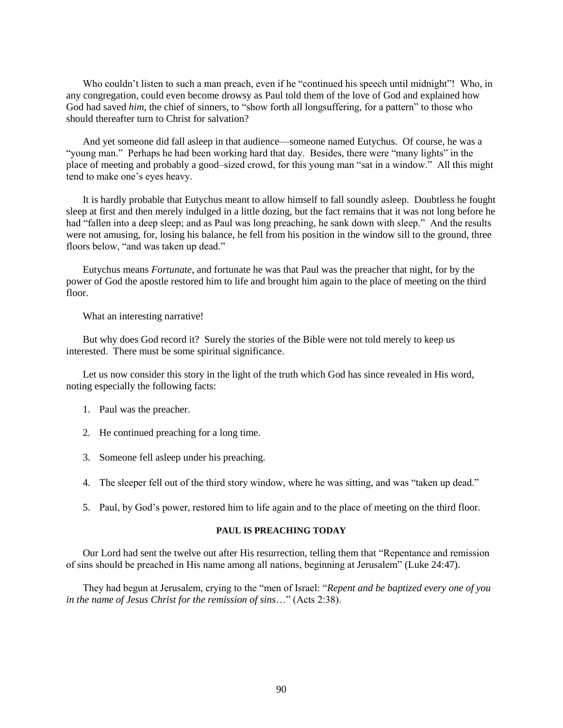Who couldn't listen to such a man preach, even if he "continued his speech until midnight"! Who, in any congregation, could even become drowsy as Paul told them of the love of God and explained how God had saved *him*, the chief of sinners, to "show forth all longsuffering, for a pattern" to those who should thereafter turn to Christ for salvation?

And yet someone did fall asleep in that audience—someone named Eutychus. Of course, he was a "young man." Perhaps he had been working hard that day. Besides, there were "many lights" in the place of meeting and probably a good–sized crowd, for this young man "sat in a window." All this might tend to make one's eyes heavy.

It is hardly probable that Eutychus meant to allow himself to fall soundly asleep. Doubtless he fought sleep at first and then merely indulged in a little dozing, but the fact remains that it was not long before he had "fallen into a deep sleep; and as Paul was long preaching, he sank down with sleep." And the results were not amusing, for, losing his balance, he fell from his position in the window sill to the ground, three floors below, "and was taken up dead."

Eutychus means *Fortunate*, and fortunate he was that Paul was the preacher that night, for by the power of God the apostle restored him to life and brought him again to the place of meeting on the third floor.

What an interesting narrative!

But why does God record it? Surely the stories of the Bible were not told merely to keep us interested. There must be some spiritual significance.

Let us now consider this story in the light of the truth which God has since revealed in His word, noting especially the following facts:

- 1. Paul was the preacher.
- 2. He continued preaching for a long time.
- 3. Someone fell asleep under his preaching.
- 4. The sleeper fell out of the third story window, where he was sitting, and was "taken up dead."
- 5. Paul, by God's power, restored him to life again and to the place of meeting on the third floor.

## **PAUL IS PREACHING TODAY**

Our Lord had sent the twelve out after His resurrection, telling them that "Repentance and remission of sins should be preached in His name among all nations, beginning at Jerusalem" (Luke 24:47).

They had begun at Jerusalem, crying to the "men of Israel: "*Repent and be baptized every one of you in the name of Jesus Christ for the remission of sins*…" (Acts 2:38).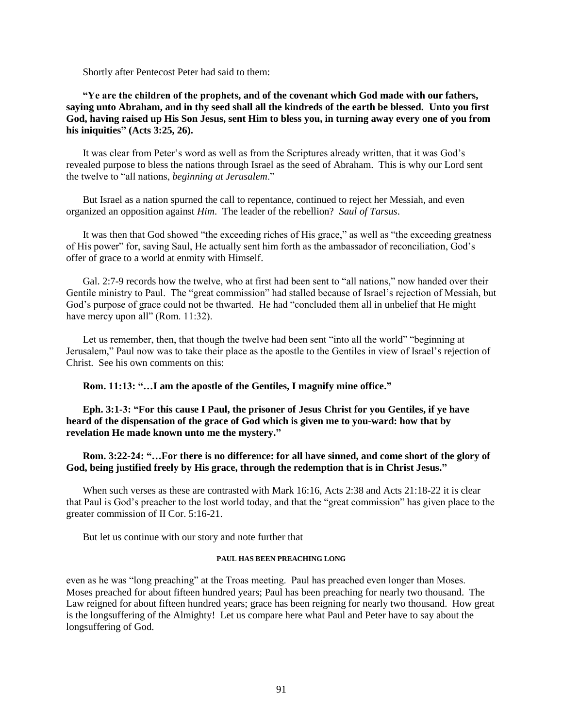Shortly after Pentecost Peter had said to them:

**"Ye are the children of the prophets, and of the covenant which God made with our fathers, saying unto Abraham, and in thy seed shall all the kindreds of the earth be blessed. Unto you first God, having raised up His Son Jesus, sent Him to bless you, in turning away every one of you from his iniquities" (Acts 3:25, 26).**

It was clear from Peter's word as well as from the Scriptures already written, that it was God's revealed purpose to bless the nations through Israel as the seed of Abraham. This is why our Lord sent the twelve to "all nations, *beginning at Jerusalem*."

But Israel as a nation spurned the call to repentance, continued to reject her Messiah, and even organized an opposition against *Him*. The leader of the rebellion? *Saul of Tarsus*.

It was then that God showed "the exceeding riches of His grace," as well as "the exceeding greatness of His power" for, saving Saul, He actually sent him forth as the ambassador of reconciliation, God's offer of grace to a world at enmity with Himself.

Gal. 2:7-9 records how the twelve, who at first had been sent to "all nations," now handed over their Gentile ministry to Paul. The "great commission" had stalled because of Israel's rejection of Messiah, but God's purpose of grace could not be thwarted. He had "concluded them all in unbelief that He might have mercy upon all" (Rom. 11:32).

Let us remember, then, that though the twelve had been sent "into all the world" "beginning at Jerusalem," Paul now was to take their place as the apostle to the Gentiles in view of Israel's rejection of Christ. See his own comments on this:

#### **Rom. 11:13: "…I am the apostle of the Gentiles, I magnify mine office."**

**Eph. 3:1-3: "For this cause I Paul, the prisoner of Jesus Christ for you Gentiles, if ye have heard of the dispensation of the grace of God which is given me to you-ward: how that by revelation He made known unto me the mystery."**

## **Rom. 3:22-24: "…For there is no difference: for all have sinned, and come short of the glory of God, being justified freely by His grace, through the redemption that is in Christ Jesus."**

When such verses as these are contrasted with Mark 16:16, Acts 2:38 and Acts 21:18-22 it is clear that Paul is God's preacher to the lost world today, and that the "great commission" has given place to the greater commission of II Cor. 5:16-21.

But let us continue with our story and note further that

#### **PAUL HAS BEEN PREACHING LONG**

even as he was "long preaching" at the Troas meeting. Paul has preached even longer than Moses. Moses preached for about fifteen hundred years; Paul has been preaching for nearly two thousand. The Law reigned for about fifteen hundred years; grace has been reigning for nearly two thousand. How great is the longsuffering of the Almighty! Let us compare here what Paul and Peter have to say about the longsuffering of God.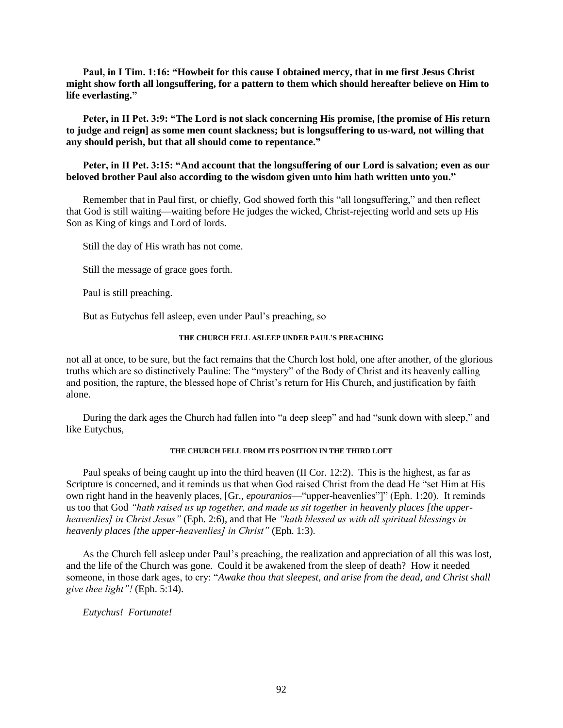**Paul, in I Tim. 1:16: "Howbeit for this cause I obtained mercy, that in me first Jesus Christ might show forth all longsuffering, for a pattern to them which should hereafter believe on Him to life everlasting."**

**Peter, in II Pet. 3:9: "The Lord is not slack concerning His promise, [the promise of His return to judge and reign] as some men count slackness; but is longsuffering to us-ward, not willing that any should perish, but that all should come to repentance."**

## **Peter, in II Pet. 3:15: "And account that the longsuffering of our Lord is salvation; even as our beloved brother Paul also according to the wisdom given unto him hath written unto you."**

Remember that in Paul first, or chiefly, God showed forth this "all longsuffering," and then reflect that God is still waiting—waiting before He judges the wicked, Christ-rejecting world and sets up His Son as King of kings and Lord of lords.

Still the day of His wrath has not come.

Still the message of grace goes forth.

Paul is still preaching.

But as Eutychus fell asleep, even under Paul's preaching, so

#### **THE CHURCH FELL ASLEEP UNDER PAUL'S PREACHING**

not all at once, to be sure, but the fact remains that the Church lost hold, one after another, of the glorious truths which are so distinctively Pauline: The "mystery" of the Body of Christ and its heavenly calling and position, the rapture, the blessed hope of Christ's return for His Church, and justification by faith alone.

During the dark ages the Church had fallen into "a deep sleep" and had "sunk down with sleep," and like Eutychus,

#### **THE CHURCH FELL FROM ITS POSITION IN THE THIRD LOFT**

Paul speaks of being caught up into the third heaven (II Cor. 12:2). This is the highest, as far as Scripture is concerned, and it reminds us that when God raised Christ from the dead He "set Him at His own right hand in the heavenly places, [Gr., *epouranios*—"upper-heavenlies"]" (Eph. 1:20). It reminds us too that God *"hath raised us up together, and made us sit together in heavenly places [the upperheavenlies] in Christ Jesus"* (Eph. 2:6), and that He *"hath blessed us with all spiritual blessings in heavenly places [the upper-heavenlies] in Christ"* (Eph. 1:3).

As the Church fell asleep under Paul's preaching, the realization and appreciation of all this was lost, and the life of the Church was gone. Could it be awakened from the sleep of death? How it needed someone, in those dark ages, to cry: "Awake thou that sleepest, and arise from the dead, and Christ shall *give thee light"!* (Eph. 5:14).

#### *Eutychus! Fortunate!*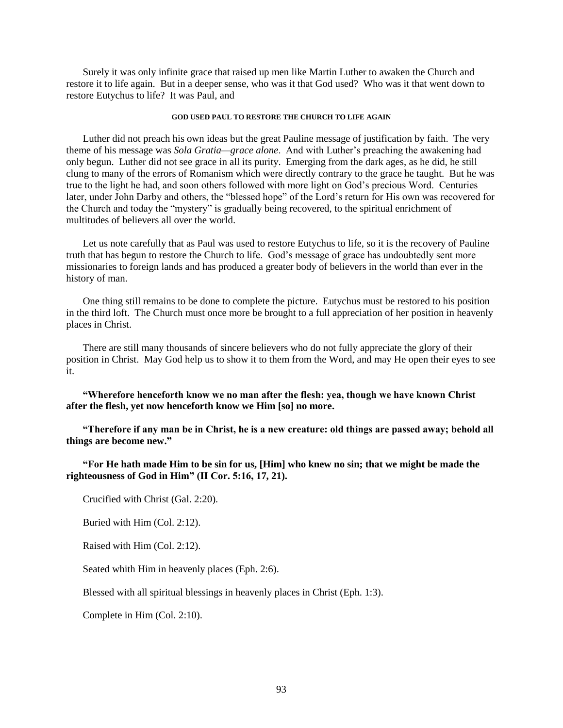Surely it was only infinite grace that raised up men like Martin Luther to awaken the Church and restore it to life again. But in a deeper sense, who was it that God used? Who was it that went down to restore Eutychus to life? It was Paul, and

#### **GOD USED PAUL TO RESTORE THE CHURCH TO LIFE AGAIN**

Luther did not preach his own ideas but the great Pauline message of justification by faith. The very theme of his message was *Sola Gratia—grace alone*. And with Luther's preaching the awakening had only begun. Luther did not see grace in all its purity. Emerging from the dark ages, as he did, he still clung to many of the errors of Romanism which were directly contrary to the grace he taught. But he was true to the light he had, and soon others followed with more light on God's precious Word. Centuries later, under John Darby and others, the "blessed hope" of the Lord's return for His own was recovered for the Church and today the "mystery" is gradually being recovered, to the spiritual enrichment of multitudes of believers all over the world.

Let us note carefully that as Paul was used to restore Eutychus to life, so it is the recovery of Pauline truth that has begun to restore the Church to life. God's message of grace has undoubtedly sent more missionaries to foreign lands and has produced a greater body of believers in the world than ever in the history of man.

One thing still remains to be done to complete the picture. Eutychus must be restored to his position in the third loft. The Church must once more be brought to a full appreciation of her position in heavenly places in Christ.

There are still many thousands of sincere believers who do not fully appreciate the glory of their position in Christ. May God help us to show it to them from the Word, and may He open their eyes to see it.

**"Wherefore henceforth know we no man after the flesh: yea, though we have known Christ after the flesh, yet now henceforth know we Him [so] no more.**

**"Therefore if any man be in Christ, he is a new creature: old things are passed away; behold all things are become new."**

## **"For He hath made Him to be sin for us, [Him] who knew no sin; that we might be made the righteousness of God in Him" (II Cor. 5:16, 17, 21).**

Crucified with Christ (Gal. 2:20).

Buried with Him (Col. 2:12).

Raised with Him (Col. 2:12).

Seated whith Him in heavenly places (Eph. 2:6).

Blessed with all spiritual blessings in heavenly places in Christ (Eph. 1:3).

Complete in Him (Col. 2:10).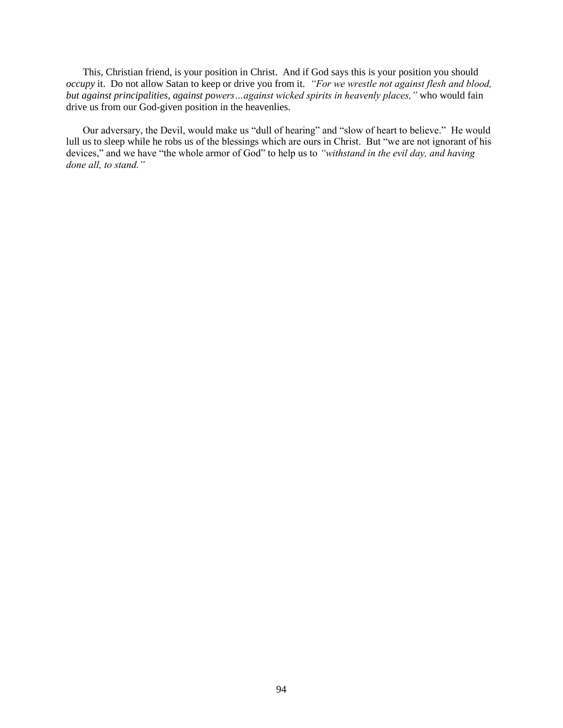This, Christian friend, is your position in Christ. And if God says this is your position you should *occupy* it. Do not allow Satan to keep or drive you from it. *"For we wrestle not against flesh and blood, but against principalities, against powers…against wicked spirits in heavenly places,"* who would fain drive us from our God-given position in the heavenlies.

Our adversary, the Devil, would make us "dull of hearing" and "slow of heart to believe." He would lull us to sleep while he robs us of the blessings which are ours in Christ. But "we are not ignorant of his devices," and we have "the whole armor of God" to help us to *"withstand in the evil day, and having done all, to stand."*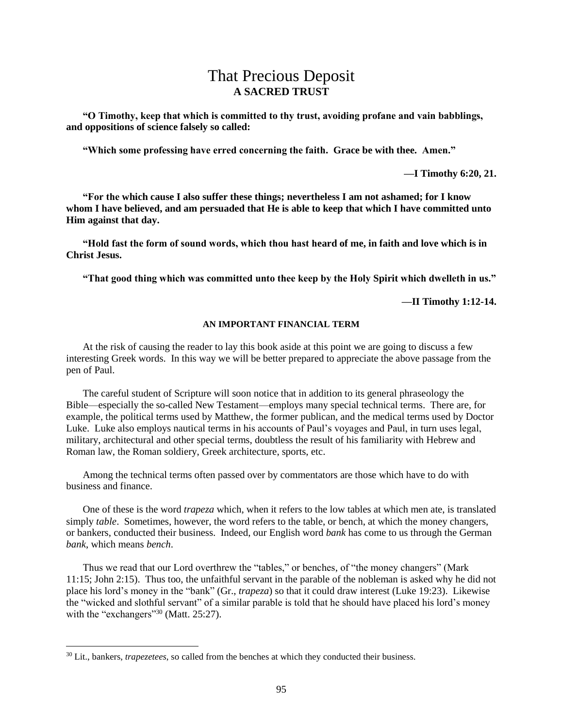## That Precious Deposit **A SACRED TRUST**

**"O Timothy, keep that which is committed to thy trust, avoiding profane and vain babblings, and oppositions of science falsely so called:** 

**"Which some professing have erred concerning the faith. Grace be with thee. Amen."**

**—I Timothy 6:20, 21.**

**"For the which cause I also suffer these things; nevertheless I am not ashamed; for I know whom I have believed, and am persuaded that He is able to keep that which I have committed unto Him against that day.** 

**"Hold fast the form of sound words, which thou hast heard of me, in faith and love which is in Christ Jesus.**

**"That good thing which was committed unto thee keep by the Holy Spirit which dwelleth in us."**

**—II Timothy 1:12-14.**

#### **AN IMPORTANT FINANCIAL TERM**

At the risk of causing the reader to lay this book aside at this point we are going to discuss a few interesting Greek words. In this way we will be better prepared to appreciate the above passage from the pen of Paul.

The careful student of Scripture will soon notice that in addition to its general phraseology the Bible—especially the so-called New Testament—employs many special technical terms. There are, for example, the political terms used by Matthew, the former publican, and the medical terms used by Doctor Luke. Luke also employs nautical terms in his accounts of Paul's voyages and Paul, in turn uses legal, military, architectural and other special terms, doubtless the result of his familiarity with Hebrew and Roman law, the Roman soldiery, Greek architecture, sports, etc.

Among the technical terms often passed over by commentators are those which have to do with business and finance.

One of these is the word *trapeza* which, when it refers to the low tables at which men ate, is translated simply *table*. Sometimes, however, the word refers to the table, or bench, at which the money changers, or bankers, conducted their business. Indeed, our English word *bank* has come to us through the German *bank*, which means *bench*.

Thus we read that our Lord overthrew the "tables," or benches, of "the money changers" (Mark 11:15; John 2:15). Thus too, the unfaithful servant in the parable of the nobleman is asked why he did not place his lord's money in the "bank" (Gr., *trapeza*) so that it could draw interest (Luke 19:23). Likewise the "wicked and slothful servant" of a similar parable is told that he should have placed his lord's money with the "exchangers"<sup>30</sup> (Matt. 25:27).

 $\overline{\phantom{a}}$ 

<sup>30</sup> Lit., bankers, *trapezetees*, so called from the benches at which they conducted their business.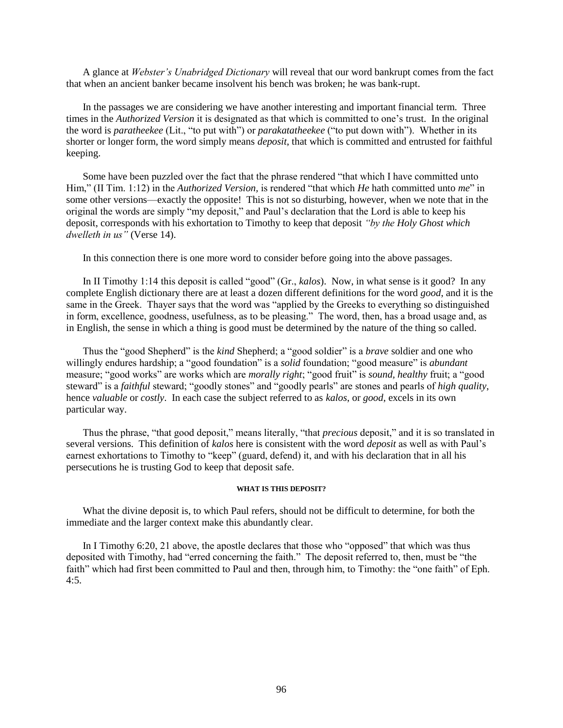A glance at *Webster's Unabridged Dictionary* will reveal that our word bankrupt comes from the fact that when an ancient banker became insolvent his bench was broken; he was bank-rupt.

In the passages we are considering we have another interesting and important financial term. Three times in the *Authorized Version* it is designated as that which is committed to one's trust. In the original the word is *paratheekee* (Lit., "to put with") or *parakatatheekee* ("to put down with"). Whether in its shorter or longer form, the word simply means *deposit*, that which is committed and entrusted for faithful keeping.

Some have been puzzled over the fact that the phrase rendered "that which I have committed unto Him," (II Tim. 1:12) in the *Authorized Version,* is rendered "that which *He* hath committed unto *me*" in some other versions—exactly the opposite! This is not so disturbing, however, when we note that in the original the words are simply "my deposit," and Paul's declaration that the Lord is able to keep his deposit, corresponds with his exhortation to Timothy to keep that deposit *"by the Holy Ghost which dwelleth in us"* (Verse 14).

In this connection there is one more word to consider before going into the above passages.

In II Timothy 1:14 this deposit is called "good" (Gr., *kalos*). Now, in what sense is it good? In any complete English dictionary there are at least a dozen different definitions for the word *good*, and it is the same in the Greek. Thayer says that the word was "applied by the Greeks to everything so distinguished in form, excellence, goodness, usefulness, as to be pleasing." The word, then, has a broad usage and, as in English, the sense in which a thing is good must be determined by the nature of the thing so called.

Thus the "good Shepherd" is the *kind* Shepherd; a "good soldier" is a *brave* soldier and one who willingly endures hardship; a "good foundation" is a *solid* foundation; "good measure" is *abundant* measure; "good works" are works which are *morally right*; "good fruit" is *sound, healthy* fruit; a "good steward" is a *faithful* steward; "goodly stones" and "goodly pearls" are stones and pearls of *high quality*, hence *valuable* or *costly*. In each case the subject referred to as *kalos*, or *good*, excels in its own particular way.

Thus the phrase, "that good deposit," means literally, "that *precious* deposit," and it is so translated in several versions. This definition of *kalos* here is consistent with the word *deposit* as well as with Paul's earnest exhortations to Timothy to "keep" (guard, defend) it, and with his declaration that in all his persecutions he is trusting God to keep that deposit safe.

#### **WHAT IS THIS DEPOSIT?**

What the divine deposit is, to which Paul refers, should not be difficult to determine, for both the immediate and the larger context make this abundantly clear.

In I Timothy 6:20, 21 above, the apostle declares that those who "opposed" that which was thus deposited with Timothy, had "erred concerning the faith." The deposit referred to, then, must be "the faith" which had first been committed to Paul and then, through him, to Timothy: the "one faith" of Eph. 4:5.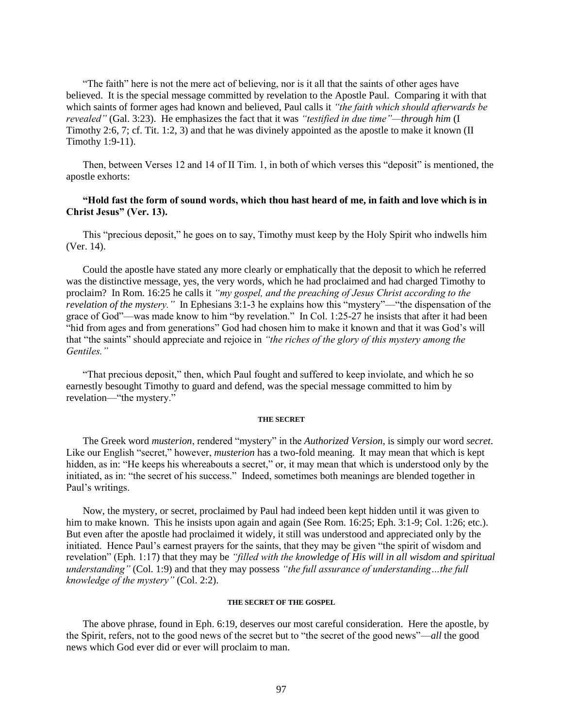"The faith" here is not the mere act of believing, nor is it all that the saints of other ages have believed. It is the special message committed by revelation to the Apostle Paul. Comparing it with that which saints of former ages had known and believed, Paul calls it *"the faith which should afterwards be revealed"* (Gal. 3:23). He emphasizes the fact that it was *"testified in due time"—through him* (I Timothy 2:6, 7; cf. Tit. 1:2, 3) and that he was divinely appointed as the apostle to make it known (II Timothy 1:9-11).

Then, between Verses 12 and 14 of II Tim. 1, in both of which verses this "deposit" is mentioned, the apostle exhorts:

## **"Hold fast the form of sound words, which thou hast heard of me, in faith and love which is in Christ Jesus" (Ver. 13).**

This "precious deposit," he goes on to say, Timothy must keep by the Holy Spirit who indwells him (Ver. 14).

Could the apostle have stated any more clearly or emphatically that the deposit to which he referred was the distinctive message, yes, the very words, which he had proclaimed and had charged Timothy to proclaim? In Rom. 16:25 he calls it *"my gospel, and the preaching of Jesus Christ according to the revelation of the mystery."* In Ephesians 3:1-3 he explains how this "mystery"—"the dispensation of the grace of God"—was made know to him "by revelation." In Col. 1:25-27 he insists that after it had been "hid from ages and from generations" God had chosen him to make it known and that it was God's will that "the saints" should appreciate and rejoice in *"the riches of the glory of this mystery among the Gentiles."*

"That precious deposit," then, which Paul fought and suffered to keep inviolate, and which he so earnestly besought Timothy to guard and defend, was the special message committed to him by revelation—"the mystery."

#### **THE SECRET**

The Greek word *musterion*, rendered "mystery" in the *Authorized Version*, is simply our word *secret*. Like our English "secret," however, *musterion* has a two-fold meaning. It may mean that which is kept hidden, as in: "He keeps his whereabouts a secret," or, it may mean that which is understood only by the initiated, as in: "the secret of his success." Indeed, sometimes both meanings are blended together in Paul's writings.

Now, the mystery, or secret, proclaimed by Paul had indeed been kept hidden until it was given to him to make known. This he insists upon again and again (See Rom. 16:25; Eph. 3:1-9; Col. 1:26; etc.). But even after the apostle had proclaimed it widely, it still was understood and appreciated only by the initiated. Hence Paul's earnest prayers for the saints, that they may be given "the spirit of wisdom and revelation" (Eph. 1:17) that they may be *"filled with the knowledge of His will in all wisdom and spiritual understanding"* (Col. 1:9) and that they may possess *"the full assurance of understanding…the full knowledge of the mystery"* (Col. 2:2).

#### **THE SECRET OF THE GOSPEL**

The above phrase, found in Eph. 6:19, deserves our most careful consideration. Here the apostle, by the Spirit, refers, not to the good news of the secret but to "the secret of the good news"—*all* the good news which God ever did or ever will proclaim to man.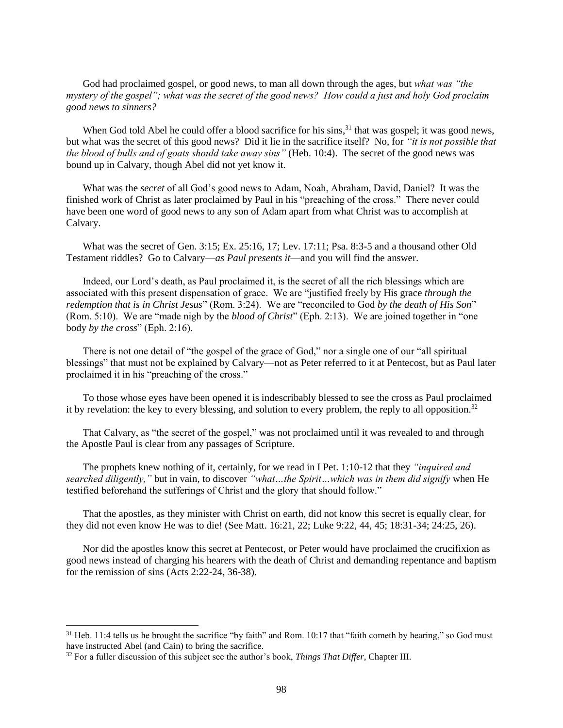God had proclaimed gospel, or good news, to man all down through the ages, but *what was "the mystery of the gospel"; what was the secret of the good news? How could a just and holy God proclaim good news to sinners?*

When God told Abel he could offer a blood sacrifice for his sins,<sup>31</sup> that was gospel; it was good news, but what was the secret of this good news? Did it lie in the sacrifice itself? No, for *"it is not possible that the blood of bulls and of goats should take away sins"* (Heb. 10:4). The secret of the good news was bound up in Calvary, though Abel did not yet know it.

What was the *secret* of all God's good news to Adam, Noah, Abraham, David, Daniel? It was the finished work of Christ as later proclaimed by Paul in his "preaching of the cross." There never could have been one word of good news to any son of Adam apart from what Christ was to accomplish at Calvary.

What was the secret of Gen. 3:15; Ex. 25:16, 17; Lev. 17:11; Psa. 8:3-5 and a thousand other Old Testament riddles? Go to Calvary—*as Paul presents it*—and you will find the answer.

Indeed, our Lord's death, as Paul proclaimed it, is the secret of all the rich blessings which are associated with this present dispensation of grace. We are "justified freely by His grace *through the redemption that is in Christ Jesus*" (Rom. 3:24). We are "reconciled to God *by the death of His Son*" (Rom. 5:10). We are "made nigh by the *blood of Christ*" (Eph. 2:13). We are joined together in "one body *by the cross*" (Eph. 2:16).

There is not one detail of "the gospel of the grace of God," nor a single one of our "all spiritual blessings" that must not be explained by Calvary—not as Peter referred to it at Pentecost, but as Paul later proclaimed it in his "preaching of the cross."

To those whose eyes have been opened it is indescribably blessed to see the cross as Paul proclaimed it by revelation: the key to every blessing, and solution to every problem, the reply to all opposition.<sup>32</sup>

That Calvary, as "the secret of the gospel," was not proclaimed until it was revealed to and through the Apostle Paul is clear from any passages of Scripture.

The prophets knew nothing of it, certainly, for we read in I Pet. 1:10-12 that they *"inquired and searched diligently,"* but in vain, to discover *"what…the Spirit…which was in them did signify* when He testified beforehand the sufferings of Christ and the glory that should follow."

That the apostles, as they minister with Christ on earth, did not know this secret is equally clear, for they did not even know He was to die! (See Matt. 16:21, 22; Luke 9:22, 44, 45; 18:31-34; 24:25, 26).

Nor did the apostles know this secret at Pentecost, or Peter would have proclaimed the crucifixion as good news instead of charging his hearers with the death of Christ and demanding repentance and baptism for the remission of sins (Acts 2:22-24, 36-38).

 $\overline{\phantom{a}}$ 

 $31$  Heb. 11:4 tells us he brought the sacrifice "by faith" and Rom. 10:17 that "faith cometh by hearing," so God must have instructed Abel (and Cain) to bring the sacrifice.

<sup>32</sup> For a fuller discussion of this subject see the author's book, *Things That Differ*, Chapter III.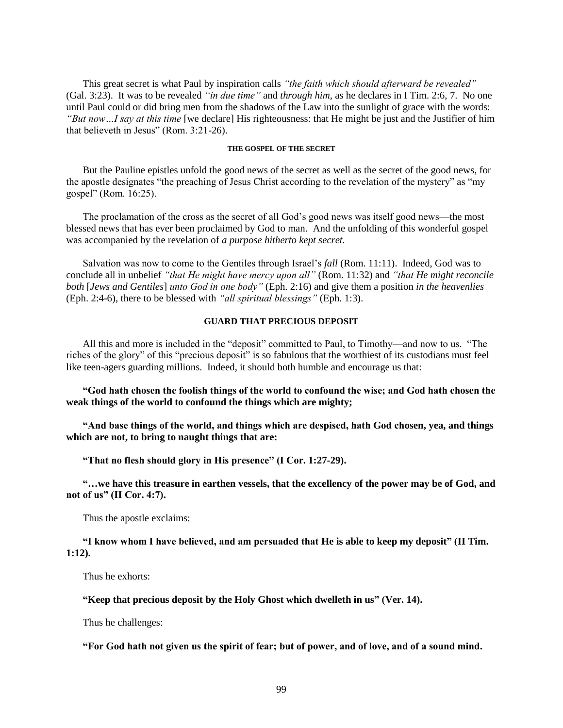This great secret is what Paul by inspiration calls *"the faith which should afterward be revealed"* (Gal. 3:23). It was to be revealed *"in due time"* and *through him*, as he declares in I Tim. 2:6, 7. No one until Paul could or did bring men from the shadows of the Law into the sunlight of grace with the words: *"But now…I say at this time* [we declare] His righteousness: that He might be just and the Justifier of him that believeth in Jesus" (Rom. 3:21-26).

#### **THE GOSPEL OF THE SECRET**

But the Pauline epistles unfold the good news of the secret as well as the secret of the good news, for the apostle designates "the preaching of Jesus Christ according to the revelation of the mystery" as "my gospel" (Rom. 16:25).

The proclamation of the cross as the secret of all God's good news was itself good news—the most blessed news that has ever been proclaimed by God to man. And the unfolding of this wonderful gospel was accompanied by the revelation of *a purpose hitherto kept secret.*

Salvation was now to come to the Gentiles through Israel's *fall* (Rom. 11:11). Indeed, God was to conclude all in unbelief *"that He might have mercy upon all"* (Rom. 11:32) and *"that He might reconcile both* [*Jews and Gentiles*] *unto God in one body"* (Eph. 2:16) and give them a position *in the heavenlies*  (Eph. 2:4-6), there to be blessed with *"all spiritual blessings"* (Eph. 1:3).

#### **GUARD THAT PRECIOUS DEPOSIT**

All this and more is included in the "deposit" committed to Paul, to Timothy—and now to us. "The riches of the glory" of this "precious deposit" is so fabulous that the worthiest of its custodians must feel like teen-agers guarding millions. Indeed, it should both humble and encourage us that:

**"God hath chosen the foolish things of the world to confound the wise; and God hath chosen the weak things of the world to confound the things which are mighty;**

**"And base things of the world, and things which are despised, hath God chosen, yea, and things which are not, to bring to naught things that are:**

**"That no flesh should glory in His presence" (I Cor. 1:27-29).**

**"…we have this treasure in earthen vessels, that the excellency of the power may be of God, and not of us" (II Cor. 4:7).**

Thus the apostle exclaims:

**"I know whom I have believed, and am persuaded that He is able to keep my deposit" (II Tim. 1:12).**

Thus he exhorts:

**"Keep that precious deposit by the Holy Ghost which dwelleth in us" (Ver. 14).**

Thus he challenges:

**"For God hath not given us the spirit of fear; but of power, and of love, and of a sound mind.**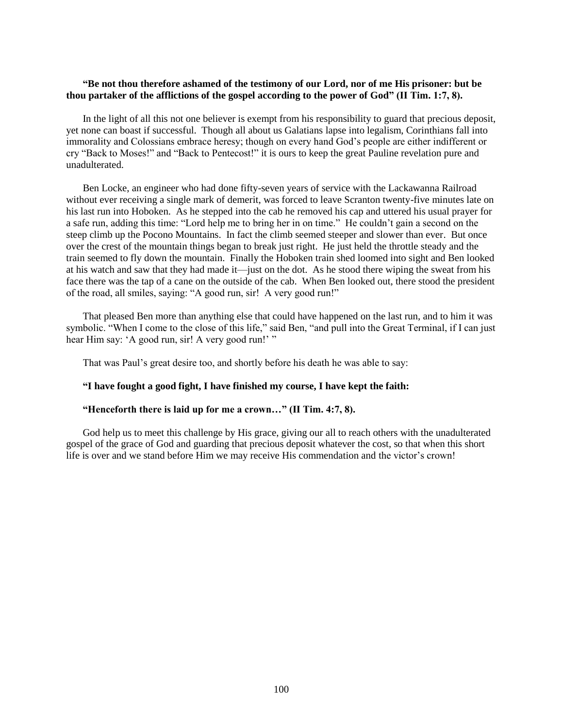## **"Be not thou therefore ashamed of the testimony of our Lord, nor of me His prisoner: but be thou partaker of the afflictions of the gospel according to the power of God" (II Tim. 1:7, 8).**

In the light of all this not one believer is exempt from his responsibility to guard that precious deposit, yet none can boast if successful. Though all about us Galatians lapse into legalism, Corinthians fall into immorality and Colossians embrace heresy; though on every hand God's people are either indifferent or cry "Back to Moses!" and "Back to Pentecost!" it is ours to keep the great Pauline revelation pure and unadulterated.

Ben Locke, an engineer who had done fifty-seven years of service with the Lackawanna Railroad without ever receiving a single mark of demerit, was forced to leave Scranton twenty-five minutes late on his last run into Hoboken. As he stepped into the cab he removed his cap and uttered his usual prayer for a safe run, adding this time: "Lord help me to bring her in on time." He couldn't gain a second on the steep climb up the Pocono Mountains. In fact the climb seemed steeper and slower than ever. But once over the crest of the mountain things began to break just right. He just held the throttle steady and the train seemed to fly down the mountain. Finally the Hoboken train shed loomed into sight and Ben looked at his watch and saw that they had made it—just on the dot. As he stood there wiping the sweat from his face there was the tap of a cane on the outside of the cab. When Ben looked out, there stood the president of the road, all smiles, saying: "A good run, sir! A very good run!"

That pleased Ben more than anything else that could have happened on the last run, and to him it was symbolic. "When I come to the close of this life," said Ben, "and pull into the Great Terminal, if I can just hear Him say: 'A good run, sir! A very good run!' "

That was Paul's great desire too, and shortly before his death he was able to say:

#### **"I have fought a good fight, I have finished my course, I have kept the faith:**

## **"Henceforth there is laid up for me a crown…" (II Tim. 4:7, 8).**

God help us to meet this challenge by His grace, giving our all to reach others with the unadulterated gospel of the grace of God and guarding that precious deposit whatever the cost, so that when this short life is over and we stand before Him we may receive His commendation and the victor's crown!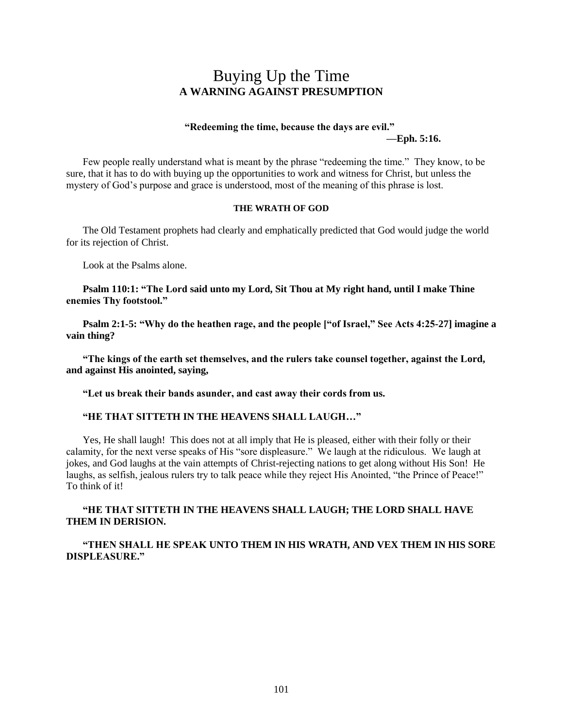## Buying Up the Time **A WARNING AGAINST PRESUMPTION**

# **"Redeeming the time, because the days are evil."**

**—Eph. 5:16.**

Few people really understand what is meant by the phrase "redeeming the time." They know, to be sure, that it has to do with buying up the opportunities to work and witness for Christ, but unless the mystery of God's purpose and grace is understood, most of the meaning of this phrase is lost.

## **THE WRATH OF GOD**

The Old Testament prophets had clearly and emphatically predicted that God would judge the world for its rejection of Christ.

Look at the Psalms alone.

**Psalm 110:1: "The Lord said unto my Lord, Sit Thou at My right hand, until I make Thine enemies Thy footstool."**

**Psalm 2:1-5: "Why do the heathen rage, and the people ["of Israel," See Acts 4:25-27] imagine a vain thing?** 

**"The kings of the earth set themselves, and the rulers take counsel together, against the Lord, and against His anointed, saying,**

**"Let us break their bands asunder, and cast away their cords from us.**

## **"HE THAT SITTETH IN THE HEAVENS SHALL LAUGH…"**

Yes, He shall laugh! This does not at all imply that He is pleased, either with their folly or their calamity, for the next verse speaks of His "sore displeasure." We laugh at the ridiculous. We laugh at jokes, and God laughs at the vain attempts of Christ-rejecting nations to get along without His Son! He laughs, as selfish, jealous rulers try to talk peace while they reject His Anointed, "the Prince of Peace!" To think of it!

## **"HE THAT SITTETH IN THE HEAVENS SHALL LAUGH; THE LORD SHALL HAVE THEM IN DERISION.**

**"THEN SHALL HE SPEAK UNTO THEM IN HIS WRATH, AND VEX THEM IN HIS SORE DISPLEASURE."**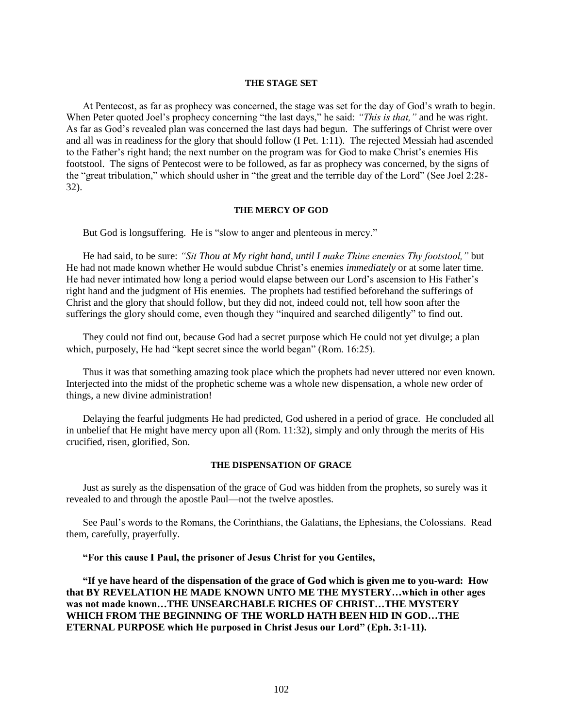#### **THE STAGE SET**

At Pentecost, as far as prophecy was concerned, the stage was set for the day of God's wrath to begin. When Peter quoted Joel's prophecy concerning "the last days," he said: *"This is that,"* and he was right. As far as God's revealed plan was concerned the last days had begun. The sufferings of Christ were over and all was in readiness for the glory that should follow (I Pet. 1:11). The rejected Messiah had ascended to the Father's right hand; the next number on the program was for God to make Christ's enemies His footstool. The signs of Pentecost were to be followed, as far as prophecy was concerned, by the signs of the "great tribulation," which should usher in "the great and the terrible day of the Lord" (See Joel 2:28- 32).

#### **THE MERCY OF GOD**

But God is longsuffering. He is "slow to anger and plenteous in mercy."

He had said, to be sure: *"Sit Thou at My right hand, until I make Thine enemies Thy footstool,"* but He had not made known whether He would subdue Christ's enemies *immediately* or at some later time. He had never intimated how long a period would elapse between our Lord's ascension to His Father's right hand and the judgment of His enemies. The prophets had testified beforehand the sufferings of Christ and the glory that should follow, but they did not, indeed could not, tell how soon after the sufferings the glory should come, even though they "inquired and searched diligently" to find out.

They could not find out, because God had a secret purpose which He could not yet divulge; a plan which, purposely, He had "kept secret since the world began" (Rom. 16:25).

Thus it was that something amazing took place which the prophets had never uttered nor even known. Interjected into the midst of the prophetic scheme was a whole new dispensation, a whole new order of things, a new divine administration!

Delaying the fearful judgments He had predicted, God ushered in a period of grace. He concluded all in unbelief that He might have mercy upon all (Rom. 11:32), simply and only through the merits of His crucified, risen, glorified, Son.

#### **THE DISPENSATION OF GRACE**

Just as surely as the dispensation of the grace of God was hidden from the prophets, so surely was it revealed to and through the apostle Paul—not the twelve apostles.

See Paul's words to the Romans, the Corinthians, the Galatians, the Ephesians, the Colossians. Read them, carefully, prayerfully.

### **"For this cause I Paul, the prisoner of Jesus Christ for you Gentiles,**

**"If ye have heard of the dispensation of the grace of God which is given me to you-ward: How that BY REVELATION HE MADE KNOWN UNTO ME THE MYSTERY…which in other ages was not made known…THE UNSEARCHABLE RICHES OF CHRIST…THE MYSTERY WHICH FROM THE BEGINNING OF THE WORLD HATH BEEN HID IN GOD…THE ETERNAL PURPOSE which He purposed in Christ Jesus our Lord" (Eph. 3:1-11).**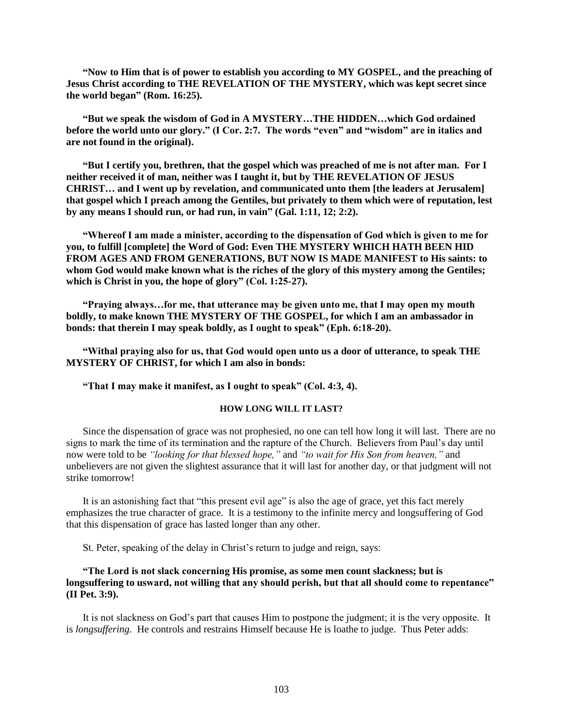**"Now to Him that is of power to establish you according to MY GOSPEL, and the preaching of Jesus Christ according to THE REVELATION OF THE MYSTERY, which was kept secret since the world began" (Rom. 16:25).**

**"But we speak the wisdom of God in A MYSTERY…THE HIDDEN…which God ordained before the world unto our glory." (I Cor. 2:7. The words "even" and "wisdom" are in italics and are not found in the original).**

**"But I certify you, brethren, that the gospel which was preached of me is not after man. For I neither received it of man, neither was I taught it, but by THE REVELATION OF JESUS CHRIST… and I went up by revelation, and communicated unto them [the leaders at Jerusalem] that gospel which I preach among the Gentiles, but privately to them which were of reputation, lest by any means I should run, or had run, in vain" (Gal. 1:11, 12; 2:2).**

**"Whereof I am made a minister, according to the dispensation of God which is given to me for you, to fulfill [complete] the Word of God: Even THE MYSTERY WHICH HATH BEEN HID FROM AGES AND FROM GENERATIONS, BUT NOW IS MADE MANIFEST to His saints: to whom God would make known what is the riches of the glory of this mystery among the Gentiles; which is Christ in you, the hope of glory" (Col. 1:25-27).**

**"Praying always…for me, that utterance may be given unto me, that I may open my mouth boldly, to make known THE MYSTERY OF THE GOSPEL, for which I am an ambassador in bonds: that therein I may speak boldly, as I ought to speak" (Eph. 6:18-20).**

**"Withal praying also for us, that God would open unto us a door of utterance, to speak THE MYSTERY OF CHRIST, for which I am also in bonds:**

**"That I may make it manifest, as I ought to speak" (Col. 4:3, 4).**

#### **HOW LONG WILL IT LAST?**

Since the dispensation of grace was not prophesied, no one can tell how long it will last. There are no signs to mark the time of its termination and the rapture of the Church. Believers from Paul's day until now were told to be *"looking for that blessed hope,"* and *"to wait for His Son from heaven,"* and unbelievers are not given the slightest assurance that it will last for another day, or that judgment will not strike tomorrow!

It is an astonishing fact that "this present evil age" is also the age of grace, yet this fact merely emphasizes the true character of grace. It is a testimony to the infinite mercy and longsuffering of God that this dispensation of grace has lasted longer than any other.

St. Peter, speaking of the delay in Christ's return to judge and reign, says:

## **"The Lord is not slack concerning His promise, as some men count slackness; but is longsuffering to usward, not willing that any should perish, but that all should come to repentance" (II Pet. 3:9).**

It is not slackness on God's part that causes Him to postpone the judgment; it is the very opposite. It is *longsuffering*. He controls and restrains Himself because He is loathe to judge. Thus Peter adds: